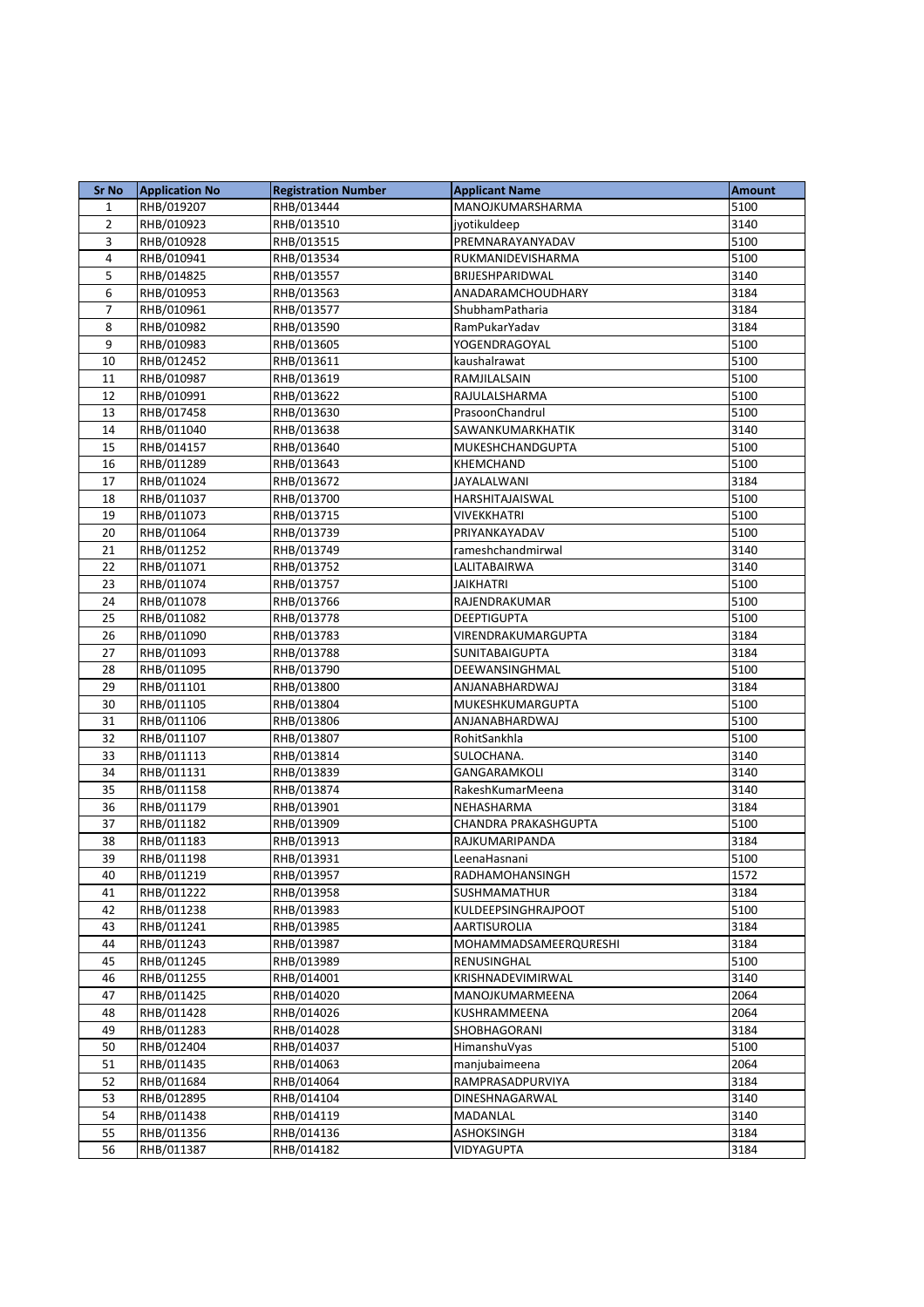| <b>Sr No</b>   | <b>Application No</b>    | <b>Registration Number</b> | <b>Applicant Name</b> | <b>Amount</b> |
|----------------|--------------------------|----------------------------|-----------------------|---------------|
| $\mathbf{1}$   | RHB/019207               | RHB/013444                 | MANOJKUMARSHARMA      | 5100          |
| $\overline{2}$ | RHB/010923               | RHB/013510                 | jyotikuldeep          | 3140          |
| $\overline{3}$ | RHB/010928               | RHB/013515                 | PREMNARAYANYADAV      | 5100          |
| 4              | RHB/010941               | RHB/013534                 | RUKMANIDEVISHARMA     | 5100          |
| 5              | RHB/014825               | RHB/013557                 | BRIJESHPARIDWAL       | 3140          |
| 6              | RHB/010953               | RHB/013563                 | ANADARAMCHOUDHARY     | 3184          |
| 7              | RHB/010961               | RHB/013577                 | ShubhamPatharia       | 3184          |
| 8              | RHB/010982               | RHB/013590                 | RamPukarYadav         | 3184          |
| 9              | RHB/010983               | RHB/013605                 | YOGENDRAGOYAL         | 5100          |
| 10             | RHB/012452               | RHB/013611                 | kaushalrawat          | 5100          |
| 11             | RHB/010987               | RHB/013619                 | RAMJILALSAIN          | 5100          |
| 12             | RHB/010991               | RHB/013622                 | RAJULALSHARMA         | 5100          |
| 13             | RHB/017458               | RHB/013630                 | PrasoonChandrul       | 5100          |
| 14             | RHB/011040               | RHB/013638                 | SAWANKUMARKHATIK      | 3140          |
| 15             | RHB/014157               | RHB/013640                 | MUKESHCHANDGUPTA      | 5100          |
| 16             | RHB/011289               | RHB/013643                 | <b>KHEMCHAND</b>      | 5100          |
| 17             | RHB/011024               | RHB/013672                 | JAYALALWANI           | 3184          |
| 18             | RHB/011037               | RHB/013700                 | HARSHITAJAISWAL       | 5100          |
| 19             | RHB/011073               | RHB/013715                 | <b>VIVEKKHATRI</b>    | 5100          |
| 20             | RHB/011064               | RHB/013739                 | PRIYANKAYADAV         | 5100          |
| 21             | RHB/011252               | RHB/013749                 | rameshchandmirwal     | 3140          |
| 22             | RHB/011071               | RHB/013752                 | LALITABAIRWA          | 3140          |
| 23             | RHB/011074               | RHB/013757                 | <b>JAIKHATRI</b>      | 5100          |
| 24             | RHB/011078               | RHB/013766                 | RAJENDRAKUMAR         | 5100          |
| 25             | RHB/011082               | RHB/013778                 | <b>DEEPTIGUPTA</b>    | 5100          |
| 26             | RHB/011090               | RHB/013783                 | VIRENDRAKUMARGUPTA    | 3184          |
| 27             | RHB/011093               | RHB/013788                 | SUNITABAIGUPTA        | 3184          |
| 28             | RHB/011095               | RHB/013790                 | DEEWANSINGHMAL        | 5100          |
| 29             | RHB/011101               | RHB/013800                 | ANJANABHARDWAJ        | 3184          |
| 30             | RHB/011105               | RHB/013804                 | MUKESHKUMARGUPTA      | 5100          |
| 31             | RHB/011106               | RHB/013806                 | ANJANABHARDWAJ        | 5100          |
| 32             | RHB/011107               | RHB/013807                 | RohitSankhla          | 5100          |
| 33             | RHB/011113               | RHB/013814                 | SULOCHANA.            | 3140          |
| 34             | RHB/011131               | RHB/013839                 | GANGARAMKOLI          | 3140          |
| 35             | RHB/011158               | RHB/013874                 | RakeshKumarMeena      | 3140          |
| 36             | RHB/011179               | RHB/013901                 | NEHASHARMA            | 3184          |
| 37             | RHB/011182               | RHB/013909                 | CHANDRA PRAKASHGUPTA  | 5100          |
| 38             | RHB/011183               | RHB/013913                 | RAJKUMARIPANDA        | 3184          |
| 39             | RHB/011198               | RHB/013931                 | LeenaHasnani          | 5100          |
| 40             | RHB/011219               | RHB/013957                 | RADHAMOHANSINGH       | 1572          |
| 41             | RHB/011222               | RHB/013958                 | SUSHMAMATHUR          | 3184          |
| 42             | RHB/011238               | RHB/013983                 | KULDEEPSINGHRAJPOOT   | 5100          |
| 43             | RHB/011241               | RHB/013985                 | AARTISUROLIA          | 3184          |
| 44             | RHB/011243               | RHB/013987                 | MOHAMMADSAMEERQURESHI | 3184          |
| 45             | RHB/011245               | RHB/013989                 | RENUSINGHAL           | 5100          |
| 46             | RHB/011255               | RHB/014001                 | KRISHNADEVIMIRWAL     | 3140          |
| 47             | RHB/011425               | RHB/014020                 | MANOJKUMARMEENA       | 2064          |
| 48             | RHB/011428               | RHB/014026                 | KUSHRAMMEENA          | 2064          |
| 49             | RHB/011283               | RHB/014028                 | SHOBHAGORANI          | 3184          |
| 50             | RHB/012404               | RHB/014037                 | HimanshuVyas          | 5100          |
| 51             | RHB/011435               | RHB/014063                 | manjubaimeena         | 2064          |
| 52             | RHB/011684               | RHB/014064                 | RAMPRASADPURVIYA      | 3184          |
| 53             | RHB/012895               | RHB/014104                 | DINESHNAGARWAL        | 3140          |
| 54             | RHB/011438<br>RHB/011356 | RHB/014119                 | MADANLAL              | 3140<br>3184  |
| 55             |                          | RHB/014136                 | ASHOKSINGH            |               |
| 56             | RHB/011387               | RHB/014182                 | <b>VIDYAGUPTA</b>     | 3184          |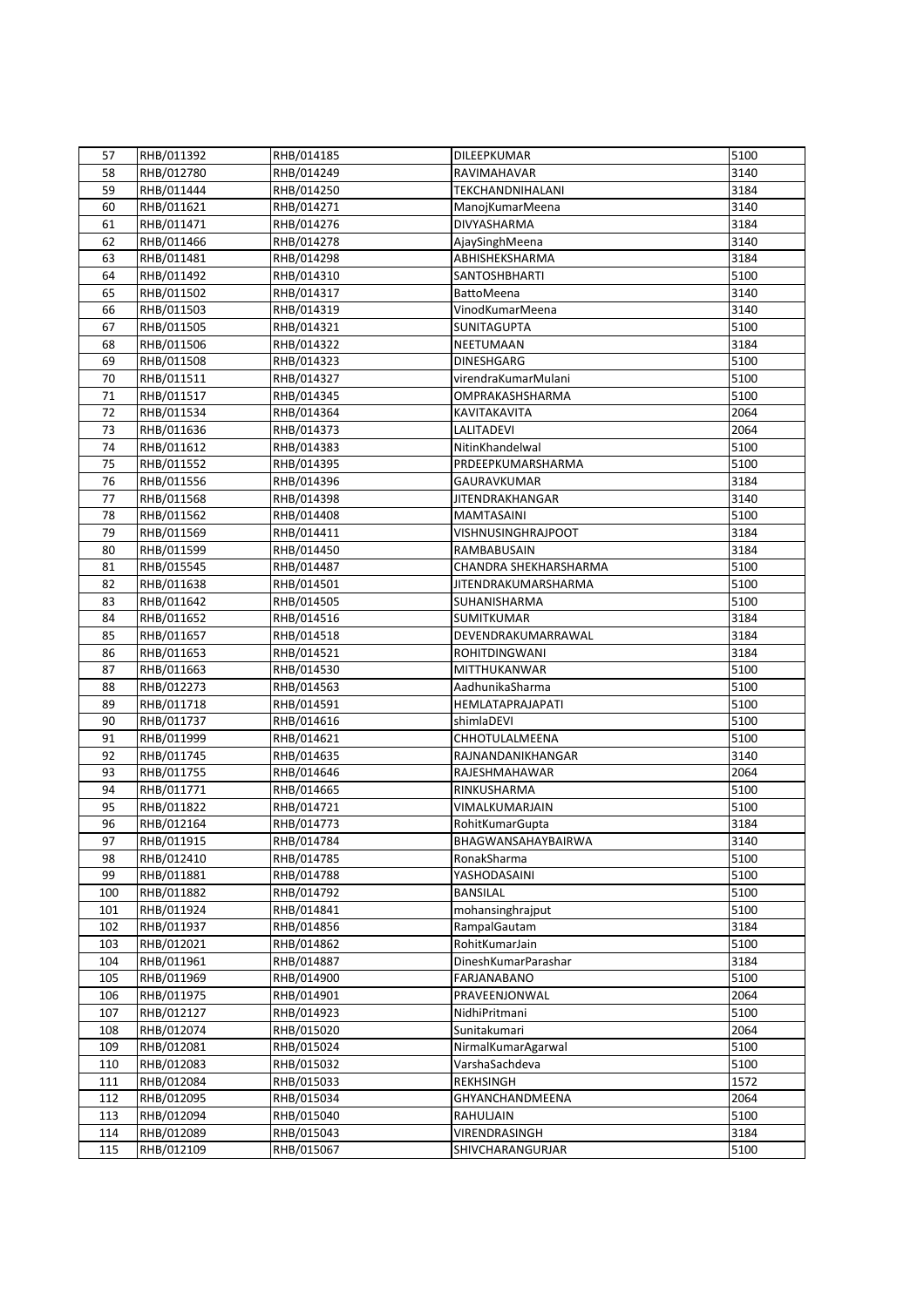| 57  | RHB/011392 | RHB/014185 | DILEEPKUMAR                | 5100 |
|-----|------------|------------|----------------------------|------|
| 58  | RHB/012780 | RHB/014249 | RAVIMAHAVAR                | 3140 |
| 59  |            |            |                            |      |
|     | RHB/011444 | RHB/014250 | <b>TEKCHANDNIHALANI</b>    | 3184 |
| 60  | RHB/011621 | RHB/014271 | ManojKumarMeena            | 3140 |
| 61  | RHB/011471 | RHB/014276 | <b>DIVYASHARMA</b>         | 3184 |
| 62  | RHB/011466 | RHB/014278 | AjaySinghMeena             | 3140 |
| 63  | RHB/011481 | RHB/014298 | ABHISHEKSHARMA             | 3184 |
| 64  | RHB/011492 | RHB/014310 | <b>SANTOSHBHARTI</b>       | 5100 |
| 65  | RHB/011502 | RHB/014317 | <b>BattoMeena</b>          | 3140 |
| 66  | RHB/011503 | RHB/014319 | VinodKumarMeena            | 3140 |
| 67  | RHB/011505 | RHB/014321 | SUNITAGUPTA                | 5100 |
| 68  | RHB/011506 | RHB/014322 | NEETUMAAN                  | 3184 |
| 69  | RHB/011508 | RHB/014323 | <b>DINESHGARG</b>          | 5100 |
| 70  | RHB/011511 | RHB/014327 | virendraKumarMulani        | 5100 |
| 71  | RHB/011517 | RHB/014345 | OMPRAKASHSHARMA            | 5100 |
| 72  | RHB/011534 | RHB/014364 | KAVITAKAVITA               | 2064 |
| 73  | RHB/011636 | RHB/014373 | <b>LALITADEVI</b>          | 2064 |
| 74  | RHB/011612 | RHB/014383 | NitinKhandelwal            | 5100 |
| 75  | RHB/011552 | RHB/014395 | PRDEEPKUMARSHARMA          | 5100 |
| 76  | RHB/011556 | RHB/014396 | GAURAVKUMAR                | 3184 |
| 77  | RHB/011568 | RHB/014398 | <b>JITENDRAKHANGAR</b>     | 3140 |
| 78  | RHB/011562 | RHB/014408 | <b>MAMTASAINI</b>          | 5100 |
| 79  | RHB/011569 | RHB/014411 | VISHNUSINGHRAJPOOT         | 3184 |
| 80  | RHB/011599 | RHB/014450 | RAMBABUSAIN                | 3184 |
| 81  | RHB/015545 | RHB/014487 | CHANDRA SHEKHARSHARMA      | 5100 |
| 82  | RHB/011638 | RHB/014501 | <b>JITENDRAKUMARSHARMA</b> | 5100 |
| 83  | RHB/011642 | RHB/014505 | SUHANISHARMA               | 5100 |
| 84  | RHB/011652 | RHB/014516 | <b>SUMITKUMAR</b>          | 3184 |
| 85  | RHB/011657 | RHB/014518 | DEVENDRAKUMARRAWAL         | 3184 |
| 86  | RHB/011653 | RHB/014521 | <b>ROHITDINGWANI</b>       | 3184 |
| 87  | RHB/011663 | RHB/014530 | MITTHUKANWAR               | 5100 |
| 88  | RHB/012273 | RHB/014563 | AadhunikaSharma            | 5100 |
| 89  | RHB/011718 | RHB/014591 | HEMLATAPRAJAPATI           | 5100 |
| 90  | RHB/011737 | RHB/014616 | shimlaDEVI                 | 5100 |
| 91  | RHB/011999 | RHB/014621 | CHHOTULALMEENA             | 5100 |
| 92  | RHB/011745 | RHB/014635 | RAJNANDANIKHANGAR          | 3140 |
| 93  | RHB/011755 | RHB/014646 | RAJESHMAHAWAR              | 2064 |
| 94  | RHB/011771 | RHB/014665 | RINKUSHARMA                | 5100 |
| 95  | RHB/011822 | RHB/014721 | VIMALKUMARJAIN             | 5100 |
| 96  | RHB/012164 | RHB/014773 | RohitKumarGupta            | 3184 |
| 97  | RHB/011915 | RHB/014784 | BHAGWANSAHAYBAIRWA         | 3140 |
| 98  | RHB/012410 | RHB/014785 | RonakSharma                | 5100 |
| 99  | RHB/011881 | RHB/014788 | YASHODASAINI               | 5100 |
| 100 | RHB/011882 | RHB/014792 | <b>BANSILAL</b>            | 5100 |
| 101 | RHB/011924 | RHB/014841 | mohansinghrajput           | 5100 |
| 102 | RHB/011937 | RHB/014856 | RampalGautam               | 3184 |
| 103 | RHB/012021 | RHB/014862 | RohitKumarJain             | 5100 |
| 104 | RHB/011961 | RHB/014887 | DineshKumarParashar        | 3184 |
| 105 | RHB/011969 | RHB/014900 | FARJANABANO                | 5100 |
| 106 | RHB/011975 | RHB/014901 | PRAVEENJONWAL              | 2064 |
| 107 | RHB/012127 | RHB/014923 | NidhiPritmani              | 5100 |
| 108 | RHB/012074 | RHB/015020 | Sunitakumari               | 2064 |
| 109 | RHB/012081 | RHB/015024 | NirmalKumarAgarwal         | 5100 |
| 110 | RHB/012083 | RHB/015032 | VarshaSachdeva             | 5100 |
| 111 | RHB/012084 | RHB/015033 | <b>REKHSINGH</b>           | 1572 |
| 112 | RHB/012095 | RHB/015034 | GHYANCHANDMEENA            | 2064 |
| 113 | RHB/012094 | RHB/015040 | RAHULJAIN                  | 5100 |
| 114 | RHB/012089 | RHB/015043 | VIRENDRASINGH              | 3184 |
| 115 | RHB/012109 | RHB/015067 | SHIVCHARANGURJAR           | 5100 |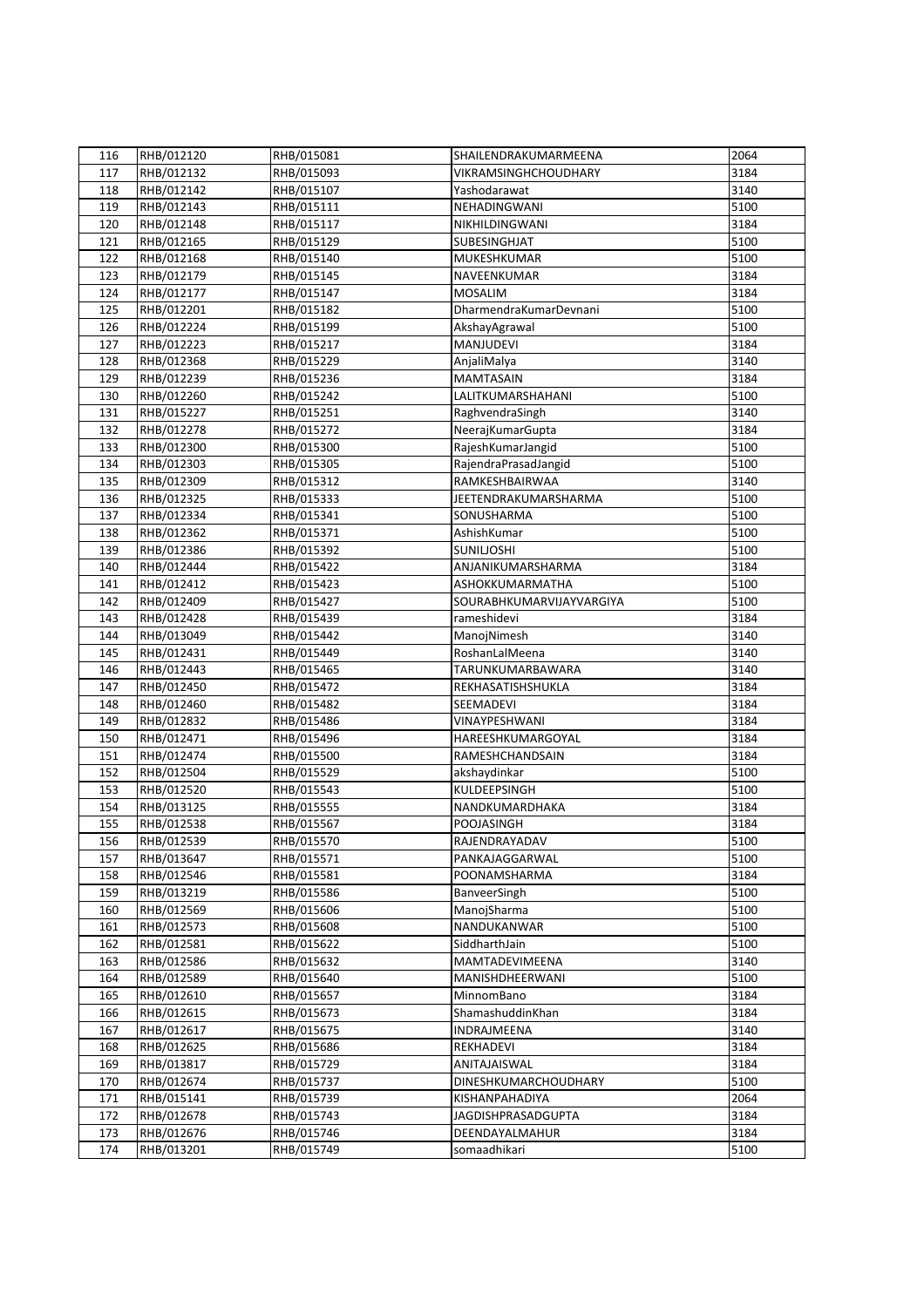| 116 | RHB/012120 | RHB/015081 | SHAILENDRAKUMARMEENA      | 2064 |
|-----|------------|------------|---------------------------|------|
| 117 | RHB/012132 | RHB/015093 | VIKRAMSINGHCHOUDHARY      | 3184 |
| 118 | RHB/012142 | RHB/015107 | Yashodarawat              | 3140 |
| 119 | RHB/012143 | RHB/015111 | NEHADINGWANI              | 5100 |
| 120 | RHB/012148 | RHB/015117 | NIKHILDINGWANI            | 3184 |
| 121 | RHB/012165 | RHB/015129 | <b>SUBESINGHJAT</b>       | 5100 |
| 122 | RHB/012168 | RHB/015140 | MUKESHKUMAR               | 5100 |
| 123 | RHB/012179 | RHB/015145 | NAVEENKUMAR               | 3184 |
| 124 | RHB/012177 | RHB/015147 | <b>MOSALIM</b>            | 3184 |
| 125 | RHB/012201 | RHB/015182 | DharmendraKumarDevnani    | 5100 |
| 126 | RHB/012224 | RHB/015199 | AkshayAgrawal             | 5100 |
| 127 | RHB/012223 | RHB/015217 | MANJUDEVI                 | 3184 |
| 128 | RHB/012368 | RHB/015229 | AnjaliMalya               | 3140 |
| 129 | RHB/012239 | RHB/015236 | <b>MAMTASAIN</b>          | 3184 |
| 130 | RHB/012260 | RHB/015242 | LALITKUMARSHAHANI         | 5100 |
| 131 | RHB/015227 | RHB/015251 | RaghvendraSingh           | 3140 |
| 132 | RHB/012278 | RHB/015272 | NeerajKumarGupta          | 3184 |
| 133 | RHB/012300 | RHB/015300 | RajeshKumarJangid         | 5100 |
| 134 | RHB/012303 | RHB/015305 | RajendraPrasadJangid      | 5100 |
| 135 | RHB/012309 | RHB/015312 | RAMKESHBAIRWAA            | 3140 |
| 136 | RHB/012325 | RHB/015333 | JEETENDRAKUMARSHARMA      | 5100 |
| 137 | RHB/012334 | RHB/015341 | SONUSHARMA                | 5100 |
| 138 | RHB/012362 | RHB/015371 | AshishKumar               | 5100 |
| 139 | RHB/012386 | RHB/015392 | <b>SUNILIOSHI</b>         | 5100 |
| 140 | RHB/012444 | RHB/015422 | ANJANIKUMARSHARMA         | 3184 |
| 141 | RHB/012412 | RHB/015423 | ASHOKKUMARMATHA           | 5100 |
| 142 | RHB/012409 | RHB/015427 | SOURABHKUMARVIJAYVARGIYA  | 5100 |
| 143 | RHB/012428 | RHB/015439 | rameshidevi               | 3184 |
| 144 | RHB/013049 | RHB/015442 | ManojNimesh               | 3140 |
| 145 | RHB/012431 | RHB/015449 | RoshanLalMeena            | 3140 |
| 146 | RHB/012443 | RHB/015465 | TARUNKUMARBAWARA          | 3140 |
| 147 | RHB/012450 | RHB/015472 | REKHASATISHSHUKLA         | 3184 |
| 148 | RHB/012460 | RHB/015482 | SEEMADEVI                 | 3184 |
| 149 | RHB/012832 | RHB/015486 | VINAYPESHWANI             | 3184 |
| 150 | RHB/012471 | RHB/015496 | HAREESHKUMARGOYAL         | 3184 |
| 151 | RHB/012474 | RHB/015500 | RAMESHCHANDSAIN           | 3184 |
| 152 | RHB/012504 | RHB/015529 | akshaydinkar              | 5100 |
| 153 | RHB/012520 | RHB/015543 | KULDEEPSINGH              | 5100 |
| 154 | RHB/013125 | RHB/015555 | NANDKUMARDHAKA            | 3184 |
| 155 | RHB/012538 | RHB/015567 | <b>POOJASINGH</b>         | 3184 |
| 156 | RHB/012539 | RHB/015570 | RAJENDRAYADAV             | 5100 |
| 157 | RHB/013647 | RHB/015571 | PANKAJAGGARWAL            | 5100 |
| 158 | RHB/012546 | RHB/015581 | POONAMSHARMA              | 3184 |
| 159 | RHB/013219 | RHB/015586 | BanveerSingh              | 5100 |
| 160 | RHB/012569 | RHB/015606 | ManojSharma               | 5100 |
| 161 | RHB/012573 | RHB/015608 | NANDUKANWAR               | 5100 |
| 162 | RHB/012581 | RHB/015622 | SiddharthJain             | 5100 |
| 163 | RHB/012586 | RHB/015632 | MAMTADEVIMEENA            | 3140 |
| 164 | RHB/012589 | RHB/015640 | MANISHDHEERWANI           | 5100 |
| 165 | RHB/012610 | RHB/015657 | MinnomBano                | 3184 |
| 166 | RHB/012615 | RHB/015673 | ShamashuddinKhan          | 3184 |
| 167 | RHB/012617 | RHB/015675 | INDRAJMEENA               | 3140 |
| 168 | RHB/012625 | RHB/015686 | REKHADEVI                 | 3184 |
| 169 | RHB/013817 | RHB/015729 | ANITAJAISWAL              | 3184 |
| 170 | RHB/012674 | RHB/015737 | DINESHKUMARCHOUDHARY      | 5100 |
| 171 | RHB/015141 | RHB/015739 | KISHANPAHADIYA            | 2064 |
| 172 | RHB/012678 | RHB/015743 | <b>JAGDISHPRASADGUPTA</b> | 3184 |
| 173 | RHB/012676 | RHB/015746 | DEENDAYALMAHUR            | 3184 |
| 174 | RHB/013201 | RHB/015749 | somaadhikari              | 5100 |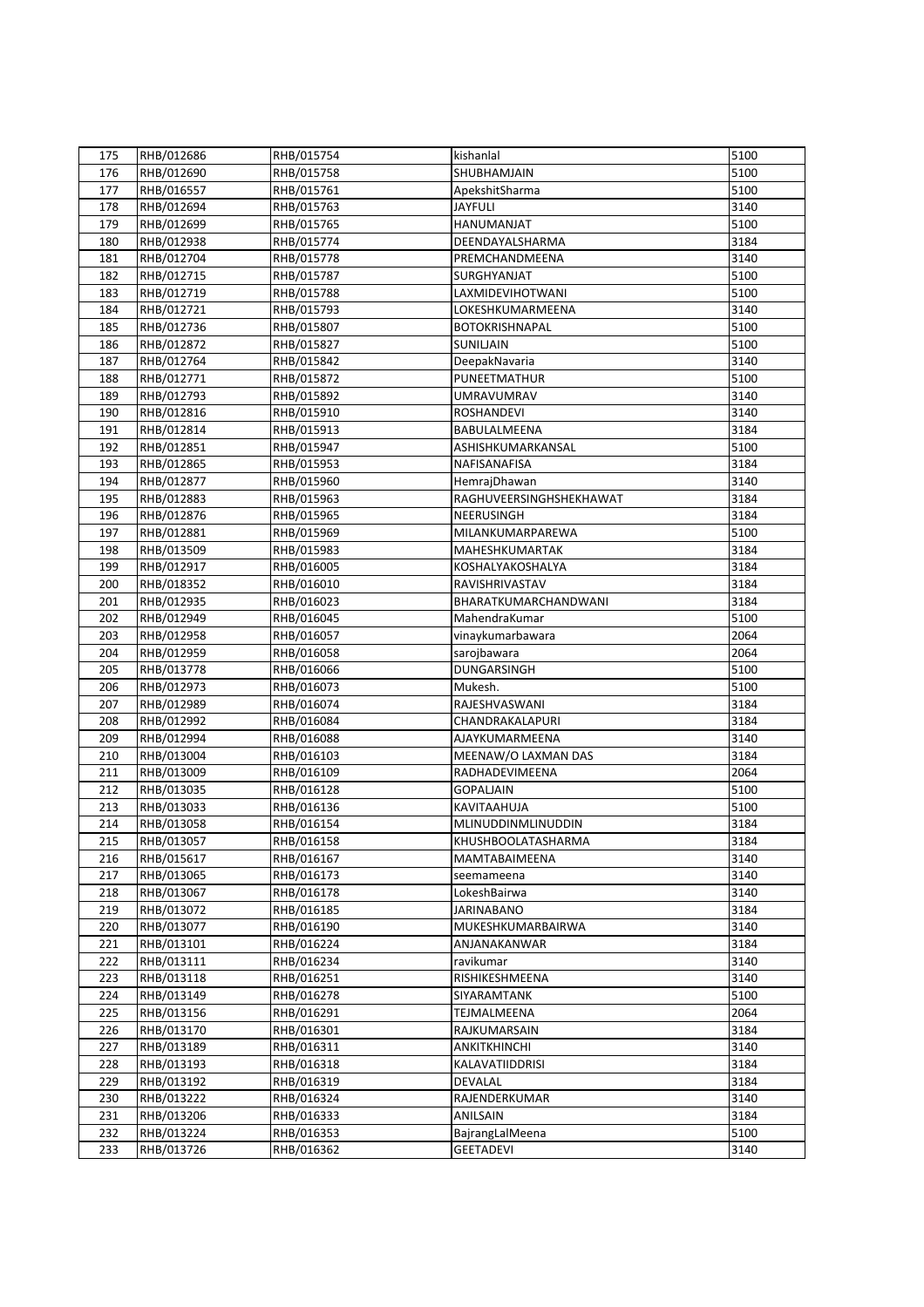| 175 | RHB/012686 | RHB/015754 | kishanlal               | 5100 |
|-----|------------|------------|-------------------------|------|
| 176 | RHB/012690 | RHB/015758 | SHUBHAMJAIN             | 5100 |
| 177 | RHB/016557 | RHB/015761 | ApekshitSharma          | 5100 |
| 178 | RHB/012694 | RHB/015763 | <b>JAYFULI</b>          | 3140 |
| 179 | RHB/012699 | RHB/015765 | HANUMANJAT              | 5100 |
| 180 | RHB/012938 | RHB/015774 | DEENDAYALSHARMA         | 3184 |
| 181 | RHB/012704 | RHB/015778 | PREMCHANDMEENA          | 3140 |
| 182 | RHB/012715 | RHB/015787 | SURGHYANJAT             | 5100 |
| 183 | RHB/012719 | RHB/015788 | <b>LAXMIDEVIHOTWANI</b> | 5100 |
| 184 | RHB/012721 | RHB/015793 | LOKESHKUMARMEENA        | 3140 |
| 185 | RHB/012736 | RHB/015807 | <b>BOTOKRISHNAPAL</b>   | 5100 |
| 186 | RHB/012872 | RHB/015827 | SUNILJAIN               | 5100 |
| 187 | RHB/012764 | RHB/015842 | DeepakNavaria           | 3140 |
| 188 | RHB/012771 | RHB/015872 | PUNEETMATHUR            | 5100 |
| 189 | RHB/012793 | RHB/015892 | <b>UMRAVUMRAV</b>       | 3140 |
| 190 | RHB/012816 | RHB/015910 | <b>ROSHANDEVI</b>       | 3140 |
| 191 | RHB/012814 | RHB/015913 | BABULALMEENA            | 3184 |
| 192 | RHB/012851 | RHB/015947 | ASHISHKUMARKANSAL       | 5100 |
|     |            |            |                         |      |
| 193 | RHB/012865 | RHB/015953 | NAFISANAFISA            | 3184 |
| 194 | RHB/012877 | RHB/015960 | HemrajDhawan            | 3140 |
| 195 | RHB/012883 | RHB/015963 | RAGHUVEERSINGHSHEKHAWAT | 3184 |
| 196 | RHB/012876 | RHB/015965 | NEERUSINGH              | 3184 |
| 197 | RHB/012881 | RHB/015969 | MILANKUMARPAREWA        | 5100 |
| 198 | RHB/013509 | RHB/015983 | MAHESHKUMARTAK          | 3184 |
| 199 | RHB/012917 | RHB/016005 | KOSHALYAKOSHALYA        | 3184 |
| 200 | RHB/018352 | RHB/016010 | RAVISHRIVASTAV          | 3184 |
| 201 | RHB/012935 | RHB/016023 | BHARATKUMARCHANDWANI    | 3184 |
| 202 | RHB/012949 | RHB/016045 | MahendraKumar           | 5100 |
| 203 | RHB/012958 | RHB/016057 | vinaykumarbawara        | 2064 |
| 204 | RHB/012959 | RHB/016058 | sarojbawara             | 2064 |
| 205 | RHB/013778 | RHB/016066 | <b>DUNGARSINGH</b>      | 5100 |
| 206 | RHB/012973 | RHB/016073 | Mukesh.                 | 5100 |
| 207 | RHB/012989 | RHB/016074 | RAJESHVASWANI           | 3184 |
| 208 | RHB/012992 | RHB/016084 | CHANDRAKALAPURI         | 3184 |
| 209 | RHB/012994 | RHB/016088 | AJAYKUMARMEENA          | 3140 |
| 210 | RHB/013004 | RHB/016103 | MEENAW/O LAXMAN DAS     | 3184 |
| 211 | RHB/013009 | RHB/016109 | RADHADEVIMEENA          | 2064 |
| 212 | RHB/013035 | RHB/016128 | <b>GOPALIAIN</b>        | 5100 |
| 213 | RHB/013033 | RHB/016136 | KAVITAAHUJA             | 5100 |
| 214 | RHB/013058 | RHB/016154 | MLINUDDINMLINUDDIN      | 3184 |
| 215 | RHB/013057 | RHB/016158 | KHUSHBOOLATASHARMA      | 3184 |
| 216 | RHB/015617 | RHB/016167 | MAMTABAIMEENA           | 3140 |
| 217 | RHB/013065 | RHB/016173 | seemameena              | 3140 |
| 218 | RHB/013067 | RHB/016178 | LokeshBairwa            | 3140 |
| 219 | RHB/013072 | RHB/016185 | <b>JARINABANO</b>       | 3184 |
| 220 | RHB/013077 | RHB/016190 | MUKESHKUMARBAIRWA       | 3140 |
| 221 | RHB/013101 | RHB/016224 | ANJANAKANWAR            | 3184 |
| 222 | RHB/013111 | RHB/016234 | ravikumar               | 3140 |
| 223 | RHB/013118 | RHB/016251 | RISHIKESHMEENA          | 3140 |
| 224 | RHB/013149 | RHB/016278 | SIYARAMTANK             | 5100 |
| 225 | RHB/013156 | RHB/016291 | TEJMALMEENA             | 2064 |
| 226 | RHB/013170 | RHB/016301 | RAJKUMARSAIN            | 3184 |
| 227 | RHB/013189 | RHB/016311 | <b>ANKITKHINCHI</b>     | 3140 |
| 228 | RHB/013193 | RHB/016318 | KALAVATIIDDRISI         | 3184 |
| 229 | RHB/013192 | RHB/016319 | <b>DEVALAL</b>          | 3184 |
| 230 | RHB/013222 | RHB/016324 | RAJENDERKUMAR           | 3140 |
| 231 | RHB/013206 | RHB/016333 | <b>ANILSAIN</b>         | 3184 |
| 232 | RHB/013224 | RHB/016353 | BajrangLalMeena         | 5100 |
|     |            |            |                         |      |
| 233 | RHB/013726 | RHB/016362 | <b>GEETADEVI</b>        | 3140 |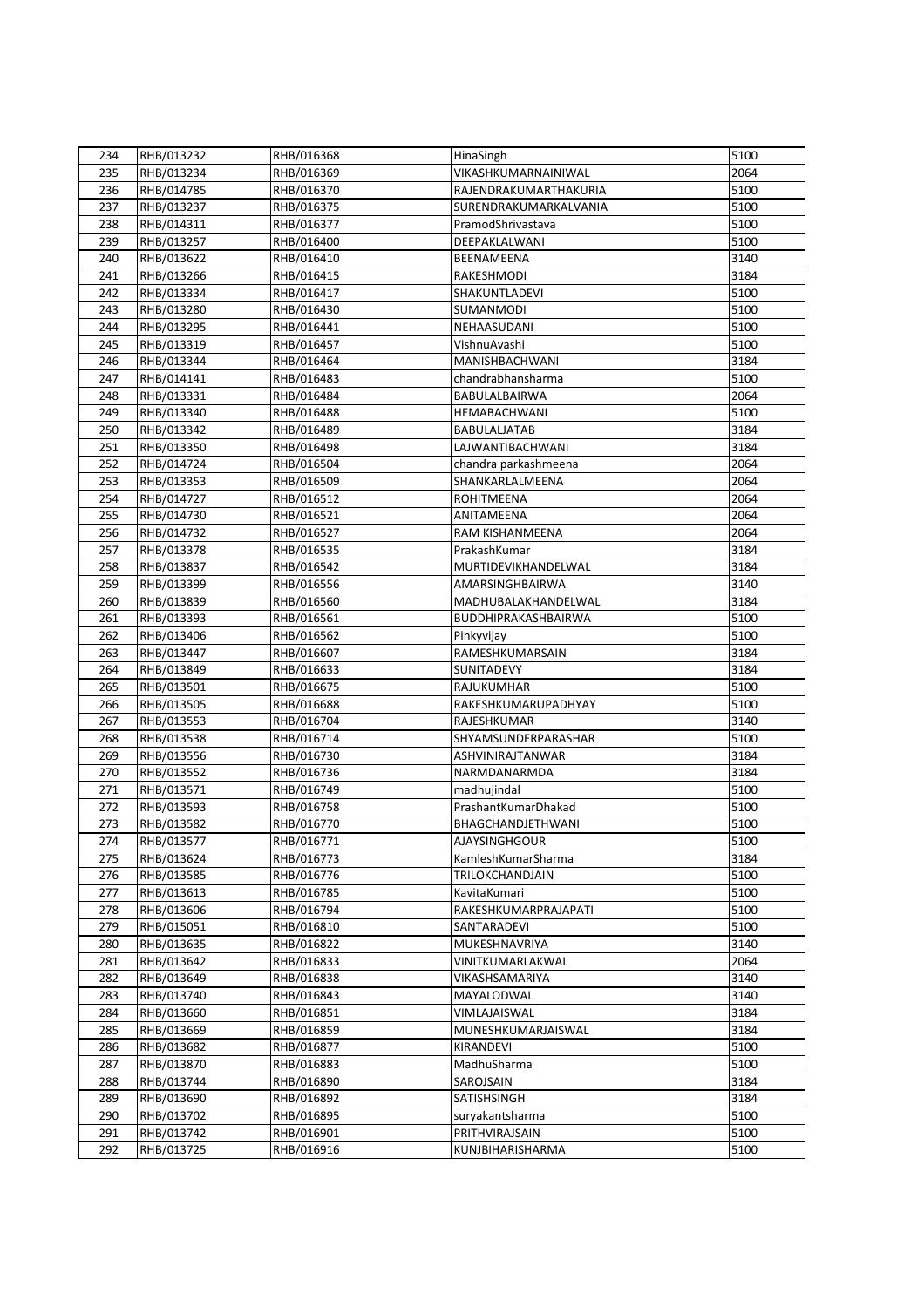| 234 | RHB/013232               | RHB/016368               | HinaSingh                               | 5100 |
|-----|--------------------------|--------------------------|-----------------------------------------|------|
| 235 | RHB/013234               | RHB/016369               | VIKASHKUMARNAINIWAL                     | 2064 |
| 236 | RHB/014785               | RHB/016370               | RAJENDRAKUMARTHAKURIA                   | 5100 |
| 237 | RHB/013237               | RHB/016375               | SURENDRAKUMARKALVANIA                   | 5100 |
| 238 | RHB/014311               | RHB/016377               | PramodShrivastava                       | 5100 |
| 239 | RHB/013257               | RHB/016400               | DEEPAKLALWANI                           | 5100 |
| 240 | RHB/013622               | RHB/016410               | BEENAMEENA                              | 3140 |
| 241 | RHB/013266               | RHB/016415               | RAKESHMODI                              | 3184 |
| 242 | RHB/013334               | RHB/016417               | SHAKUNTLADEVI                           | 5100 |
| 243 | RHB/013280               | RHB/016430               | SUMANMODI                               | 5100 |
| 244 | RHB/013295               | RHB/016441               | NEHAASUDANI                             | 5100 |
| 245 | RHB/013319               | RHB/016457               | VishnuAvashi                            | 5100 |
| 246 | RHB/013344               | RHB/016464               | MANISHBACHWANI                          | 3184 |
| 247 | RHB/014141               | RHB/016483               | chandrabhansharma                       | 5100 |
| 248 | RHB/013331               | RHB/016484               | BABULALBAIRWA                           | 2064 |
| 249 | RHB/013340               | RHB/016488               | HEMABACHWANI                            | 5100 |
| 250 | RHB/013342               | RHB/016489               | <b>BABULALJATAB</b>                     | 3184 |
| 251 | RHB/013350               | RHB/016498               | LAJWANTIBACHWANI                        | 3184 |
| 252 |                          |                          |                                         | 2064 |
| 253 | RHB/014724<br>RHB/013353 | RHB/016504<br>RHB/016509 | chandra parkashmeena<br>SHANKARLALMEENA | 2064 |
|     | RHB/014727               |                          |                                         | 2064 |
| 254 |                          | RHB/016512               | <b>ROHITMEENA</b>                       |      |
| 255 | RHB/014730               | RHB/016521               | ANITAMEENA                              | 2064 |
| 256 | RHB/014732               | RHB/016527               | RAM KISHANMEENA                         | 2064 |
| 257 | RHB/013378               | RHB/016535               | PrakashKumar                            | 3184 |
| 258 | RHB/013837               | RHB/016542               | MURTIDEVIKHANDELWAL                     | 3184 |
| 259 | RHB/013399               | RHB/016556               | AMARSINGHBAIRWA                         | 3140 |
| 260 | RHB/013839               | RHB/016560               | MADHUBALAKHANDELWAL                     | 3184 |
| 261 | RHB/013393               | RHB/016561               | BUDDHIPRAKASHBAIRWA                     | 5100 |
| 262 | RHB/013406               | RHB/016562               | Pinkyvijay                              | 5100 |
| 263 | RHB/013447               | RHB/016607               | RAMESHKUMARSAIN                         | 3184 |
| 264 | RHB/013849               | RHB/016633               | SUNITADEVY                              | 3184 |
| 265 | RHB/013501               | RHB/016675               | RAJUKUMHAR                              | 5100 |
| 266 | RHB/013505               | RHB/016688               | RAKESHKUMARUPADHYAY                     | 5100 |
| 267 | RHB/013553               | RHB/016704               | RAJESHKUMAR                             | 3140 |
| 268 | RHB/013538               | RHB/016714               | SHYAMSUNDERPARASHAR                     | 5100 |
| 269 | RHB/013556               | RHB/016730               | ASHVINIRAJTANWAR                        | 3184 |
| 270 | RHB/013552               | RHB/016736               | NARMDANARMDA                            | 3184 |
| 271 | RHB/013571               | RHB/016749               | madhujindal                             | 5100 |
| 272 | RHB/013593               | RHB/016758               | PrashantKumarDhakad                     | 5100 |
| 273 | RHB/013582               | RHB/016770               | BHAGCHANDJETHWANI                       | 5100 |
| 274 | RHB/013577               | RHB/016771               | <b>AJAYSINGHGOUR</b>                    | 5100 |
| 275 | RHB/013624               | RHB/016773               | KamleshKumarSharma                      | 3184 |
| 276 | RHB/013585               | RHB/016776               | TRILOKCHANDJAIN                         | 5100 |
| 277 | RHB/013613               | RHB/016785               | KavitaKumari                            | 5100 |
| 278 | RHB/013606               | RHB/016794               | RAKESHKUMARPRAJAPATI                    | 5100 |
| 279 | RHB/015051               | RHB/016810               | SANTARADEVI                             | 5100 |
| 280 | RHB/013635               | RHB/016822               | MUKESHNAVRIYA                           | 3140 |
| 281 | RHB/013642               | RHB/016833               | VINITKUMARLAKWAL                        | 2064 |
| 282 | RHB/013649               | RHB/016838               | VIKASHSAMARIYA                          | 3140 |
| 283 | RHB/013740               | RHB/016843               | MAYALODWAL                              | 3140 |
| 284 | RHB/013660               | RHB/016851               | VIMLAJAISWAL                            | 3184 |
| 285 | RHB/013669               | RHB/016859               | MUNESHKUMARJAISWAL                      | 3184 |
| 286 | RHB/013682               | RHB/016877               | KIRANDEVI                               | 5100 |
| 287 | RHB/013870               | RHB/016883               | MadhuSharma                             | 5100 |
| 288 | RHB/013744               | RHB/016890               | SAROJSAIN                               | 3184 |
| 289 | RHB/013690               | RHB/016892               | SATISHSINGH                             | 3184 |
| 290 | RHB/013702               | RHB/016895               | suryakantsharma                         | 5100 |
| 291 | RHB/013742               | RHB/016901               | PRITHVIRAJSAIN                          | 5100 |
| 292 | RHB/013725               | RHB/016916               | KUNJBIHARISHARMA                        | 5100 |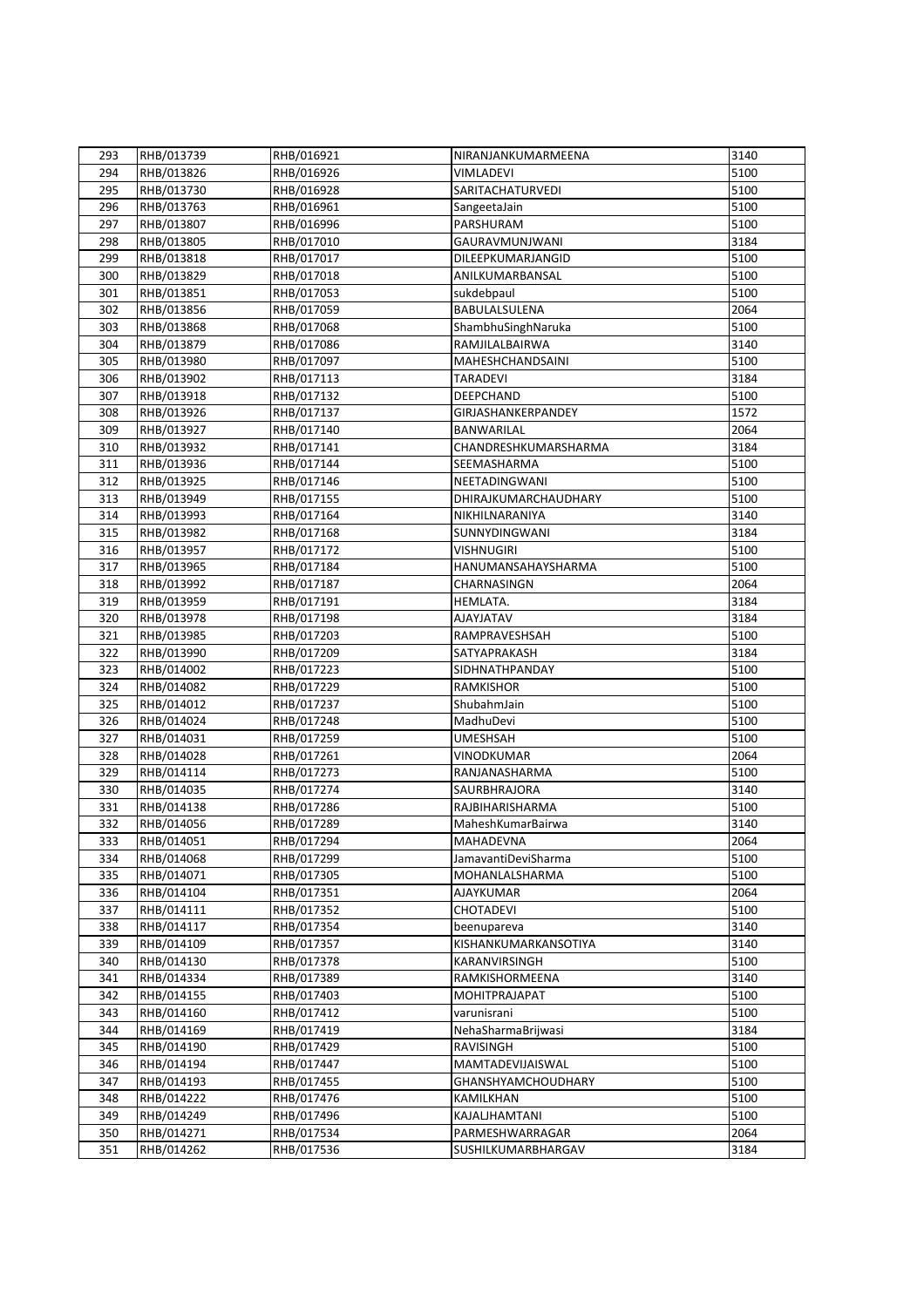| 293 | RHB/013739 | RHB/016921 | NIRANJANKUMARMEENA        | 3140 |
|-----|------------|------------|---------------------------|------|
| 294 | RHB/013826 | RHB/016926 | VIMLADEVI                 | 5100 |
| 295 | RHB/013730 | RHB/016928 | SARITACHATURVEDI          | 5100 |
| 296 | RHB/013763 | RHB/016961 | SangeetaJain              | 5100 |
| 297 | RHB/013807 | RHB/016996 | PARSHURAM                 | 5100 |
| 298 | RHB/013805 | RHB/017010 | GAURAVMUNJWANI            | 3184 |
| 299 | RHB/013818 | RHB/017017 | DILEEPKUMARJANGID         | 5100 |
| 300 | RHB/013829 | RHB/017018 | ANILKUMARBANSAL           | 5100 |
| 301 | RHB/013851 | RHB/017053 | sukdebpaul                | 5100 |
| 302 | RHB/013856 | RHB/017059 | BABULALSULENA             | 2064 |
| 303 | RHB/013868 | RHB/017068 | ShambhuSinghNaruka        | 5100 |
| 304 | RHB/013879 | RHB/017086 | RAMJILALBAIRWA            | 3140 |
| 305 | RHB/013980 | RHB/017097 | MAHESHCHANDSAINI          | 5100 |
| 306 | RHB/013902 | RHB/017113 | <b>TARADEVI</b>           | 3184 |
|     |            |            |                           |      |
| 307 | RHB/013918 | RHB/017132 | <b>DEEPCHAND</b>          | 5100 |
| 308 | RHB/013926 | RHB/017137 | GIRJASHANKERPANDEY        | 1572 |
| 309 | RHB/013927 | RHB/017140 | <b>BANWARILAL</b>         | 2064 |
| 310 | RHB/013932 | RHB/017141 | CHANDRESHKUMARSHARMA      | 3184 |
| 311 | RHB/013936 | RHB/017144 | SEEMASHARMA               | 5100 |
| 312 | RHB/013925 | RHB/017146 | NEETADINGWANI             | 5100 |
| 313 | RHB/013949 | RHB/017155 | DHIRAJKUMARCHAUDHARY      | 5100 |
| 314 | RHB/013993 | RHB/017164 | NIKHILNARANIYA            | 3140 |
| 315 | RHB/013982 | RHB/017168 | SUNNYDINGWANI             | 3184 |
| 316 | RHB/013957 | RHB/017172 | <b>VISHNUGIRI</b>         | 5100 |
| 317 | RHB/013965 | RHB/017184 | HANUMANSAHAYSHARMA        | 5100 |
| 318 | RHB/013992 | RHB/017187 | CHARNASINGN               | 2064 |
| 319 | RHB/013959 | RHB/017191 | HEMLATA.                  | 3184 |
| 320 | RHB/013978 | RHB/017198 | <b>AJAYJATAV</b>          | 3184 |
| 321 | RHB/013985 | RHB/017203 | RAMPRAVESHSAH             | 5100 |
| 322 | RHB/013990 | RHB/017209 | SATYAPRAKASH              | 3184 |
| 323 | RHB/014002 | RHB/017223 | SIDHNATHPANDAY            | 5100 |
| 324 | RHB/014082 | RHB/017229 | RAMKISHOR                 | 5100 |
| 325 | RHB/014012 | RHB/017237 | ShubahmJain               | 5100 |
| 326 | RHB/014024 | RHB/017248 | MadhuDevi                 | 5100 |
| 327 | RHB/014031 | RHB/017259 | <b>UMESHSAH</b>           | 5100 |
| 328 | RHB/014028 | RHB/017261 | VINODKUMAR                | 2064 |
| 329 | RHB/014114 | RHB/017273 | RANJANASHARMA             | 5100 |
| 330 | RHB/014035 | RHB/017274 | SAURBHRAJORA              | 3140 |
| 331 | RHB/014138 | RHB/017286 | RAJBIHARISHARMA           | 5100 |
| 332 | RHB/014056 | RHB/017289 | MaheshKumarBairwa         | 3140 |
| 333 | RHB/014051 | RHB/017294 | MAHADEVNA                 | 2064 |
| 334 | RHB/014068 | RHB/017299 | JamavantiDeviSharma       | 5100 |
| 335 | RHB/014071 | RHB/017305 | MOHANLALSHARMA            | 5100 |
| 336 | RHB/014104 | RHB/017351 | <b>AJAYKUMAR</b>          | 2064 |
| 337 | RHB/014111 | RHB/017352 | <b>CHOTADEVI</b>          | 5100 |
| 338 | RHB/014117 | RHB/017354 | beenupareva               | 3140 |
| 339 | RHB/014109 | RHB/017357 | KISHANKUMARKANSOTIYA      | 3140 |
| 340 | RHB/014130 | RHB/017378 | KARANVIRSINGH             | 5100 |
| 341 | RHB/014334 | RHB/017389 | RAMKISHORMEENA            | 3140 |
| 342 | RHB/014155 | RHB/017403 | MOHITPRAJAPAT             | 5100 |
| 343 | RHB/014160 | RHB/017412 | varunisrani               | 5100 |
| 344 | RHB/014169 | RHB/017419 | NehaSharmaBrijwasi        | 3184 |
| 345 | RHB/014190 | RHB/017429 | RAVISINGH                 | 5100 |
| 346 | RHB/014194 | RHB/017447 | MAMTADEVIJAISWAL          | 5100 |
| 347 | RHB/014193 | RHB/017455 | <b>GHANSHYAMCHOUDHARY</b> | 5100 |
| 348 | RHB/014222 | RHB/017476 | KAMILKHAN                 | 5100 |
| 349 | RHB/014249 | RHB/017496 | KAJALJHAMTANI             | 5100 |
| 350 | RHB/014271 | RHB/017534 | PARMESHWARRAGAR           | 2064 |
| 351 | RHB/014262 | RHB/017536 | SUSHILKUMARBHARGAV        | 3184 |
|     |            |            |                           |      |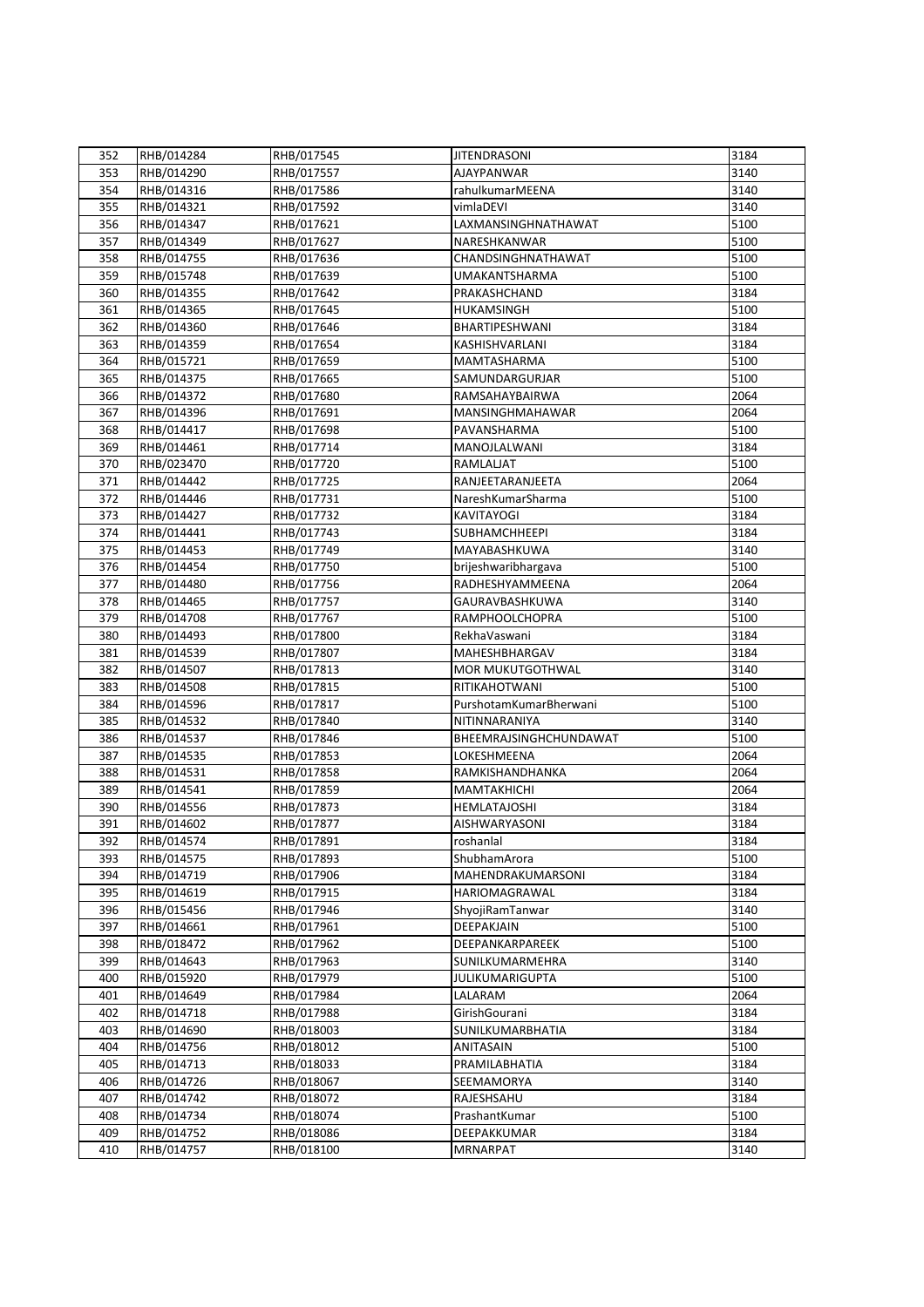| 352 | RHB/014284 | RHB/017545 | <b>JITENDRASONI</b>     | 3184 |
|-----|------------|------------|-------------------------|------|
| 353 | RHB/014290 | RHB/017557 | AJAYPANWAR              | 3140 |
| 354 | RHB/014316 | RHB/017586 | rahulkumarMEENA         | 3140 |
| 355 | RHB/014321 | RHB/017592 | vimlaDEVI               | 3140 |
| 356 | RHB/014347 | RHB/017621 | LAXMANSINGHNATHAWAT     | 5100 |
| 357 | RHB/014349 | RHB/017627 | NARESHKANWAR            | 5100 |
| 358 | RHB/014755 | RHB/017636 | CHANDSINGHNATHAWAT      | 5100 |
| 359 | RHB/015748 | RHB/017639 | <b>UMAKANTSHARMA</b>    | 5100 |
| 360 | RHB/014355 | RHB/017642 | PRAKASHCHAND            | 3184 |
| 361 | RHB/014365 | RHB/017645 | HUKAMSINGH              | 5100 |
| 362 | RHB/014360 | RHB/017646 | BHARTIPESHWANI          | 3184 |
| 363 | RHB/014359 | RHB/017654 | KASHISHVARLANI          | 3184 |
| 364 | RHB/015721 | RHB/017659 | MAMTASHARMA             | 5100 |
| 365 | RHB/014375 |            | SAMUNDARGURJAR          | 5100 |
|     |            | RHB/017665 |                         | 2064 |
| 366 | RHB/014372 | RHB/017680 | RAMSAHAYBAIRWA          |      |
| 367 | RHB/014396 | RHB/017691 | MANSINGHMAHAWAR         | 2064 |
| 368 | RHB/014417 | RHB/017698 | PAVANSHARMA             | 5100 |
| 369 | RHB/014461 | RHB/017714 | MANOJLALWANI            | 3184 |
| 370 | RHB/023470 | RHB/017720 | RAMLALJAT               | 5100 |
| 371 | RHB/014442 | RHB/017725 | RANJEETARANJEETA        | 2064 |
| 372 | RHB/014446 | RHB/017731 | NareshKumarSharma       | 5100 |
| 373 | RHB/014427 | RHB/017732 | <b>KAVITAYOGI</b>       | 3184 |
| 374 | RHB/014441 | RHB/017743 | <b>SUBHAMCHHEEPI</b>    | 3184 |
| 375 | RHB/014453 | RHB/017749 | MAYABASHKUWA            | 3140 |
| 376 | RHB/014454 | RHB/017750 | brijeshwaribhargava     | 5100 |
| 377 | RHB/014480 | RHB/017756 | RADHESHYAMMEENA         | 2064 |
| 378 | RHB/014465 | RHB/017757 | GAURAVBASHKUWA          | 3140 |
| 379 | RHB/014708 | RHB/017767 | <b>RAMPHOOLCHOPRA</b>   | 5100 |
| 380 | RHB/014493 | RHB/017800 | RekhaVaswani            | 3184 |
| 381 | RHB/014539 | RHB/017807 | MAHESHBHARGAV           | 3184 |
| 382 | RHB/014507 | RHB/017813 | <b>MOR MUKUTGOTHWAL</b> | 3140 |
| 383 | RHB/014508 | RHB/017815 | RITIKAHOTWANI           | 5100 |
| 384 | RHB/014596 | RHB/017817 | PurshotamKumarBherwani  | 5100 |
| 385 | RHB/014532 | RHB/017840 | NITINNARANIYA           | 3140 |
| 386 | RHB/014537 | RHB/017846 | BHEEMRAJSINGHCHUNDAWAT  | 5100 |
| 387 | RHB/014535 | RHB/017853 | LOKESHMEENA             | 2064 |
| 388 | RHB/014531 | RHB/017858 | RAMKISHANDHANKA         | 2064 |
| 389 | RHB/014541 | RHB/017859 | <b>MAMTAKHICHI</b>      | 2064 |
| 390 | RHB/014556 | RHB/017873 | <b>HEMLATAJOSHI</b>     | 3184 |
| 391 | RHB/014602 | RHB/017877 | <b>AISHWARYASONI</b>    | 3184 |
| 392 | RHB/014574 | RHB/017891 | roshanlal               | 3184 |
| 393 | RHB/014575 | RHB/017893 | ShubhamArora            | 5100 |
| 394 | RHB/014719 | RHB/017906 | MAHENDRAKUMARSONI       | 3184 |
| 395 | RHB/014619 | RHB/017915 | HARIOMAGRAWAL           | 3184 |
| 396 | RHB/015456 | RHB/017946 | ShyojiRamTanwar         | 3140 |
| 397 | RHB/014661 | RHB/017961 | DEEPAKJAIN              | 5100 |
| 398 | RHB/018472 | RHB/017962 | DEEPANKARPAREEK         | 5100 |
| 399 | RHB/014643 | RHB/017963 | SUNILKUMARMEHRA         | 3140 |
| 400 | RHB/015920 | RHB/017979 | <b>JULIKUMARIGUPTA</b>  | 5100 |
| 401 | RHB/014649 | RHB/017984 | LALARAM                 | 2064 |
| 402 | RHB/014718 | RHB/017988 | GirishGourani           | 3184 |
| 403 | RHB/014690 | RHB/018003 | SUNILKUMARBHATIA        | 3184 |
| 404 | RHB/014756 | RHB/018012 | ANITASAIN               | 5100 |
| 405 | RHB/014713 | RHB/018033 | PRAMILABHATIA           | 3184 |
| 406 | RHB/014726 | RHB/018067 | SEEMAMORYA              | 3140 |
| 407 | RHB/014742 | RHB/018072 | RAJESHSAHU              | 3184 |
| 408 | RHB/014734 | RHB/018074 | PrashantKumar           | 5100 |
| 409 | RHB/014752 | RHB/018086 | DEEPAKKUMAR             | 3184 |
|     |            |            |                         |      |
| 410 | RHB/014757 | RHB/018100 | <b>MRNARPAT</b>         | 3140 |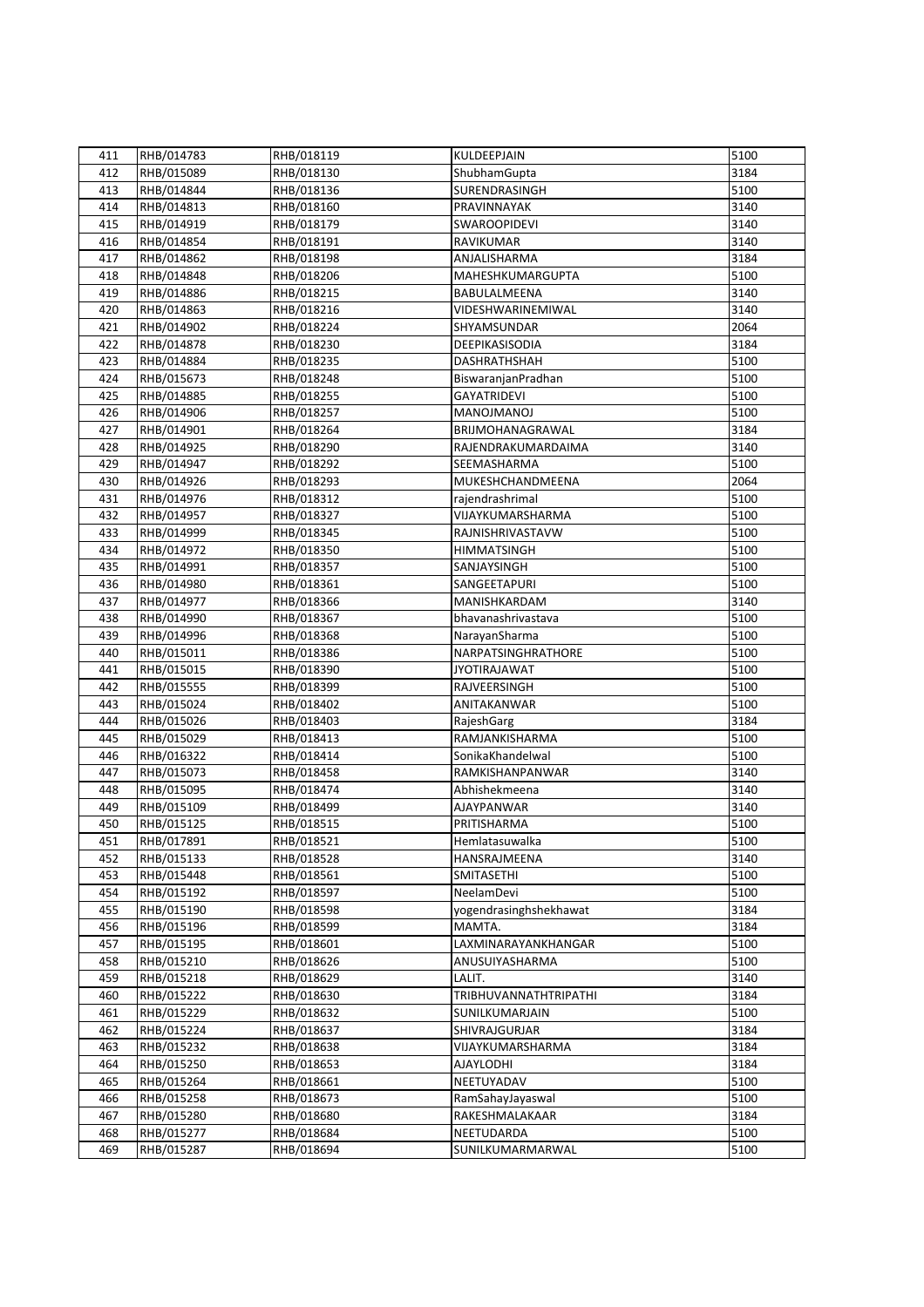| 411 | RHB/014783 | RHB/018119 | KULDEEPJAIN                     | 5100         |
|-----|------------|------------|---------------------------------|--------------|
| 412 | RHB/015089 | RHB/018130 | ShubhamGupta                    | 3184         |
| 413 | RHB/014844 | RHB/018136 | SURENDRASINGH                   | 5100         |
| 414 | RHB/014813 | RHB/018160 | PRAVINNAYAK                     | 3140         |
| 415 | RHB/014919 | RHB/018179 | SWAROOPIDEVI                    | 3140         |
| 416 | RHB/014854 | RHB/018191 | RAVIKUMAR                       | 3140         |
| 417 | RHB/014862 | RHB/018198 | ANJALISHARMA                    | 3184         |
| 418 | RHB/014848 | RHB/018206 | MAHESHKUMARGUPTA                | 5100         |
| 419 | RHB/014886 | RHB/018215 | BABULALMEENA                    | 3140         |
| 420 | RHB/014863 | RHB/018216 | VIDESHWARINEMIWAL               | 3140         |
| 421 | RHB/014902 | RHB/018224 | SHYAMSUNDAR                     | 2064         |
| 422 | RHB/014878 | RHB/018230 | DEEPIKASISODIA                  | 3184         |
| 423 | RHB/014884 | RHB/018235 | <b>DASHRATHSHAH</b>             | 5100         |
| 424 | RHB/015673 | RHB/018248 | BiswaranjanPradhan              | 5100         |
| 425 | RHB/014885 | RHB/018255 | <b>GAYATRIDEVI</b>              | 5100         |
| 426 | RHB/014906 | RHB/018257 | <b>MANOJMANOJ</b>               | 5100         |
| 427 | RHB/014901 | RHB/018264 | BRIJMOHANAGRAWAL                | 3184         |
| 428 | RHB/014925 | RHB/018290 | RAJENDRAKUMARDAIMA              | 3140         |
|     |            | RHB/018292 |                                 |              |
| 429 | RHB/014947 |            | SEEMASHARMA<br>MUKESHCHANDMEENA | 5100<br>2064 |
| 430 | RHB/014926 | RHB/018293 |                                 |              |
| 431 | RHB/014976 | RHB/018312 | rajendrashrimal                 | 5100         |
| 432 | RHB/014957 | RHB/018327 | VIJAYKUMARSHARMA                | 5100         |
| 433 | RHB/014999 | RHB/018345 | RAJNISHRIVASTAVW                | 5100         |
| 434 | RHB/014972 | RHB/018350 | <b>HIMMATSINGH</b>              | 5100         |
| 435 | RHB/014991 | RHB/018357 | SANJAYSINGH                     | 5100         |
| 436 | RHB/014980 | RHB/018361 | SANGEETAPURI                    | 5100         |
| 437 | RHB/014977 | RHB/018366 | MANISHKARDAM                    | 3140         |
| 438 | RHB/014990 | RHB/018367 | bhavanashrivastava              | 5100         |
| 439 | RHB/014996 | RHB/018368 | NarayanSharma                   | 5100         |
| 440 | RHB/015011 | RHB/018386 | NARPATSINGHRATHORE              | 5100         |
| 441 | RHB/015015 | RHB/018390 | <b>JYOTIRAJAWAT</b>             | 5100         |
| 442 | RHB/015555 | RHB/018399 | RAJVEERSINGH                    | 5100         |
| 443 | RHB/015024 | RHB/018402 | ANITAKANWAR                     | 5100         |
| 444 | RHB/015026 | RHB/018403 | RajeshGarg                      | 3184         |
| 445 | RHB/015029 | RHB/018413 | RAMJANKISHARMA                  | 5100         |
| 446 | RHB/016322 | RHB/018414 | SonikaKhandelwal                | 5100         |
| 447 | RHB/015073 | RHB/018458 | RAMKISHANPANWAR                 | 3140         |
| 448 | RHB/015095 | RHB/018474 | Abhishekmeena                   | 3140         |
| 449 | RHB/015109 | RHB/018499 | AJAYPANWAR                      | 3140         |
| 450 | RHB/015125 | RHB/018515 | PRITISHARMA                     | 5100         |
| 451 | RHB/017891 | RHB/018521 | Hemlatasuwalka                  | 5100         |
| 452 | RHB/015133 | RHB/018528 | HANSRAJMEENA                    | 3140         |
| 453 | RHB/015448 | RHB/018561 | SMITASETHI                      | 5100         |
| 454 | RHB/015192 | RHB/018597 | NeelamDevi                      | 5100         |
| 455 | RHB/015190 | RHB/018598 | yogendrasinghshekhawat          | 3184         |
| 456 | RHB/015196 | RHB/018599 | MAMTA.                          | 3184         |
| 457 | RHB/015195 | RHB/018601 | LAXMINARAYANKHANGAR             | 5100         |
| 458 | RHB/015210 | RHB/018626 | ANUSUIYASHARMA                  | 5100         |
| 459 | RHB/015218 | RHB/018629 | LALIT.                          | 3140         |
| 460 | RHB/015222 | RHB/018630 | <b>TRIBHUVANNATHTRIPATHI</b>    | 3184         |
| 461 | RHB/015229 | RHB/018632 | SUNILKUMARJAIN                  | 5100         |
| 462 | RHB/015224 | RHB/018637 | SHIVRAJGURJAR                   | 3184         |
| 463 | RHB/015232 | RHB/018638 | VIJAYKUMARSHARMA                | 3184         |
| 464 | RHB/015250 | RHB/018653 | <b>AJAYLODHI</b>                | 3184         |
| 465 | RHB/015264 | RHB/018661 | NEETUYADAV                      | 5100         |
| 466 | RHB/015258 | RHB/018673 | RamSahayJayaswal                | 5100         |
| 467 | RHB/015280 | RHB/018680 | RAKESHMALAKAAR                  | 3184         |
| 468 | RHB/015277 | RHB/018684 | NEETUDARDA                      | 5100         |
| 469 | RHB/015287 | RHB/018694 | SUNILKUMARMARWAL                | 5100         |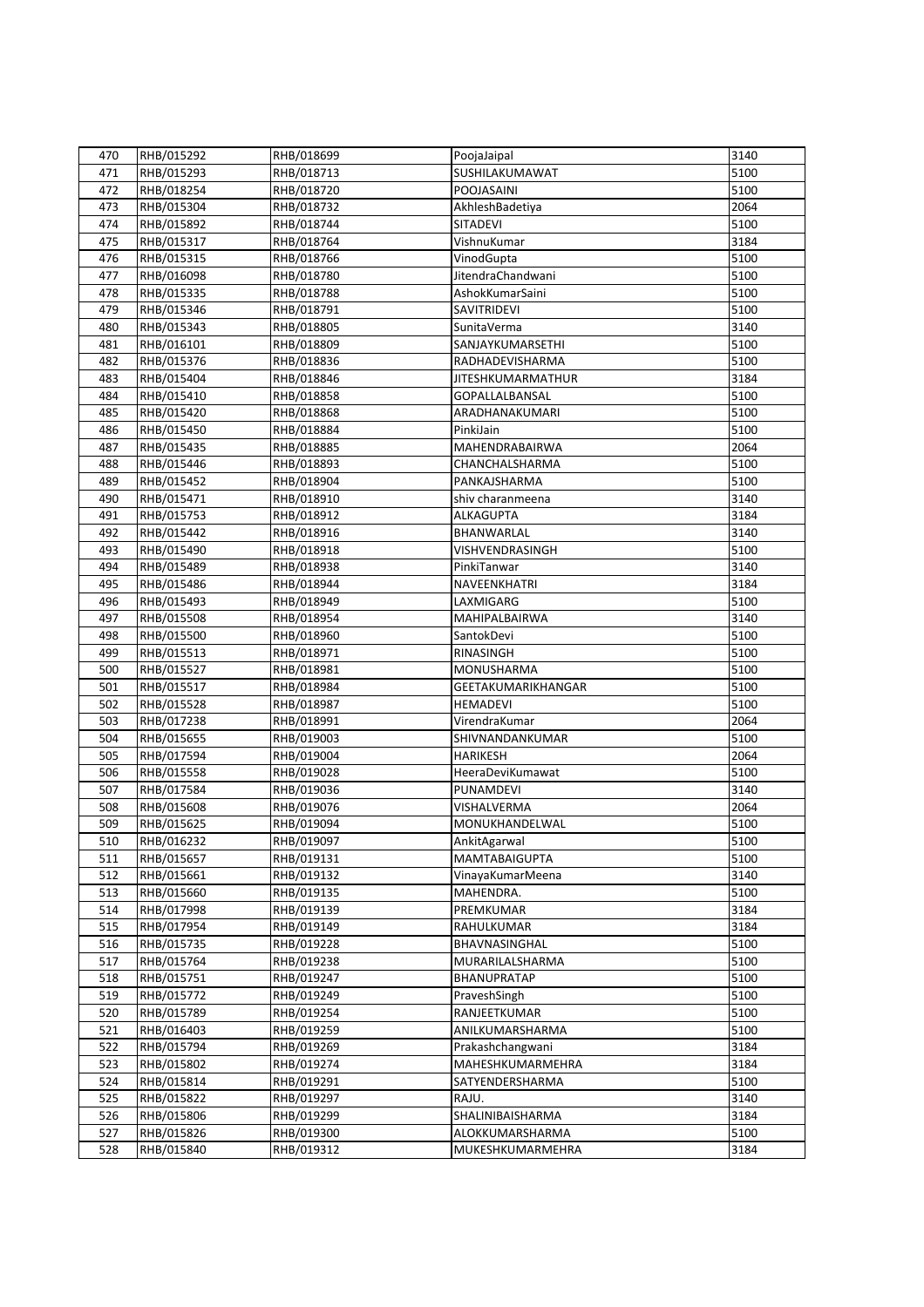| 470 | RHB/015292               | RHB/018699 | PoojaJaipal              | 3140 |
|-----|--------------------------|------------|--------------------------|------|
| 471 | RHB/015293               | RHB/018713 | SUSHILAKUMAWAT           | 5100 |
| 472 | RHB/018254               | RHB/018720 | POOJASAINI               | 5100 |
| 473 | RHB/015304               | RHB/018732 | AkhleshBadetiya          | 2064 |
| 474 | RHB/015892               | RHB/018744 | SITADEVI                 | 5100 |
| 475 | RHB/015317               | RHB/018764 | VishnuKumar              | 3184 |
| 476 | RHB/015315               | RHB/018766 | VinodGupta               | 5100 |
| 477 | RHB/016098               | RHB/018780 | JitendraChandwani        | 5100 |
| 478 | RHB/015335               | RHB/018788 | AshokKumarSaini          | 5100 |
| 479 | RHB/015346               | RHB/018791 | SAVITRIDEVI              | 5100 |
| 480 | RHB/015343               | RHB/018805 | SunitaVerma              | 3140 |
| 481 | RHB/016101               | RHB/018809 | SANJAYKUMARSETHI         | 5100 |
| 482 | RHB/015376               | RHB/018836 | RADHADEVISHARMA          | 5100 |
| 483 | RHB/015404               | RHB/018846 | <b>JITESHKUMARMATHUR</b> | 3184 |
| 484 | RHB/015410               | RHB/018858 | GOPALLALBANSAL           | 5100 |
| 485 | RHB/015420               | RHB/018868 | ARADHANAKUMARI           | 5100 |
| 486 | RHB/015450               | RHB/018884 | PinkiJain                | 5100 |
| 487 | RHB/015435               | RHB/018885 | MAHENDRABAIRWA           | 2064 |
| 488 |                          | RHB/018893 | CHANCHALSHARMA           | 5100 |
| 489 | RHB/015446<br>RHB/015452 | RHB/018904 | PANKAJSHARMA             | 5100 |
| 490 | RHB/015471               |            | shiv charanmeena         | 3140 |
|     |                          | RHB/018910 |                          |      |
| 491 | RHB/015753               | RHB/018912 | <b>ALKAGUPTA</b>         | 3184 |
| 492 | RHB/015442               | RHB/018916 | BHANWARLAL               | 3140 |
| 493 | RHB/015490               | RHB/018918 | VISHVENDRASINGH          | 5100 |
| 494 | RHB/015489               | RHB/018938 | PinkiTanwar              | 3140 |
| 495 | RHB/015486               | RHB/018944 | NAVEENKHATRI             | 3184 |
| 496 | RHB/015493               | RHB/018949 | LAXMIGARG                | 5100 |
| 497 | RHB/015508               | RHB/018954 | MAHIPALBAIRWA            | 3140 |
| 498 | RHB/015500               | RHB/018960 | SantokDevi               | 5100 |
| 499 | RHB/015513               | RHB/018971 | RINASINGH                | 5100 |
| 500 | RHB/015527               | RHB/018981 | MONUSHARMA               | 5100 |
| 501 | RHB/015517               | RHB/018984 | GEETAKUMARIKHANGAR       | 5100 |
| 502 | RHB/015528               | RHB/018987 | <b>HEMADEVI</b>          | 5100 |
| 503 | RHB/017238               | RHB/018991 | VirendraKumar            | 2064 |
| 504 | RHB/015655               | RHB/019003 | SHIVNANDANKUMAR          | 5100 |
| 505 | RHB/017594               | RHB/019004 | <b>HARIKESH</b>          | 2064 |
| 506 | RHB/015558               | RHB/019028 | HeeraDeviKumawat         | 5100 |
| 507 | RHB/017584               | RHB/019036 | PUNAMDEVI                | 3140 |
| 508 | RHB/015608               | RHB/019076 | VISHALVERMA              | 2064 |
| 509 | RHB/015625               | RHB/019094 | MONUKHANDELWAL           | 5100 |
| 510 | RHB/016232               | RHB/019097 | AnkitAgarwal             | 5100 |
| 511 | RHB/015657               | RHB/019131 | <b>MAMTABAIGUPTA</b>     | 5100 |
| 512 | RHB/015661               | RHB/019132 | VinayaKumarMeena         | 3140 |
| 513 | RHB/015660               | RHB/019135 | MAHENDRA.                | 5100 |
| 514 | RHB/017998               | RHB/019139 | PREMKUMAR                | 3184 |
| 515 | RHB/017954               | RHB/019149 | RAHULKUMAR               | 3184 |
| 516 | RHB/015735               | RHB/019228 | BHAVNASINGHAL            | 5100 |
| 517 | RHB/015764               | RHB/019238 | MURARILALSHARMA          | 5100 |
| 518 | RHB/015751               | RHB/019247 | BHANUPRATAP              | 5100 |
| 519 | RHB/015772               | RHB/019249 | PraveshSingh             | 5100 |
| 520 | RHB/015789               | RHB/019254 | RANJEETKUMAR             | 5100 |
| 521 | RHB/016403               | RHB/019259 | ANILKUMARSHARMA          | 5100 |
| 522 | RHB/015794               | RHB/019269 | Prakashchangwani         | 3184 |
| 523 | RHB/015802               | RHB/019274 | MAHESHKUMARMEHRA         | 3184 |
| 524 | RHB/015814               | RHB/019291 | SATYENDERSHARMA          | 5100 |
| 525 | RHB/015822               | RHB/019297 | RAJU.                    | 3140 |
| 526 | RHB/015806               | RHB/019299 | SHALINIBAISHARMA         | 3184 |
| 527 | RHB/015826               | RHB/019300 | ALOKKUMARSHARMA          | 5100 |
| 528 | RHB/015840               | RHB/019312 | MUKESHKUMARMEHRA         | 3184 |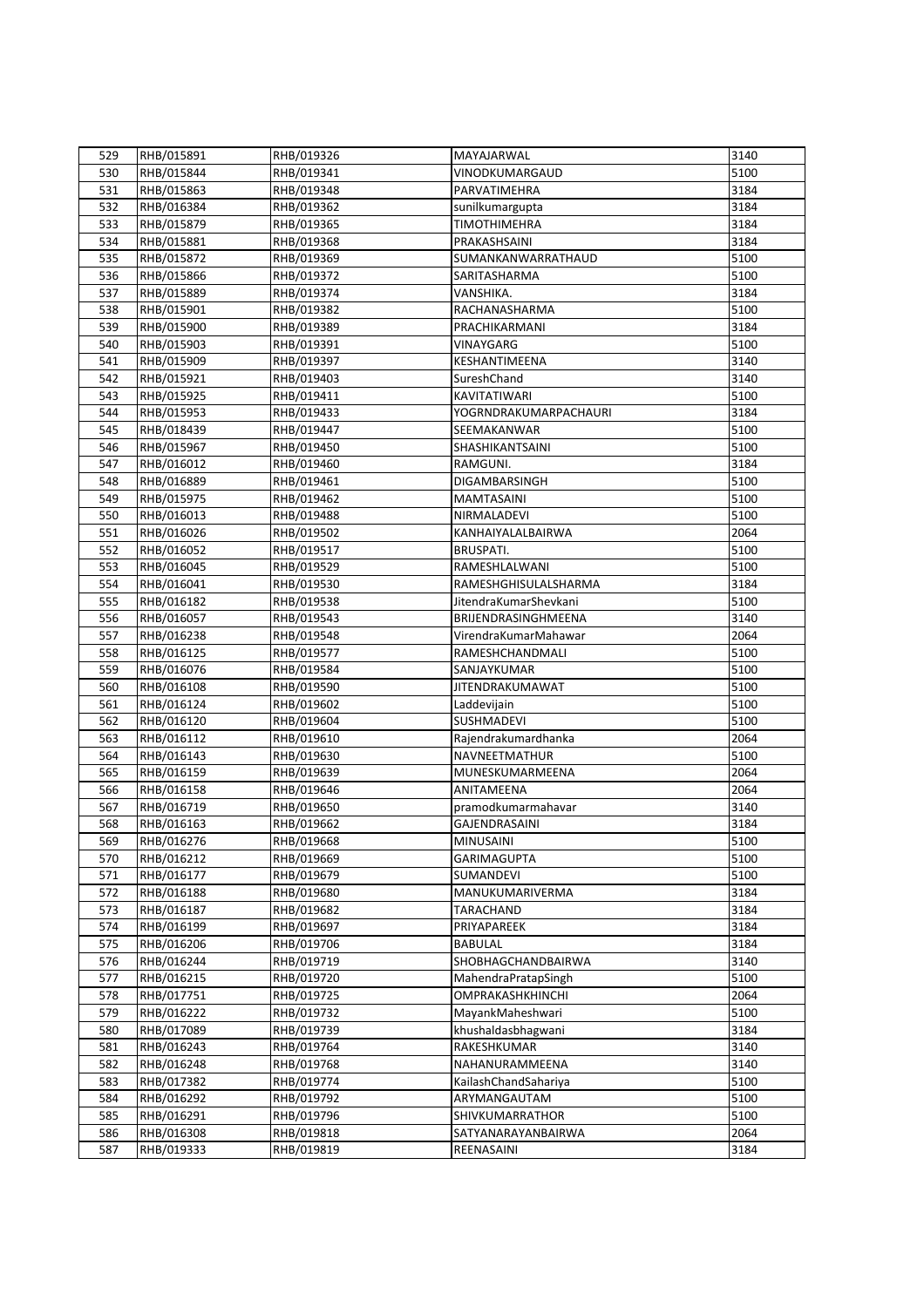| 529 | RHB/015891               | RHB/019326 | MAYAJARWAL                   | 3140 |
|-----|--------------------------|------------|------------------------------|------|
| 530 | RHB/015844               | RHB/019341 | VINODKUMARGAUD               | 5100 |
| 531 | RHB/015863               | RHB/019348 | PARVATIMEHRA                 | 3184 |
| 532 | RHB/016384               | RHB/019362 | sunilkumargupta              | 3184 |
| 533 | RHB/015879               | RHB/019365 | <b>TIMOTHIMEHRA</b>          | 3184 |
| 534 | RHB/015881               | RHB/019368 | PRAKASHSAINI                 | 3184 |
| 535 | RHB/015872               | RHB/019369 | SUMANKANWARRATHAUD           | 5100 |
| 536 | RHB/015866               | RHB/019372 | SARITASHARMA                 | 5100 |
| 537 | RHB/015889               | RHB/019374 | VANSHIKA.                    | 3184 |
| 538 | RHB/015901               | RHB/019382 | RACHANASHARMA                | 5100 |
| 539 | RHB/015900               | RHB/019389 | PRACHIKARMANI                | 3184 |
| 540 | RHB/015903               | RHB/019391 | VINAYGARG                    | 5100 |
| 541 | RHB/015909               | RHB/019397 | KESHANTIMEENA                | 3140 |
| 542 | RHB/015921               | RHB/019403 | SureshChand                  | 3140 |
| 543 | RHB/015925               | RHB/019411 | KAVITATIWARI                 | 5100 |
| 544 | RHB/015953               | RHB/019433 | <b>YOGRNDRAKUMARPACHAURI</b> | 3184 |
| 545 | RHB/018439               | RHB/019447 | SEEMAKANWAR                  | 5100 |
| 546 | RHB/015967               | RHB/019450 | SHASHIKANTSAINI              | 5100 |
| 547 |                          | RHB/019460 | RAMGUNI.                     | 3184 |
| 548 | RHB/016012<br>RHB/016889 | RHB/019461 | DIGAMBARSINGH                | 5100 |
| 549 |                          |            | <b>MAMTASAINI</b>            | 5100 |
|     | RHB/015975               | RHB/019462 |                              |      |
| 550 | RHB/016013               | RHB/019488 | NIRMALADEVI                  | 5100 |
| 551 | RHB/016026               | RHB/019502 | KANHAIYALALBAIRWA            | 2064 |
| 552 | RHB/016052               | RHB/019517 | BRUSPATI.                    | 5100 |
| 553 | RHB/016045               | RHB/019529 | RAMESHLALWANI                | 5100 |
| 554 | RHB/016041               | RHB/019530 | RAMESHGHISULALSHARMA         | 3184 |
| 555 | RHB/016182               | RHB/019538 | JitendraKumarShevkani        | 5100 |
| 556 | RHB/016057               | RHB/019543 | BRIJENDRASINGHMEENA          | 3140 |
| 557 | RHB/016238               | RHB/019548 | VirendraKumarMahawar         | 2064 |
| 558 | RHB/016125               | RHB/019577 | RAMESHCHANDMALI              | 5100 |
| 559 | RHB/016076               | RHB/019584 | SANJAYKUMAR                  | 5100 |
| 560 | RHB/016108               | RHB/019590 | <b>JITENDRAKUMAWAT</b>       | 5100 |
| 561 | RHB/016124               | RHB/019602 | Laddevijain                  | 5100 |
| 562 | RHB/016120               | RHB/019604 | SUSHMADEVI                   | 5100 |
| 563 | RHB/016112               | RHB/019610 | Rajendrakumardhanka          | 2064 |
| 564 | RHB/016143               | RHB/019630 | NAVNEETMATHUR                | 5100 |
| 565 | RHB/016159               | RHB/019639 | MUNESKUMARMEENA              | 2064 |
| 566 | RHB/016158               | RHB/019646 | ANITAMEENA                   | 2064 |
| 567 | RHB/016719               | RHB/019650 | pramodkumarmahavar           | 3140 |
| 568 | RHB/016163               | RHB/019662 | GAJENDRASAINI                | 3184 |
| 569 | RHB/016276               | RHB/019668 | <b>MINUSAINI</b>             | 5100 |
| 570 | RHB/016212               | RHB/019669 | <b>GARIMAGUPTA</b>           | 5100 |
| 571 | RHB/016177               | RHB/019679 | SUMANDEVI                    | 5100 |
| 572 | RHB/016188               | RHB/019680 | MANUKUMARIVERMA              | 3184 |
| 573 | RHB/016187               | RHB/019682 | TARACHAND                    | 3184 |
| 574 | RHB/016199               | RHB/019697 | PRIYAPAREEK                  | 3184 |
| 575 | RHB/016206               | RHB/019706 | <b>BABULAL</b>               | 3184 |
| 576 | RHB/016244               | RHB/019719 | SHOBHAGCHANDBAIRWA           | 3140 |
| 577 | RHB/016215               | RHB/019720 | MahendraPratapSingh          | 5100 |
| 578 | RHB/017751               | RHB/019725 | <b>OMPRAKASHKHINCHI</b>      | 2064 |
| 579 | RHB/016222               | RHB/019732 | MayankMaheshwari             | 5100 |
| 580 | RHB/017089               | RHB/019739 | khushaldasbhagwani           | 3184 |
| 581 | RHB/016243               | RHB/019764 | RAKESHKUMAR                  | 3140 |
| 582 | RHB/016248               | RHB/019768 | NAHANURAMMEENA               | 3140 |
| 583 | RHB/017382               | RHB/019774 | KailashChandSahariya         | 5100 |
| 584 | RHB/016292               | RHB/019792 | ARYMANGAUTAM                 | 5100 |
| 585 | RHB/016291               | RHB/019796 | SHIVKUMARRATHOR              | 5100 |
| 586 | RHB/016308               | RHB/019818 | SATYANARAYANBAIRWA           | 2064 |
| 587 | RHB/019333               | RHB/019819 | REENASAINI                   | 3184 |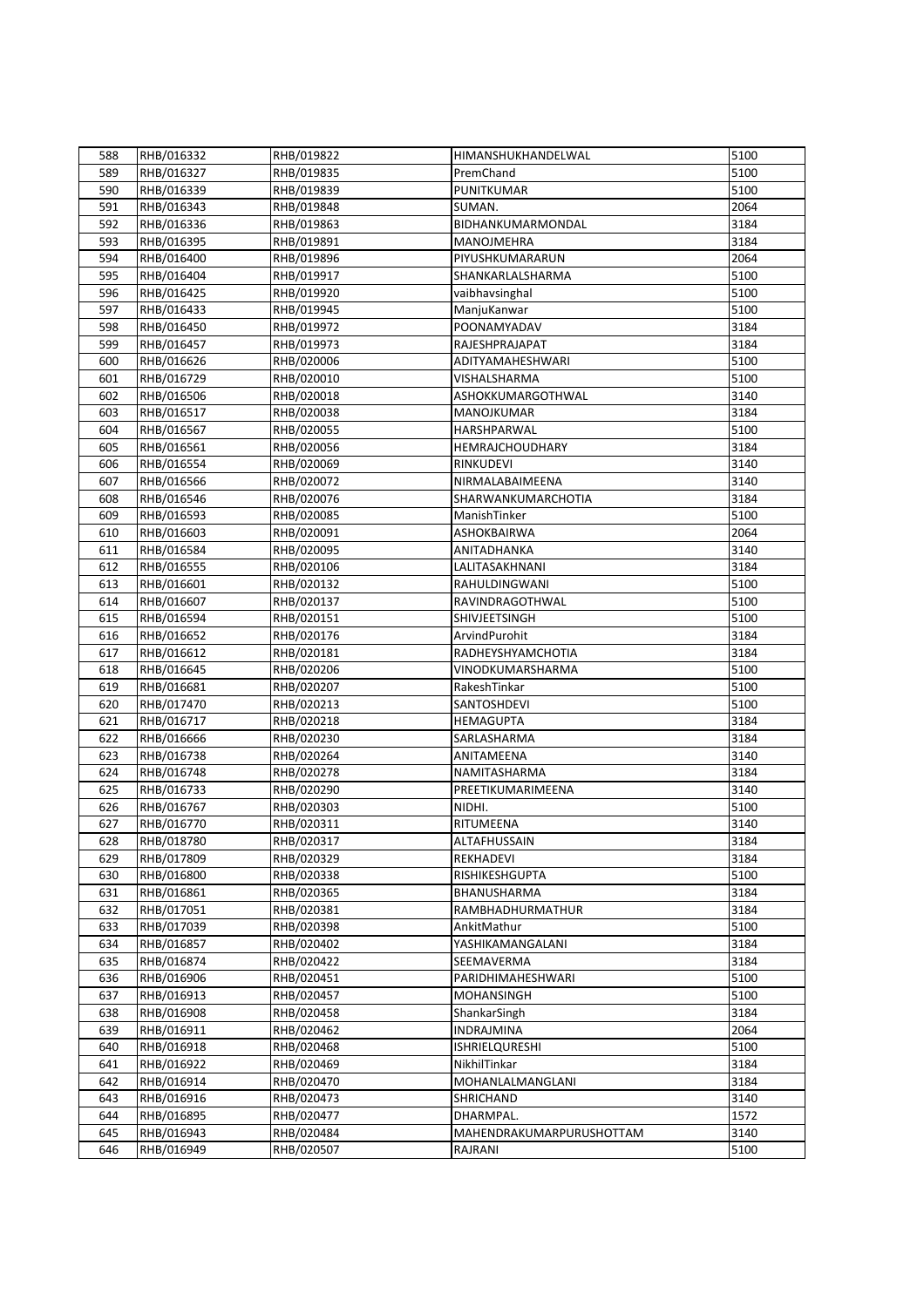| 588 | RHB/016332 | RHB/019822 | HIMANSHUKHANDELWAL       | 5100 |
|-----|------------|------------|--------------------------|------|
| 589 | RHB/016327 | RHB/019835 | PremChand                | 5100 |
| 590 | RHB/016339 | RHB/019839 | PUNITKUMAR               | 5100 |
| 591 | RHB/016343 | RHB/019848 | SUMAN.                   | 2064 |
| 592 | RHB/016336 | RHB/019863 | BIDHANKUMARMONDAL        | 3184 |
| 593 | RHB/016395 | RHB/019891 | MANOJMEHRA               | 3184 |
| 594 | RHB/016400 | RHB/019896 | PIYUSHKUMARARUN          | 2064 |
| 595 | RHB/016404 | RHB/019917 | SHANKARLALSHARMA         | 5100 |
| 596 | RHB/016425 | RHB/019920 | vaibhavsinghal           | 5100 |
| 597 | RHB/016433 | RHB/019945 | ManjuKanwar              | 5100 |
| 598 | RHB/016450 | RHB/019972 | POONAMYADAV              | 3184 |
| 599 | RHB/016457 | RHB/019973 | RAJESHPRAJAPAT           | 3184 |
| 600 | RHB/016626 | RHB/020006 | ADITYAMAHESHWARI         | 5100 |
|     |            | RHB/020010 | VISHALSHARMA             | 5100 |
| 601 | RHB/016729 |            |                          |      |
| 602 | RHB/016506 | RHB/020018 | ASHOKKUMARGOTHWAL        | 3140 |
| 603 | RHB/016517 | RHB/020038 | MANOJKUMAR               | 3184 |
| 604 | RHB/016567 | RHB/020055 | HARSHPARWAL              | 5100 |
| 605 | RHB/016561 | RHB/020056 | <b>HEMRAJCHOUDHARY</b>   | 3184 |
| 606 | RHB/016554 | RHB/020069 | RINKUDEVI                | 3140 |
| 607 | RHB/016566 | RHB/020072 | NIRMALABAIMEENA          | 3140 |
| 608 | RHB/016546 | RHB/020076 | SHARWANKUMARCHOTIA       | 3184 |
| 609 | RHB/016593 | RHB/020085 | ManishTinker             | 5100 |
| 610 | RHB/016603 | RHB/020091 | ASHOKBAIRWA              | 2064 |
| 611 | RHB/016584 | RHB/020095 | ANITADHANKA              | 3140 |
| 612 | RHB/016555 | RHB/020106 | LALITASAKHNANI           | 3184 |
| 613 | RHB/016601 | RHB/020132 | RAHULDINGWANI            | 5100 |
| 614 | RHB/016607 | RHB/020137 | RAVINDRAGOTHWAL          | 5100 |
| 615 | RHB/016594 | RHB/020151 | SHIVJEETSINGH            | 5100 |
| 616 | RHB/016652 | RHB/020176 | ArvindPurohit            | 3184 |
| 617 | RHB/016612 | RHB/020181 | RADHEYSHYAMCHOTIA        | 3184 |
| 618 | RHB/016645 | RHB/020206 | VINODKUMARSHARMA         | 5100 |
| 619 | RHB/016681 | RHB/020207 | RakeshTinkar             | 5100 |
| 620 | RHB/017470 | RHB/020213 | SANTOSHDEVI              | 5100 |
| 621 | RHB/016717 | RHB/020218 | <b>HEMAGUPTA</b>         | 3184 |
| 622 | RHB/016666 | RHB/020230 | SARLASHARMA              | 3184 |
| 623 | RHB/016738 | RHB/020264 | ANITAMEENA               | 3140 |
| 624 | RHB/016748 | RHB/020278 | NAMITASHARMA             | 3184 |
| 625 | RHB/016733 | RHB/020290 | PREETIKUMARIMEENA        | 3140 |
| 626 | RHB/016767 | RHB/020303 | NIDHI.                   | 5100 |
| 627 | RHB/016770 | RHB/020311 | RITUMEENA                | 3140 |
| 628 | RHB/018780 | RHB/020317 | ALTAFHUSSAIN             | 3184 |
| 629 | RHB/017809 | RHB/020329 | REKHADEVI                | 3184 |
| 630 | RHB/016800 | RHB/020338 | RISHIKESHGUPTA           | 5100 |
| 631 | RHB/016861 | RHB/020365 | BHANUSHARMA              | 3184 |
| 632 | RHB/017051 | RHB/020381 | RAMBHADHURMATHUR         | 3184 |
| 633 | RHB/017039 | RHB/020398 | AnkitMathur              | 5100 |
| 634 | RHB/016857 | RHB/020402 | YASHIKAMANGALANI         | 3184 |
| 635 | RHB/016874 | RHB/020422 | SEEMAVERMA               | 3184 |
| 636 | RHB/016906 | RHB/020451 | PARIDHIMAHESHWARI        | 5100 |
| 637 | RHB/016913 | RHB/020457 | <b>MOHANSINGH</b>        | 5100 |
| 638 | RHB/016908 | RHB/020458 | ShankarSingh             | 3184 |
| 639 | RHB/016911 | RHB/020462 | <b>INDRAJMINA</b>        | 2064 |
| 640 | RHB/016918 | RHB/020468 | <b>ISHRIELQURESHI</b>    | 5100 |
| 641 | RHB/016922 | RHB/020469 | NikhilTinkar             | 3184 |
| 642 | RHB/016914 | RHB/020470 | MOHANLALMANGLANI         | 3184 |
| 643 | RHB/016916 | RHB/020473 | SHRICHAND                | 3140 |
| 644 | RHB/016895 | RHB/020477 | DHARMPAL.                | 1572 |
| 645 | RHB/016943 | RHB/020484 | MAHENDRAKUMARPURUSHOTTAM | 3140 |
|     |            |            |                          |      |
| 646 | RHB/016949 | RHB/020507 | RAJRANI                  | 5100 |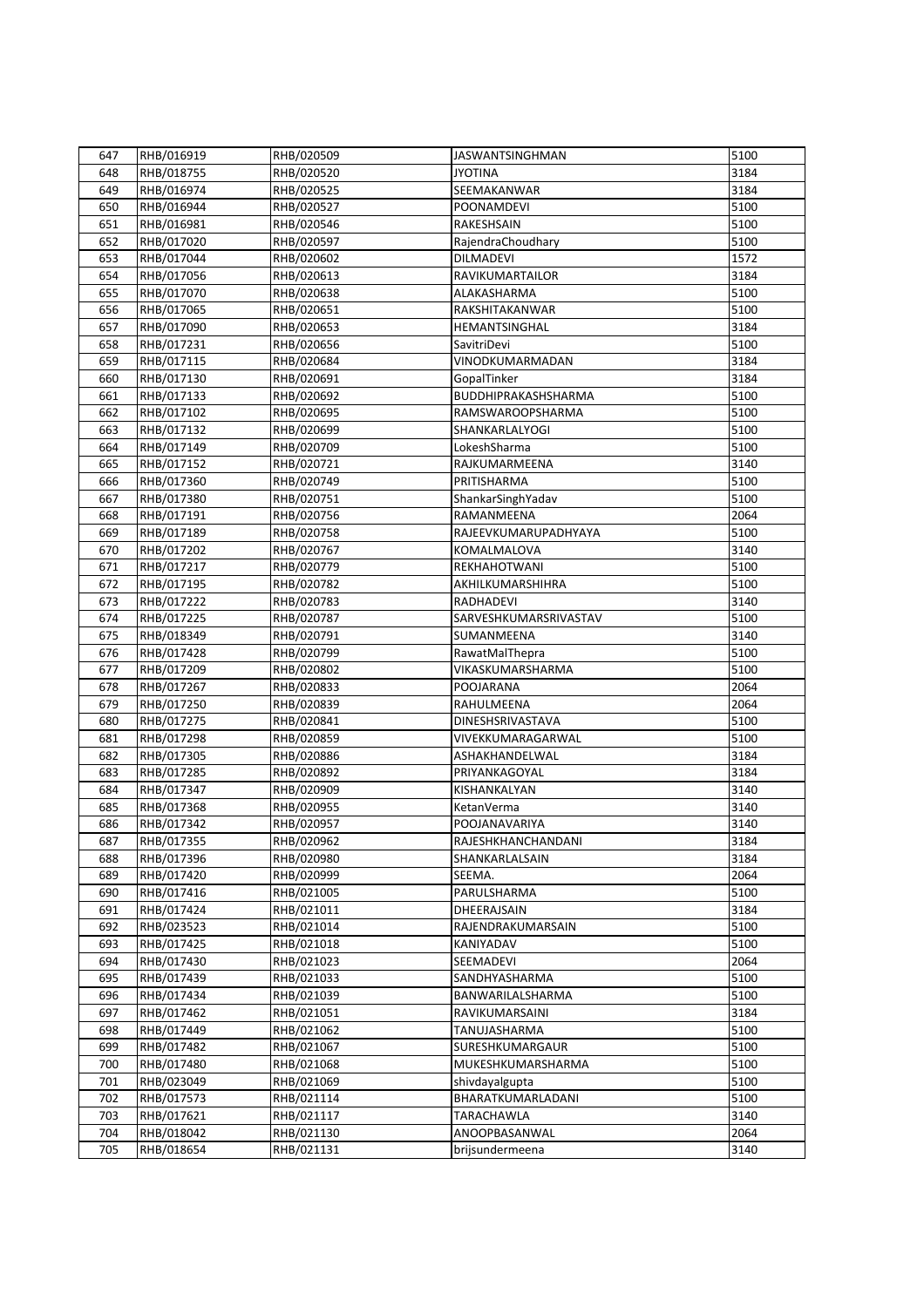| 647 | RHB/016919 | RHB/020509 | <b>JASWANTSINGHMAN</b>          | 5100 |
|-----|------------|------------|---------------------------------|------|
| 648 | RHB/018755 | RHB/020520 | <b>JYOTINA</b>                  | 3184 |
| 649 | RHB/016974 | RHB/020525 | SEEMAKANWAR                     | 3184 |
| 650 | RHB/016944 | RHB/020527 | POONAMDEVI                      | 5100 |
| 651 | RHB/016981 | RHB/020546 | RAKESHSAIN                      | 5100 |
| 652 | RHB/017020 | RHB/020597 | RajendraChoudhary               | 5100 |
| 653 | RHB/017044 | RHB/020602 | <b>DILMADEVI</b>                | 1572 |
| 654 | RHB/017056 | RHB/020613 | RAVIKUMARTAILOR                 | 3184 |
| 655 | RHB/017070 | RHB/020638 | ALAKASHARMA                     | 5100 |
| 656 | RHB/017065 | RHB/020651 | RAKSHITAKANWAR                  | 5100 |
| 657 | RHB/017090 | RHB/020653 | HEMANTSINGHAL                   | 3184 |
| 658 | RHB/017231 | RHB/020656 | SavitriDevi                     | 5100 |
| 659 | RHB/017115 | RHB/020684 | VINODKUMARMADAN                 | 3184 |
| 660 | RHB/017130 | RHB/020691 | GopalTinker                     | 3184 |
| 661 | RHB/017133 | RHB/020692 | BUDDHIPRAKASHSHARMA             | 5100 |
| 662 | RHB/017102 | RHB/020695 | RAMSWAROOPSHARMA                | 5100 |
| 663 | RHB/017132 | RHB/020699 | SHANKARLALYOGI                  | 5100 |
| 664 | RHB/017149 | RHB/020709 | LokeshSharma                    | 5100 |
| 665 | RHB/017152 | RHB/020721 | RAJKUMARMEENA                   | 3140 |
| 666 | RHB/017360 | RHB/020749 | PRITISHARMA                     | 5100 |
| 667 | RHB/017380 | RHB/020751 |                                 | 5100 |
| 668 | RHB/017191 | RHB/020756 | ShankarSinghYadav<br>RAMANMEENA | 2064 |
| 669 |            |            | RAJEEVKUMARUPADHYAYA            | 5100 |
| 670 | RHB/017189 | RHB/020758 | KOMALMALOVA                     | 3140 |
|     | RHB/017202 | RHB/020767 |                                 | 5100 |
| 671 | RHB/017217 | RHB/020779 | REKHAHOTWANI                    |      |
| 672 | RHB/017195 | RHB/020782 | AKHILKUMARSHIHRA                | 5100 |
| 673 | RHB/017222 | RHB/020783 | RADHADEVI                       | 3140 |
| 674 | RHB/017225 | RHB/020787 | SARVESHKUMARSRIVASTAV           | 5100 |
| 675 | RHB/018349 | RHB/020791 | SUMANMEENA                      | 3140 |
| 676 | RHB/017428 | RHB/020799 | RawatMalThepra                  | 5100 |
| 677 | RHB/017209 | RHB/020802 | VIKASKUMARSHARMA                | 5100 |
| 678 | RHB/017267 | RHB/020833 | POOJARANA                       | 2064 |
| 679 | RHB/017250 | RHB/020839 | RAHULMEENA                      | 2064 |
| 680 | RHB/017275 | RHB/020841 | DINESHSRIVASTAVA                | 5100 |
| 681 | RHB/017298 | RHB/020859 | VIVEKKUMARAGARWAL               | 5100 |
| 682 | RHB/017305 | RHB/020886 | ASHAKHANDELWAL                  | 3184 |
| 683 | RHB/017285 | RHB/020892 | PRIYANKAGOYAL                   | 3184 |
| 684 | RHB/017347 | RHB/020909 | KISHANKALYAN                    | 3140 |
| 685 | RHB/017368 | RHB/020955 | KetanVerma                      | 3140 |
| 686 | RHB/017342 | RHB/020957 | POOJANAVARIYA                   | 3140 |
| 687 | RHB/017355 | RHB/020962 | RAJESHKHANCHANDANI              | 3184 |
| 688 | RHB/017396 | RHB/020980 | SHANKARLALSAIN                  | 3184 |
| 689 | RHB/017420 | RHB/020999 | SEEMA.                          | 2064 |
| 690 | RHB/017416 | RHB/021005 | PARULSHARMA                     | 5100 |
| 691 | RHB/017424 | RHB/021011 | DHEERAJSAIN                     | 3184 |
| 692 | RHB/023523 | RHB/021014 | RAJENDRAKUMARSAIN               | 5100 |
| 693 | RHB/017425 | RHB/021018 | KANIYADAV                       | 5100 |
| 694 | RHB/017430 | RHB/021023 | SEEMADEVI                       | 2064 |
| 695 | RHB/017439 | RHB/021033 | SANDHYASHARMA                   | 5100 |
| 696 | RHB/017434 | RHB/021039 | BANWARILALSHARMA                | 5100 |
| 697 | RHB/017462 | RHB/021051 | RAVIKUMARSAINI                  | 3184 |
| 698 | RHB/017449 | RHB/021062 | TANUJASHARMA                    | 5100 |
| 699 | RHB/017482 | RHB/021067 | SURESHKUMARGAUR                 | 5100 |
| 700 | RHB/017480 | RHB/021068 | MUKESHKUMARSHARMA               | 5100 |
| 701 | RHB/023049 | RHB/021069 | shivdayalgupta                  | 5100 |
| 702 | RHB/017573 | RHB/021114 | BHARATKUMARLADANI               | 5100 |
| 703 | RHB/017621 | RHB/021117 | <b>TARACHAWLA</b>               | 3140 |
| 704 | RHB/018042 | RHB/021130 | ANOOPBASANWAL                   | 2064 |
| 705 | RHB/018654 | RHB/021131 | brijsundermeena                 | 3140 |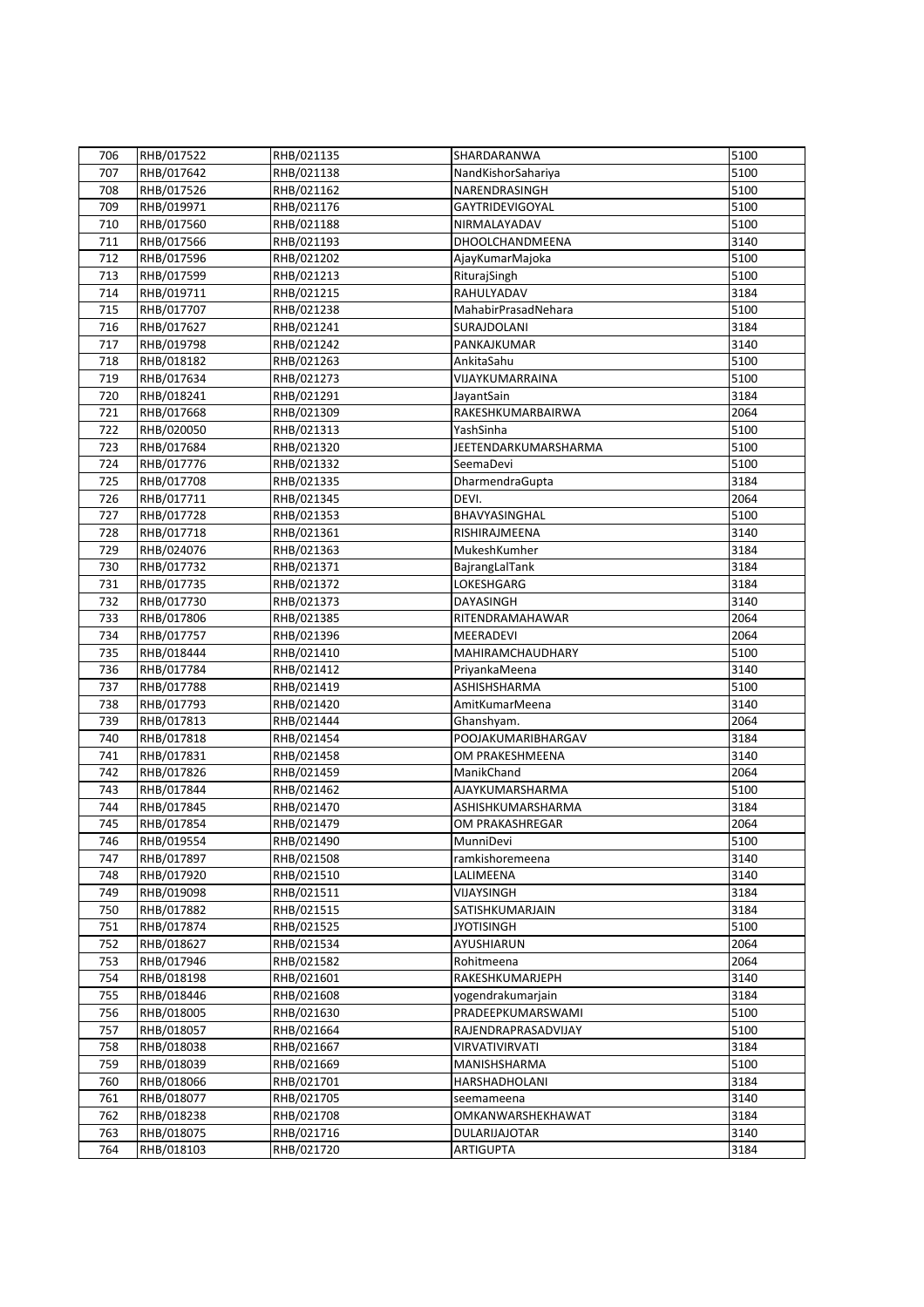| 706 | RHB/017522               | RHB/021135               | SHARDARANWA          | 5100 |
|-----|--------------------------|--------------------------|----------------------|------|
| 707 | RHB/017642               | RHB/021138               | NandKishorSahariya   | 5100 |
| 708 | RHB/017526               | RHB/021162               | NARENDRASINGH        | 5100 |
| 709 | RHB/019971               | RHB/021176               | GAYTRIDEVIGOYAL      | 5100 |
| 710 | RHB/017560               | RHB/021188               | NIRMALAYADAV         | 5100 |
| 711 | RHB/017566               | RHB/021193               | DHOOLCHANDMEENA      | 3140 |
| 712 | RHB/017596               | RHB/021202               | AjayKumarMajoka      | 5100 |
| 713 | RHB/017599               | RHB/021213               | RiturajSingh         | 5100 |
| 714 | RHB/019711               | RHB/021215               | RAHULYADAV           | 3184 |
| 715 | RHB/017707               | RHB/021238               | MahabirPrasadNehara  | 5100 |
| 716 | RHB/017627               | RHB/021241               | SURAJDOLANI          | 3184 |
| 717 | RHB/019798               | RHB/021242               | PANKAJKUMAR          | 3140 |
| 718 | RHB/018182               | RHB/021263               | AnkitaSahu           | 5100 |
| 719 | RHB/017634               | RHB/021273               | VIJAYKUMARRAINA      | 5100 |
| 720 | RHB/018241               | RHB/021291               | JayantSain           | 3184 |
| 721 | RHB/017668               | RHB/021309               | RAKESHKUMARBAIRWA    | 2064 |
| 722 | RHB/020050               | RHB/021313               | YashSinha            | 5100 |
| 723 | RHB/017684               | RHB/021320               | JEETENDARKUMARSHARMA | 5100 |
| 724 |                          |                          | SeemaDevi            | 5100 |
| 725 | RHB/017776<br>RHB/017708 | RHB/021332<br>RHB/021335 | DharmendraGupta      | 3184 |
|     | RHB/017711               | RHB/021345               | DEVI.                | 2064 |
| 726 |                          |                          |                      | 5100 |
| 727 | RHB/017728               | RHB/021353               | BHAVYASINGHAL        |      |
| 728 | RHB/017718               | RHB/021361               | RISHIRAJMEENA        | 3140 |
| 729 | RHB/024076               | RHB/021363               | MukeshKumher         | 3184 |
| 730 | RHB/017732               | RHB/021371               | BajrangLalTank       | 3184 |
| 731 | RHB/017735               | RHB/021372               | LOKESHGARG           | 3184 |
| 732 | RHB/017730               | RHB/021373               | <b>DAYASINGH</b>     | 3140 |
| 733 | RHB/017806               | RHB/021385               | RITENDRAMAHAWAR      | 2064 |
| 734 | RHB/017757               | RHB/021396               | MEERADEVI            | 2064 |
| 735 | RHB/018444               | RHB/021410               | MAHIRAMCHAUDHARY     | 5100 |
| 736 | RHB/017784               | RHB/021412               | PriyankaMeena        | 3140 |
| 737 | RHB/017788               | RHB/021419               | ASHISHSHARMA         | 5100 |
| 738 | RHB/017793               | RHB/021420               | AmitKumarMeena       | 3140 |
| 739 | RHB/017813               | RHB/021444               | Ghanshyam.           | 2064 |
| 740 | RHB/017818               | RHB/021454               | POOJAKUMARIBHARGAV   | 3184 |
| 741 | RHB/017831               | RHB/021458               | OM PRAKESHMEENA      | 3140 |
| 742 | RHB/017826               | RHB/021459               | ManikChand           | 2064 |
| 743 | RHB/017844               | RHB/021462               | AJAYKUMARSHARMA      | 5100 |
| 744 | RHB/017845               | RHB/021470               | ASHISHKUMARSHARMA    | 3184 |
| 745 | RHB/017854               | RHB/021479               | OM PRAKASHREGAR      | 2064 |
| 746 | RHB/019554               | RHB/021490               | MunniDevi            | 5100 |
| 747 | RHB/017897               | RHB/021508               | ramkishoremeena      | 3140 |
| 748 | RHB/017920               | RHB/021510               | LALIMEENA            | 3140 |
| 749 | RHB/019098               | RHB/021511               | VIJAYSINGH           | 3184 |
| 750 | RHB/017882               | RHB/021515               | SATISHKUMARJAIN      | 3184 |
| 751 | RHB/017874               | RHB/021525               | <b>JYOTISINGH</b>    | 5100 |
| 752 | RHB/018627               | RHB/021534               | AYUSHIARUN           | 2064 |
| 753 | RHB/017946               | RHB/021582               | Rohitmeena           | 2064 |
| 754 | RHB/018198               | RHB/021601               | RAKESHKUMARJEPH      | 3140 |
| 755 | RHB/018446               | RHB/021608               | yogendrakumarjain    | 3184 |
| 756 | RHB/018005               | RHB/021630               | PRADEEPKUMARSWAMI    | 5100 |
| 757 | RHB/018057               | RHB/021664               | RAJENDRAPRASADVIJAY  | 5100 |
| 758 | RHB/018038               | RHB/021667               | VIRVATIVIRVATI       | 3184 |
| 759 | RHB/018039               | RHB/021669               | MANISHSHARMA         | 5100 |
| 760 | RHB/018066               | RHB/021701               | HARSHADHOLANI        | 3184 |
| 761 | RHB/018077               | RHB/021705               | seemameena           | 3140 |
| 762 | RHB/018238               | RHB/021708               | OMKANWARSHEKHAWAT    | 3184 |
| 763 | RHB/018075               | RHB/021716               | <b>DULARIJAJOTAR</b> | 3140 |
| 764 | RHB/018103               | RHB/021720               | <b>ARTIGUPTA</b>     | 3184 |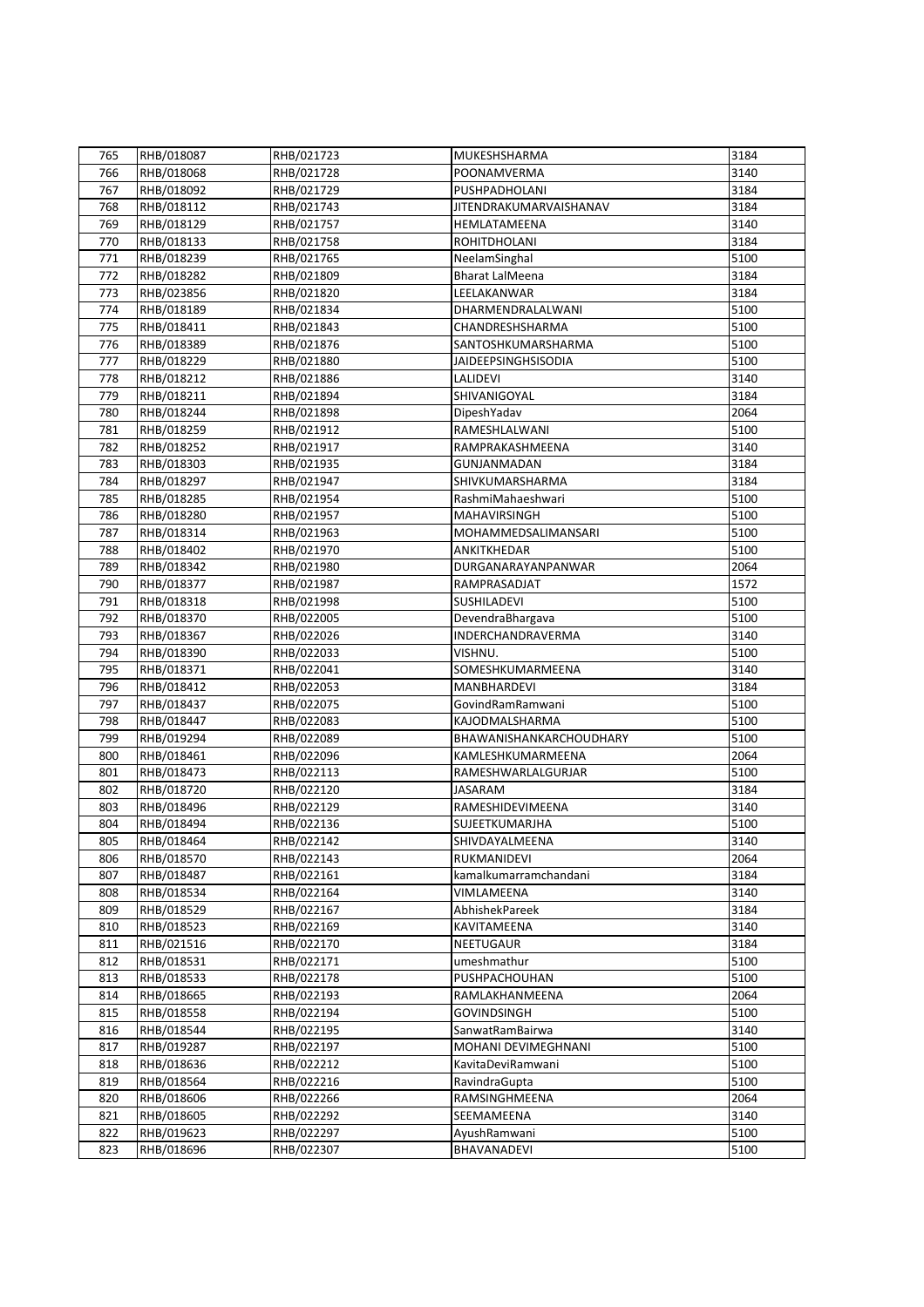| 765 | RHB/018087               | RHB/021723               | MUKESHSHARMA               | 3184 |
|-----|--------------------------|--------------------------|----------------------------|------|
| 766 | RHB/018068               | RHB/021728               | POONAMVERMA                | 3140 |
| 767 | RHB/018092               | RHB/021729               | PUSHPADHOLANI              | 3184 |
| 768 | RHB/018112               | RHB/021743               | JITENDRAKUMARVAISHANAV     | 3184 |
| 769 | RHB/018129               | RHB/021757               | HEMLATAMEENA               | 3140 |
| 770 | RHB/018133               | RHB/021758               | <b>ROHITDHOLANI</b>        | 3184 |
| 771 | RHB/018239               | RHB/021765               | NeelamSinghal              | 5100 |
| 772 | RHB/018282               | RHB/021809               | <b>Bharat LalMeena</b>     | 3184 |
| 773 | RHB/023856               | RHB/021820               | LEELAKANWAR                | 3184 |
| 774 | RHB/018189               | RHB/021834               | DHARMENDRALALWANI          | 5100 |
| 775 | RHB/018411               | RHB/021843               | CHANDRESHSHARMA            | 5100 |
| 776 | RHB/018389               | RHB/021876               | SANTOSHKUMARSHARMA         | 5100 |
| 777 | RHB/018229               | RHB/021880               | <b>JAIDEEPSINGHSISODIA</b> | 5100 |
| 778 | RHB/018212               | RHB/021886               | LALIDEVI                   | 3140 |
| 779 | RHB/018211               | RHB/021894               | SHIVANIGOYAL               | 3184 |
| 780 | RHB/018244               | RHB/021898               | DipeshYadav                | 2064 |
| 781 | RHB/018259               | RHB/021912               | RAMESHLALWANI              | 5100 |
| 782 | RHB/018252               | RHB/021917               | RAMPRAKASHMEENA            | 3140 |
| 783 |                          |                          | GUNJANMADAN                | 3184 |
| 784 | RHB/018303<br>RHB/018297 | RHB/021935<br>RHB/021947 | SHIVKUMARSHARMA            | 3184 |
| 785 | RHB/018285               |                          | RashmiMahaeshwari          | 5100 |
|     |                          | RHB/021954               |                            |      |
| 786 | RHB/018280               | RHB/021957               | MAHAVIRSINGH               | 5100 |
| 787 | RHB/018314               | RHB/021963               | MOHAMMEDSALIMANSARI        | 5100 |
| 788 | RHB/018402               | RHB/021970               | ANKITKHEDAR                | 5100 |
| 789 | RHB/018342               | RHB/021980               | DURGANARAYANPANWAR         | 2064 |
| 790 | RHB/018377               | RHB/021987               | RAMPRASADJAT               | 1572 |
| 791 | RHB/018318               | RHB/021998               | SUSHILADEVI                | 5100 |
| 792 | RHB/018370               | RHB/022005               | DevendraBhargava           | 5100 |
| 793 | RHB/018367               | RHB/022026               | INDERCHANDRAVERMA          | 3140 |
| 794 | RHB/018390               | RHB/022033               | VISHNU.                    | 5100 |
| 795 | RHB/018371               | RHB/022041               | SOMESHKUMARMEENA           | 3140 |
| 796 | RHB/018412               | RHB/022053               | MANBHARDEVI                | 3184 |
| 797 | RHB/018437               | RHB/022075               | GovindRamRamwani           | 5100 |
| 798 | RHB/018447               | RHB/022083               | KAJODMALSHARMA             | 5100 |
| 799 | RHB/019294               | RHB/022089               | BHAWANISHANKARCHOUDHARY    | 5100 |
| 800 | RHB/018461               | RHB/022096               | KAMLESHKUMARMEENA          | 2064 |
| 801 | RHB/018473               | RHB/022113               | RAMESHWARLALGURJAR         | 5100 |
| 802 | RHB/018720               | RHB/022120               | <b>JASARAM</b>             | 3184 |
| 803 | RHB/018496               | RHB/022129               | RAMESHIDEVIMEENA           | 3140 |
| 804 | RHB/018494               | RHB/022136               | SUJEETKUMARJHA             | 5100 |
| 805 | RHB/018464               | RHB/022142               | SHIVDAYALMEENA             | 3140 |
| 806 | RHB/018570               | RHB/022143               | RUKMANIDEVI                | 2064 |
| 807 | RHB/018487               | RHB/022161               | kamalkumarramchandani      | 3184 |
| 808 | RHB/018534               | RHB/022164               | VIMLAMEENA                 | 3140 |
| 809 | RHB/018529               | RHB/022167               | AbhishekPareek             | 3184 |
| 810 | RHB/018523               | RHB/022169               | KAVITAMEENA                | 3140 |
| 811 | RHB/021516               | RHB/022170               | <b>NEETUGAUR</b>           | 3184 |
| 812 | RHB/018531               | RHB/022171               | umeshmathur                | 5100 |
| 813 | RHB/018533               | RHB/022178               | PUSHPACHOUHAN              | 5100 |
| 814 | RHB/018665               | RHB/022193               | RAMLAKHANMEENA             | 2064 |
| 815 | RHB/018558               | RHB/022194               | <b>GOVINDSINGH</b>         | 5100 |
| 816 | RHB/018544               | RHB/022195               | SanwatRamBairwa            | 3140 |
| 817 | RHB/019287               | RHB/022197               | MOHANI DEVIMEGHNANI        | 5100 |
| 818 | RHB/018636               | RHB/022212               | KavitaDeviRamwani          | 5100 |
| 819 | RHB/018564               | RHB/022216               | RavindraGupta              | 5100 |
| 820 | RHB/018606               | RHB/022266               | RAMSINGHMEENA              | 2064 |
| 821 | RHB/018605               | RHB/022292               | SEEMAMEENA                 | 3140 |
| 822 | RHB/019623               | RHB/022297               | AyushRamwani               | 5100 |
| 823 | RHB/018696               | RHB/022307               | BHAVANADEVI                | 5100 |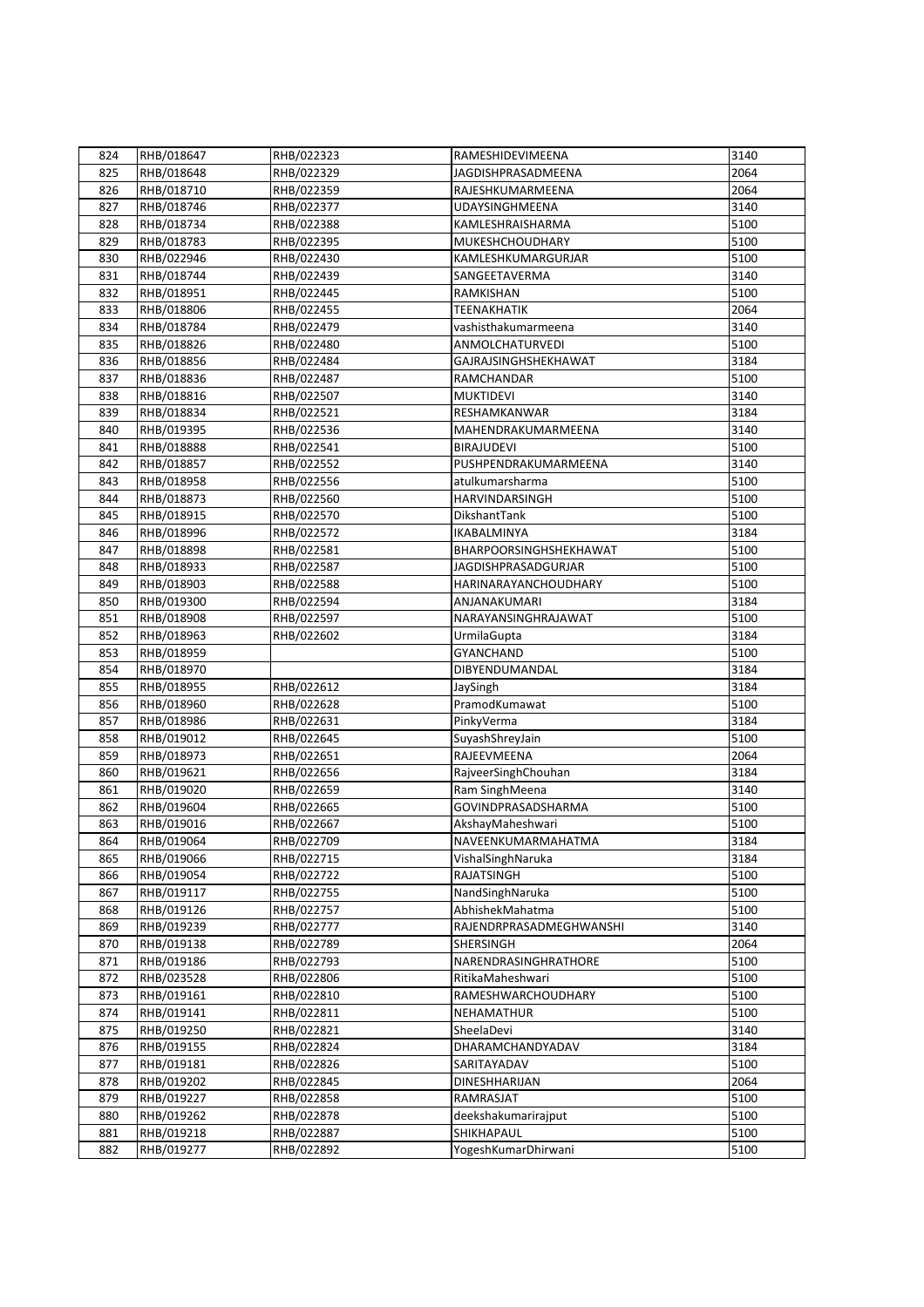| 824 | RHB/018647 | RHB/022323 | RAMESHIDEVIMEENA        | 3140 |
|-----|------------|------------|-------------------------|------|
| 825 | RHB/018648 | RHB/022329 | JAGDISHPRASADMEENA      | 2064 |
| 826 | RHB/018710 | RHB/022359 | RAJESHKUMARMEENA        | 2064 |
| 827 | RHB/018746 | RHB/022377 | <b>UDAYSINGHMEENA</b>   | 3140 |
| 828 | RHB/018734 | RHB/022388 | KAMLESHRAISHARMA        | 5100 |
| 829 | RHB/018783 | RHB/022395 | MUKESHCHOUDHARY         | 5100 |
| 830 | RHB/022946 | RHB/022430 | KAMLESHKUMARGURJAR      | 5100 |
| 831 | RHB/018744 | RHB/022439 | SANGEETAVERMA           | 3140 |
| 832 | RHB/018951 | RHB/022445 | RAMKISHAN               | 5100 |
| 833 | RHB/018806 | RHB/022455 | <b>TEENAKHATIK</b>      | 2064 |
| 834 | RHB/018784 | RHB/022479 | vashisthakumarmeena     | 3140 |
| 835 | RHB/018826 | RHB/022480 | ANMOLCHATURVEDI         | 5100 |
| 836 | RHB/018856 | RHB/022484 | GAJRAJSINGHSHEKHAWAT    | 3184 |
| 837 | RHB/018836 | RHB/022487 | RAMCHANDAR              | 5100 |
| 838 | RHB/018816 | RHB/022507 | <b>MUKTIDEVI</b>        | 3140 |
| 839 | RHB/018834 | RHB/022521 | RESHAMKANWAR            | 3184 |
| 840 | RHB/019395 | RHB/022536 | MAHENDRAKUMARMEENA      | 3140 |
|     |            |            | <b>BIRAJUDEVI</b>       | 5100 |
| 841 | RHB/018888 | RHB/022541 |                         |      |
| 842 | RHB/018857 | RHB/022552 | PUSHPENDRAKUMARMEENA    | 3140 |
| 843 | RHB/018958 | RHB/022556 | atulkumarsharma         | 5100 |
| 844 | RHB/018873 | RHB/022560 | HARVINDARSINGH          | 5100 |
| 845 | RHB/018915 | RHB/022570 | DikshantTank            | 5100 |
| 846 | RHB/018996 | RHB/022572 | IKABALMINYA             | 3184 |
| 847 | RHB/018898 | RHB/022581 | BHARPOORSINGHSHEKHAWAT  | 5100 |
| 848 | RHB/018933 | RHB/022587 | JAGDISHPRASADGURJAR     | 5100 |
| 849 | RHB/018903 | RHB/022588 | HARINARAYANCHOUDHARY    | 5100 |
| 850 | RHB/019300 | RHB/022594 | ANJANAKUMARI            | 3184 |
| 851 | RHB/018908 | RHB/022597 | NARAYANSINGHRAJAWAT     | 5100 |
| 852 | RHB/018963 | RHB/022602 | UrmilaGupta             | 3184 |
| 853 | RHB/018959 |            | <b>GYANCHAND</b>        | 5100 |
| 854 | RHB/018970 |            | DIBYENDUMANDAL          | 3184 |
| 855 | RHB/018955 | RHB/022612 | JaySingh                | 3184 |
| 856 | RHB/018960 | RHB/022628 | PramodKumawat           | 5100 |
| 857 | RHB/018986 | RHB/022631 | PinkyVerma              | 3184 |
| 858 | RHB/019012 | RHB/022645 | SuyashShreyJain         | 5100 |
| 859 | RHB/018973 | RHB/022651 | RAJEEVMEENA             | 2064 |
| 860 | RHB/019621 | RHB/022656 | RajveerSinghChouhan     | 3184 |
| 861 | RHB/019020 | RHB/022659 | Ram SinghMeena          | 3140 |
| 862 | RHB/019604 | RHB/022665 | GOVINDPRASADSHARMA      | 5100 |
| 863 | RHB/019016 | RHB/022667 | AkshayMaheshwari        | 5100 |
| 864 | RHB/019064 | RHB/022709 | NAVEENKUMARMAHATMA      | 3184 |
| 865 | RHB/019066 | RHB/022715 | VishalSinghNaruka       | 3184 |
| 866 | RHB/019054 | RHB/022722 | <b>RAJATSINGH</b>       | 5100 |
| 867 | RHB/019117 | RHB/022755 | NandSinghNaruka         | 5100 |
| 868 | RHB/019126 | RHB/022757 | AbhishekMahatma         | 5100 |
| 869 | RHB/019239 | RHB/022777 | RAJENDRPRASADMEGHWANSHI | 3140 |
| 870 | RHB/019138 | RHB/022789 | SHERSINGH               | 2064 |
| 871 | RHB/019186 | RHB/022793 | NARENDRASINGHRATHORE    | 5100 |
|     |            |            | RitikaMaheshwari        | 5100 |
| 872 | RHB/023528 | RHB/022806 |                         |      |
| 873 | RHB/019161 | RHB/022810 | RAMESHWARCHOUDHARY      | 5100 |
| 874 | RHB/019141 | RHB/022811 | NEHAMATHUR              | 5100 |
| 875 | RHB/019250 | RHB/022821 | SheelaDevi              | 3140 |
| 876 | RHB/019155 | RHB/022824 | DHARAMCHANDYADAV        | 3184 |
| 877 | RHB/019181 | RHB/022826 | SARITAYADAV             | 5100 |
| 878 | RHB/019202 | RHB/022845 | DINESHHARIJAN           | 2064 |
| 879 | RHB/019227 | RHB/022858 | RAMRASJAT               | 5100 |
| 880 | RHB/019262 | RHB/022878 | deekshakumarirajput     | 5100 |
| 881 | RHB/019218 | RHB/022887 | SHIKHAPAUL              | 5100 |
| 882 | RHB/019277 | RHB/022892 | YogeshKumarDhirwani     | 5100 |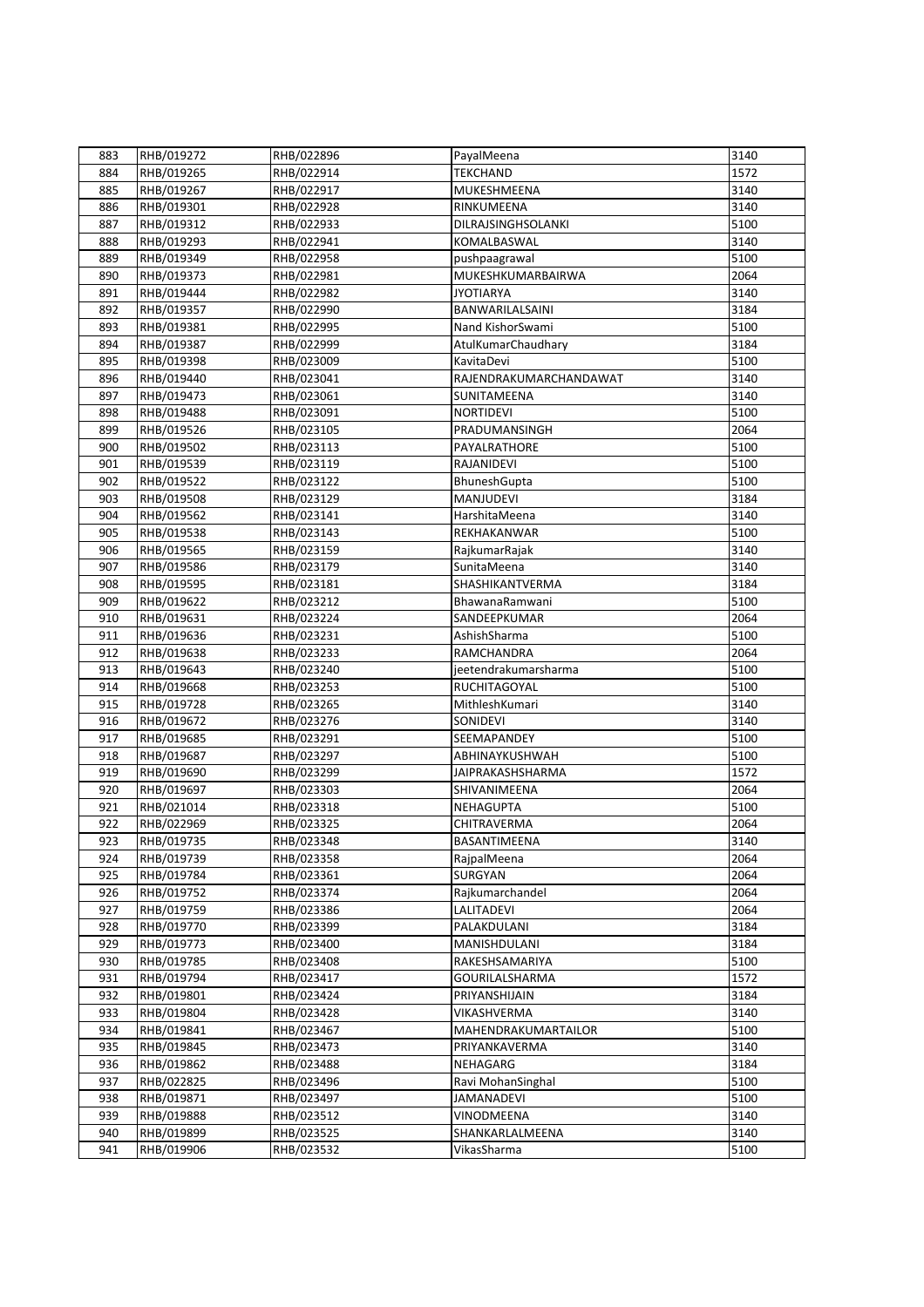| 883 | RHB/019272 | RHB/022896 | PayalMeena              | 3140 |
|-----|------------|------------|-------------------------|------|
| 884 | RHB/019265 | RHB/022914 | <b>TEKCHAND</b>         | 1572 |
| 885 | RHB/019267 | RHB/022917 | MUKESHMEENA             | 3140 |
| 886 | RHB/019301 | RHB/022928 | RINKUMEENA              | 3140 |
| 887 | RHB/019312 | RHB/022933 | DILRAJSINGHSOLANKI      | 5100 |
| 888 | RHB/019293 | RHB/022941 | KOMALBASWAL             | 3140 |
| 889 | RHB/019349 | RHB/022958 | pushpaagrawal           | 5100 |
| 890 | RHB/019373 | RHB/022981 | MUKESHKUMARBAIRWA       | 2064 |
| 891 | RHB/019444 | RHB/022982 | <b>JYOTIARYA</b>        | 3140 |
| 892 | RHB/019357 | RHB/022990 | BANWARILALSAINI         | 3184 |
| 893 | RHB/019381 | RHB/022995 | Nand KishorSwami        | 5100 |
| 894 | RHB/019387 | RHB/022999 | AtulKumarChaudhary      | 3184 |
| 895 | RHB/019398 | RHB/023009 | KavitaDevi              | 5100 |
| 896 | RHB/019440 | RHB/023041 | RAJENDRAKUMARCHANDAWAT  | 3140 |
| 897 | RHB/019473 | RHB/023061 | SUNITAMEENA             | 3140 |
| 898 | RHB/019488 | RHB/023091 | <b>NORTIDEVI</b>        | 5100 |
|     | RHB/019526 |            | PRADUMANSINGH           | 2064 |
| 899 |            | RHB/023105 |                         |      |
| 900 | RHB/019502 | RHB/023113 | PAYALRATHORE            | 5100 |
| 901 | RHB/019539 | RHB/023119 | RAJANIDEVI              | 5100 |
| 902 | RHB/019522 | RHB/023122 | BhuneshGupta            | 5100 |
| 903 | RHB/019508 | RHB/023129 | MANJUDEVI               | 3184 |
| 904 | RHB/019562 | RHB/023141 | HarshitaMeena           | 3140 |
| 905 | RHB/019538 | RHB/023143 | REKHAKANWAR             | 5100 |
| 906 | RHB/019565 | RHB/023159 | RajkumarRajak           | 3140 |
| 907 | RHB/019586 | RHB/023179 | SunitaMeena             | 3140 |
| 908 | RHB/019595 | RHB/023181 | SHASHIKANTVERMA         | 3184 |
| 909 | RHB/019622 | RHB/023212 | BhawanaRamwani          | 5100 |
| 910 | RHB/019631 | RHB/023224 | SANDEEPKUMAR            | 2064 |
| 911 | RHB/019636 | RHB/023231 | AshishSharma            | 5100 |
| 912 | RHB/019638 | RHB/023233 | RAMCHANDRA              | 2064 |
| 913 | RHB/019643 | RHB/023240 | jeetendrakumarsharma    | 5100 |
| 914 | RHB/019668 | RHB/023253 | RUCHITAGOYAL            | 5100 |
| 915 | RHB/019728 | RHB/023265 | MithleshKumari          | 3140 |
| 916 | RHB/019672 | RHB/023276 | SONIDEVI                | 3140 |
| 917 | RHB/019685 | RHB/023291 | SEEMAPANDEY             | 5100 |
| 918 | RHB/019687 | RHB/023297 | ABHINAYKUSHWAH          | 5100 |
| 919 | RHB/019690 | RHB/023299 | <b>JAIPRAKASHSHARMA</b> | 1572 |
| 920 | RHB/019697 | RHB/023303 | SHIVANIMEENA            | 2064 |
| 921 | RHB/021014 | RHB/023318 | <b>NEHAGUPTA</b>        | 5100 |
| 922 | RHB/022969 | RHB/023325 | <b>CHITRAVERMA</b>      | 2064 |
| 923 | RHB/019735 | RHB/023348 | BASANTIMEENA            | 3140 |
| 924 | RHB/019739 | RHB/023358 | RajpalMeena             | 2064 |
| 925 | RHB/019784 | RHB/023361 | <b>SURGYAN</b>          | 2064 |
| 926 | RHB/019752 | RHB/023374 | Rajkumarchandel         | 2064 |
| 927 | RHB/019759 | RHB/023386 | <b>LALITADEVI</b>       | 2064 |
| 928 | RHB/019770 | RHB/023399 | PALAKDULANI             | 3184 |
|     |            |            |                         | 3184 |
| 929 | RHB/019773 | RHB/023400 | MANISHDULANI            |      |
| 930 | RHB/019785 | RHB/023408 | RAKESHSAMARIYA          | 5100 |
| 931 | RHB/019794 | RHB/023417 | <b>GOURILALSHARMA</b>   | 1572 |
| 932 | RHB/019801 | RHB/023424 | PRIYANSHIJAIN           | 3184 |
| 933 | RHB/019804 | RHB/023428 | VIKASHVERMA             | 3140 |
| 934 | RHB/019841 | RHB/023467 | MAHENDRAKUMARTAILOR     | 5100 |
| 935 | RHB/019845 | RHB/023473 | PRIYANKAVERMA           | 3140 |
| 936 | RHB/019862 | RHB/023488 | NEHAGARG                | 3184 |
| 937 | RHB/022825 | RHB/023496 | Ravi MohanSinghal       | 5100 |
| 938 | RHB/019871 | RHB/023497 | <b>JAMANADEVI</b>       | 5100 |
| 939 | RHB/019888 | RHB/023512 | VINODMEENA              | 3140 |
| 940 | RHB/019899 | RHB/023525 | SHANKARLALMEENA         | 3140 |
| 941 | RHB/019906 | RHB/023532 | VikasSharma             | 5100 |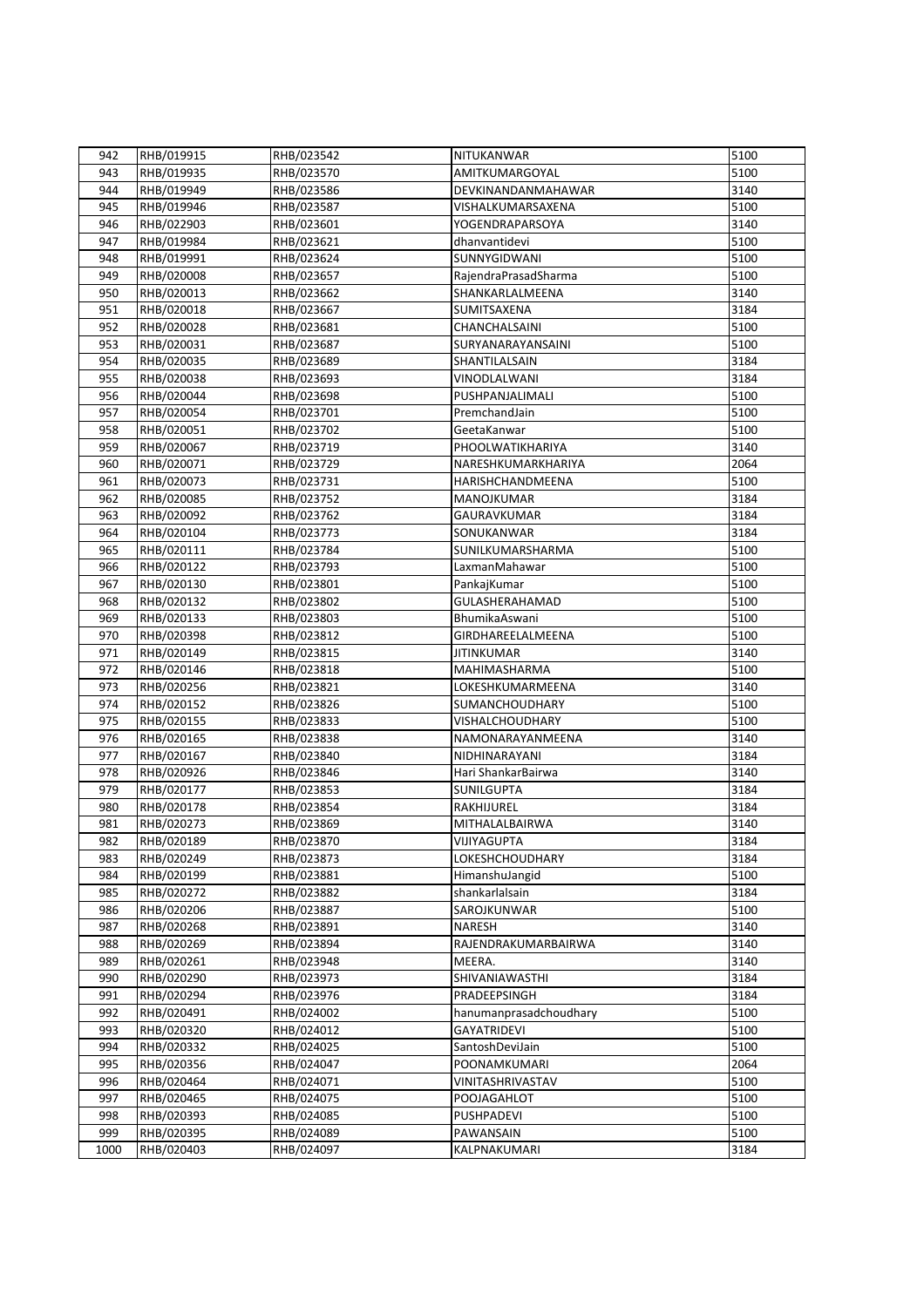| 942  | RHB/019915 | RHB/023542 | NITUKANWAR             | 5100 |
|------|------------|------------|------------------------|------|
| 943  | RHB/019935 | RHB/023570 | AMITKUMARGOYAL         | 5100 |
| 944  | RHB/019949 | RHB/023586 | DEVKINANDANMAHAWAR     | 3140 |
| 945  | RHB/019946 | RHB/023587 | VISHALKUMARSAXENA      | 5100 |
| 946  | RHB/022903 | RHB/023601 | YOGENDRAPARSOYA        | 3140 |
| 947  | RHB/019984 | RHB/023621 | dhanvantidevi          | 5100 |
| 948  | RHB/019991 | RHB/023624 | SUNNYGIDWANI           | 5100 |
| 949  | RHB/020008 | RHB/023657 | RajendraPrasadSharma   | 5100 |
| 950  | RHB/020013 | RHB/023662 | SHANKARLALMEENA        | 3140 |
| 951  | RHB/020018 | RHB/023667 | SUMITSAXENA            | 3184 |
| 952  | RHB/020028 | RHB/023681 | CHANCHALSAINI          | 5100 |
| 953  | RHB/020031 | RHB/023687 | SURYANARAYANSAINI      | 5100 |
| 954  | RHB/020035 | RHB/023689 | SHANTILALSAIN          | 3184 |
| 955  |            |            | VINODLALWANI           | 3184 |
|      | RHB/020038 | RHB/023693 |                        | 5100 |
| 956  | RHB/020044 | RHB/023698 | PUSHPANJALIMALI        |      |
| 957  | RHB/020054 | RHB/023701 | PremchandJain          | 5100 |
| 958  | RHB/020051 | RHB/023702 | GeetaKanwar            | 5100 |
| 959  | RHB/020067 | RHB/023719 | PHOOLWATIKHARIYA       | 3140 |
| 960  | RHB/020071 | RHB/023729 | NARESHKUMARKHARIYA     | 2064 |
| 961  | RHB/020073 | RHB/023731 | HARISHCHANDMEENA       | 5100 |
| 962  | RHB/020085 | RHB/023752 | MANOJKUMAR             | 3184 |
| 963  | RHB/020092 | RHB/023762 | GAURAVKUMAR            | 3184 |
| 964  | RHB/020104 | RHB/023773 | SONUKANWAR             | 3184 |
| 965  | RHB/020111 | RHB/023784 | SUNILKUMARSHARMA       | 5100 |
| 966  | RHB/020122 | RHB/023793 | LaxmanMahawar          | 5100 |
| 967  | RHB/020130 | RHB/023801 | PankajKumar            | 5100 |
| 968  | RHB/020132 | RHB/023802 | GULASHERAHAMAD         | 5100 |
| 969  | RHB/020133 | RHB/023803 | BhumikaAswani          | 5100 |
| 970  | RHB/020398 | RHB/023812 | GIRDHAREELALMEENA      | 5100 |
| 971  | RHB/020149 | RHB/023815 | <b>JITINKUMAR</b>      | 3140 |
| 972  | RHB/020146 | RHB/023818 | MAHIMASHARMA           | 5100 |
| 973  | RHB/020256 | RHB/023821 | LOKESHKUMARMEENA       | 3140 |
| 974  | RHB/020152 | RHB/023826 | SUMANCHOUDHARY         | 5100 |
| 975  | RHB/020155 | RHB/023833 | VISHALCHOUDHARY        | 5100 |
| 976  | RHB/020165 | RHB/023838 | NAMONARAYANMEENA       | 3140 |
| 977  | RHB/020167 | RHB/023840 | NIDHINARAYANI          | 3184 |
| 978  | RHB/020926 | RHB/023846 | Hari ShankarBairwa     | 3140 |
| 979  | RHB/020177 | RHB/023853 | <b>SUNILGUPTA</b>      | 3184 |
| 980  | RHB/020178 | RHB/023854 | RAKHIJUREL             | 3184 |
| 981  | RHB/020273 | RHB/023869 | MITHALALBAIRWA         | 3140 |
| 982  | RHB/020189 | RHB/023870 | VIJIYAGUPTA            | 3184 |
| 983  | RHB/020249 | RHB/023873 | <b>LOKESHCHOUDHARY</b> | 3184 |
| 984  | RHB/020199 | RHB/023881 | HimanshuJangid         | 5100 |
| 985  | RHB/020272 | RHB/023882 | shankarlalsain         | 3184 |
| 986  | RHB/020206 | RHB/023887 | SAROJKUNWAR            | 5100 |
| 987  | RHB/020268 | RHB/023891 | <b>NARESH</b>          | 3140 |
| 988  | RHB/020269 | RHB/023894 | RAJENDRAKUMARBAIRWA    | 3140 |
| 989  | RHB/020261 | RHB/023948 | MEERA.                 | 3140 |
| 990  | RHB/020290 | RHB/023973 | SHIVANIAWASTHI         | 3184 |
| 991  | RHB/020294 | RHB/023976 | PRADEEPSINGH           | 3184 |
| 992  | RHB/020491 | RHB/024002 | hanumanprasadchoudhary | 5100 |
| 993  | RHB/020320 | RHB/024012 | <b>GAYATRIDEVI</b>     | 5100 |
| 994  | RHB/020332 | RHB/024025 | SantoshDeviJain        | 5100 |
| 995  | RHB/020356 | RHB/024047 | POONAMKUMARI           | 2064 |
| 996  | RHB/020464 | RHB/024071 | VINITASHRIVASTAV       | 5100 |
| 997  | RHB/020465 | RHB/024075 | POOJAGAHLOT            | 5100 |
| 998  | RHB/020393 | RHB/024085 | <b>PUSHPADEVI</b>      | 5100 |
| 999  | RHB/020395 | RHB/024089 | PAWANSAIN              | 5100 |
| 1000 | RHB/020403 | RHB/024097 | KALPNAKUMARI           | 3184 |
|      |            |            |                        |      |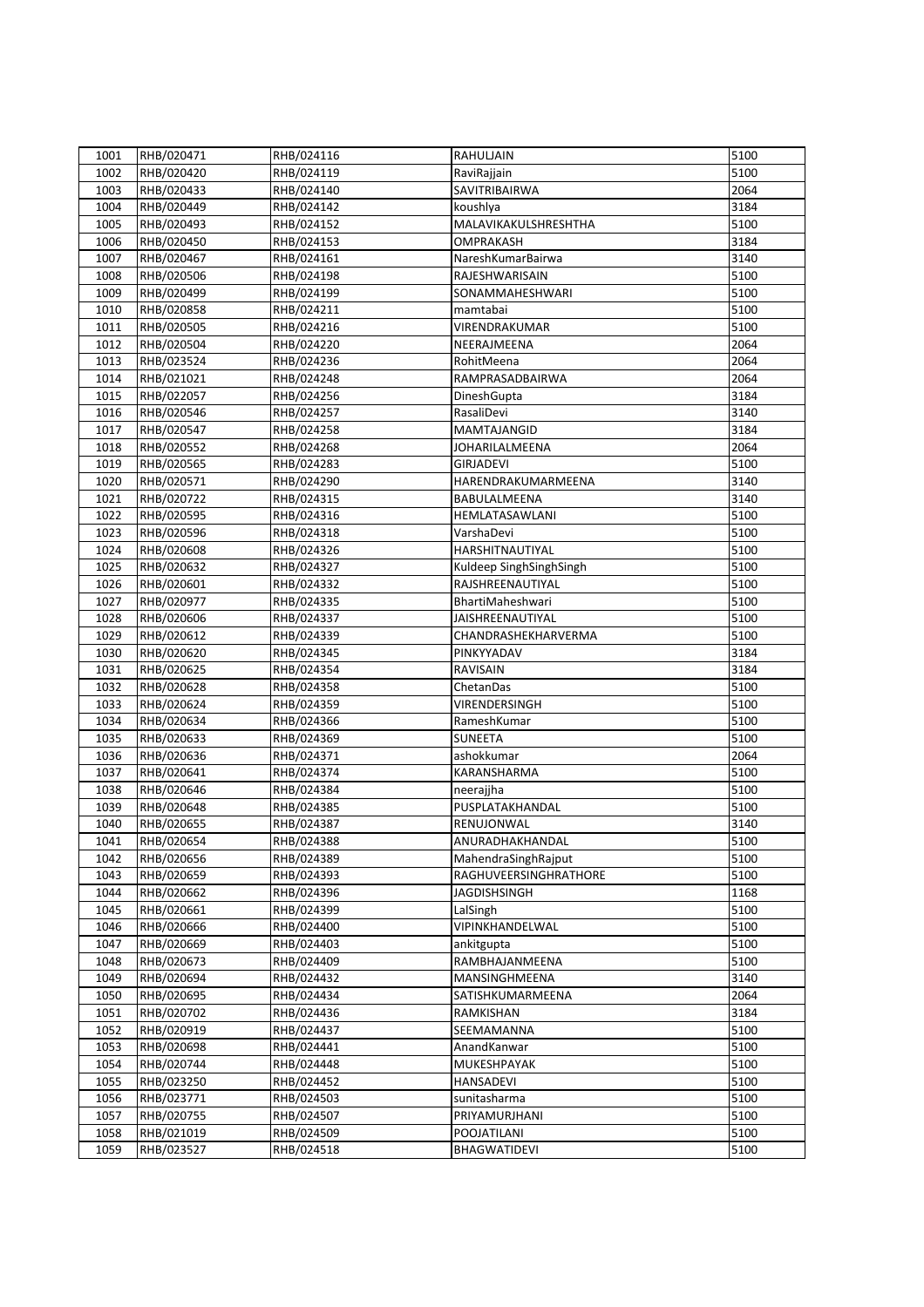| 1001 | RHB/020471 | RHB/024116 | RAHULJAIN               | 5100 |
|------|------------|------------|-------------------------|------|
| 1002 | RHB/020420 | RHB/024119 | RaviRajjain             | 5100 |
| 1003 | RHB/020433 | RHB/024140 | SAVITRIBAIRWA           | 2064 |
| 1004 | RHB/020449 | RHB/024142 | koushlya                | 3184 |
| 1005 | RHB/020493 | RHB/024152 | MALAVIKAKULSHRESHTHA    | 5100 |
| 1006 | RHB/020450 | RHB/024153 | OMPRAKASH               | 3184 |
| 1007 | RHB/020467 | RHB/024161 | NareshKumarBairwa       | 3140 |
| 1008 | RHB/020506 | RHB/024198 | RAJESHWARISAIN          | 5100 |
| 1009 | RHB/020499 | RHB/024199 | SONAMMAHESHWARI         | 5100 |
| 1010 | RHB/020858 | RHB/024211 | mamtabai                | 5100 |
| 1011 | RHB/020505 | RHB/024216 | VIRENDRAKUMAR           | 5100 |
| 1012 | RHB/020504 | RHB/024220 | NEERAJMEENA             | 2064 |
| 1013 | RHB/023524 | RHB/024236 | RohitMeena              | 2064 |
| 1014 | RHB/021021 | RHB/024248 | RAMPRASADBAIRWA         | 2064 |
|      |            |            |                         | 3184 |
| 1015 | RHB/022057 | RHB/024256 | DineshGupta             | 3140 |
| 1016 | RHB/020546 | RHB/024257 | RasaliDevi              |      |
| 1017 | RHB/020547 | RHB/024258 | MAMTAJANGID             | 3184 |
| 1018 | RHB/020552 | RHB/024268 | JOHARILALMEENA          | 2064 |
| 1019 | RHB/020565 | RHB/024283 | <b>GIRJADEVI</b>        | 5100 |
| 1020 | RHB/020571 | RHB/024290 | HARENDRAKUMARMEENA      | 3140 |
| 1021 | RHB/020722 | RHB/024315 | BABULALMEENA            | 3140 |
| 1022 | RHB/020595 | RHB/024316 | HEMLATASAWLANI          | 5100 |
| 1023 | RHB/020596 | RHB/024318 | VarshaDevi              | 5100 |
| 1024 | RHB/020608 | RHB/024326 | HARSHITNAUTIYAL         | 5100 |
| 1025 | RHB/020632 | RHB/024327 | Kuldeep SinghSinghSingh | 5100 |
| 1026 | RHB/020601 | RHB/024332 | RAJSHREENAUTIYAL        | 5100 |
| 1027 | RHB/020977 | RHB/024335 | BhartiMaheshwari        | 5100 |
| 1028 | RHB/020606 | RHB/024337 | JAISHREENAUTIYAL        | 5100 |
| 1029 | RHB/020612 | RHB/024339 | CHANDRASHEKHARVERMA     | 5100 |
| 1030 | RHB/020620 | RHB/024345 | PINKYYADAV              | 3184 |
| 1031 | RHB/020625 | RHB/024354 | <b>RAVISAIN</b>         | 3184 |
| 1032 | RHB/020628 | RHB/024358 | ChetanDas               | 5100 |
| 1033 | RHB/020624 | RHB/024359 | VIRENDERSINGH           | 5100 |
| 1034 | RHB/020634 | RHB/024366 | RameshKumar             | 5100 |
| 1035 | RHB/020633 | RHB/024369 | <b>SUNEETA</b>          | 5100 |
| 1036 | RHB/020636 | RHB/024371 | ashokkumar              | 2064 |
| 1037 | RHB/020641 | RHB/024374 | KARANSHARMA             | 5100 |
| 1038 | RHB/020646 | RHB/024384 | neerajjha               | 5100 |
| 1039 | RHB/020648 | RHB/024385 | PUSPLATAKHANDAL         | 5100 |
| 1040 | RHB/020655 | RHB/024387 | RENUJONWAL              | 3140 |
| 1041 | RHB/020654 | RHB/024388 | ANURADHAKHANDAL         | 5100 |
| 1042 | RHB/020656 | RHB/024389 | MahendraSinghRajput     | 5100 |
| 1043 | RHB/020659 | RHB/024393 | RAGHUVEERSINGHRATHORE   | 5100 |
| 1044 | RHB/020662 | RHB/024396 | <b>JAGDISHSINGH</b>     | 1168 |
| 1045 | RHB/020661 | RHB/024399 | LalSingh                | 5100 |
| 1046 | RHB/020666 | RHB/024400 | VIPINKHANDELWAL         | 5100 |
| 1047 | RHB/020669 | RHB/024403 | ankitgupta              | 5100 |
| 1048 | RHB/020673 | RHB/024409 | RAMBHAJANMEENA          | 5100 |
| 1049 | RHB/020694 | RHB/024432 | MANSINGHMEENA           | 3140 |
| 1050 | RHB/020695 | RHB/024434 | SATISHKUMARMEENA        | 2064 |
| 1051 | RHB/020702 | RHB/024436 | RAMKISHAN               | 3184 |
| 1052 | RHB/020919 | RHB/024437 | SEEMAMANNA              | 5100 |
| 1053 | RHB/020698 | RHB/024441 | AnandKanwar             | 5100 |
| 1054 | RHB/020744 | RHB/024448 | MUKESHPAYAK             | 5100 |
| 1055 | RHB/023250 | RHB/024452 | <b>HANSADEVI</b>        | 5100 |
| 1056 | RHB/023771 | RHB/024503 | sunitasharma            | 5100 |
| 1057 | RHB/020755 | RHB/024507 | PRIYAMURJHANI           | 5100 |
| 1058 | RHB/021019 | RHB/024509 | POOJATILANI             | 5100 |
| 1059 | RHB/023527 | RHB/024518 | BHAGWATIDEVI            | 5100 |
|      |            |            |                         |      |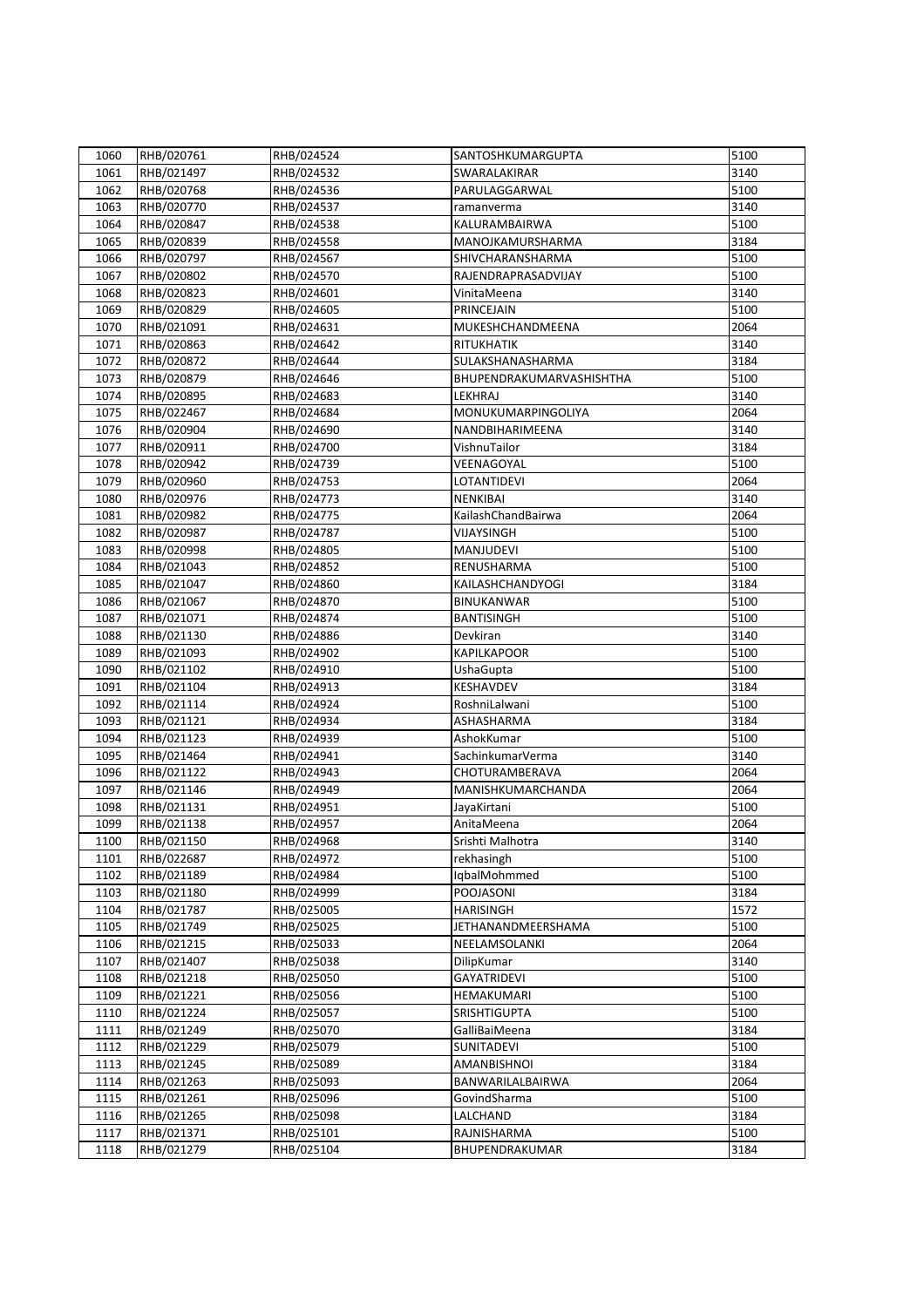| 1060 | RHB/020761 | RHB/024524 | SANTOSHKUMARGUPTA        | 5100 |
|------|------------|------------|--------------------------|------|
| 1061 | RHB/021497 | RHB/024532 | SWARALAKIRAR             | 3140 |
| 1062 | RHB/020768 | RHB/024536 | PARULAGGARWAL            | 5100 |
| 1063 | RHB/020770 | RHB/024537 | ramanverma               | 3140 |
| 1064 | RHB/020847 | RHB/024538 | KALURAMBAIRWA            | 5100 |
| 1065 | RHB/020839 | RHB/024558 | MANOJKAMURSHARMA         | 3184 |
| 1066 | RHB/020797 | RHB/024567 | SHIVCHARANSHARMA         | 5100 |
| 1067 | RHB/020802 | RHB/024570 | RAJENDRAPRASADVIJAY      | 5100 |
| 1068 | RHB/020823 | RHB/024601 | VinitaMeena              | 3140 |
| 1069 | RHB/020829 | RHB/024605 | PRINCEJAIN               | 5100 |
| 1070 | RHB/021091 | RHB/024631 | MUKESHCHANDMEENA         | 2064 |
| 1071 | RHB/020863 | RHB/024642 | RITUKHATIK               | 3140 |
| 1072 | RHB/020872 | RHB/024644 | SULAKSHANASHARMA         | 3184 |
| 1073 | RHB/020879 | RHB/024646 | BHUPENDRAKUMARVASHISHTHA | 5100 |
| 1074 | RHB/020895 | RHB/024683 | LEKHRAJ                  | 3140 |
| 1075 | RHB/022467 | RHB/024684 | MONUKUMARPINGOLIYA       | 2064 |
|      |            |            | NANDBIHARIMEENA          | 3140 |
| 1076 | RHB/020904 | RHB/024690 |                          |      |
| 1077 | RHB/020911 | RHB/024700 | VishnuTailor             | 3184 |
| 1078 | RHB/020942 | RHB/024739 | VEENAGOYAL               | 5100 |
| 1079 | RHB/020960 | RHB/024753 | LOTANTIDEVI              | 2064 |
| 1080 | RHB/020976 | RHB/024773 | <b>NENKIBAI</b>          | 3140 |
| 1081 | RHB/020982 | RHB/024775 | KailashChandBairwa       | 2064 |
| 1082 | RHB/020987 | RHB/024787 | VIJAYSINGH               | 5100 |
| 1083 | RHB/020998 | RHB/024805 | MANJUDEVI                | 5100 |
| 1084 | RHB/021043 | RHB/024852 | RENUSHARMA               | 5100 |
| 1085 | RHB/021047 | RHB/024860 | KAILASHCHANDYOGI         | 3184 |
| 1086 | RHB/021067 | RHB/024870 | BINUKANWAR               | 5100 |
| 1087 | RHB/021071 | RHB/024874 | <b>BANTISINGH</b>        | 5100 |
| 1088 | RHB/021130 | RHB/024886 | Devkiran                 | 3140 |
| 1089 | RHB/021093 | RHB/024902 | <b>KAPILKAPOOR</b>       | 5100 |
| 1090 | RHB/021102 | RHB/024910 | UshaGupta                | 5100 |
| 1091 | RHB/021104 | RHB/024913 | KESHAVDEV                | 3184 |
| 1092 | RHB/021114 | RHB/024924 | RoshniLalwani            | 5100 |
| 1093 | RHB/021121 | RHB/024934 | ASHASHARMA               | 3184 |
| 1094 | RHB/021123 | RHB/024939 | AshokKumar               | 5100 |
| 1095 | RHB/021464 | RHB/024941 | SachinkumarVerma         | 3140 |
| 1096 | RHB/021122 | RHB/024943 | CHOTURAMBERAVA           | 2064 |
| 1097 | RHB/021146 | RHB/024949 | MANISHKUMARCHANDA        | 2064 |
| 1098 | RHB/021131 | RHB/024951 | JayaKirtani              | 5100 |
| 1099 | RHB/021138 | RHB/024957 | AnitaMeena               | 2064 |
| 1100 | RHB/021150 | RHB/024968 | Srishti Malhotra         | 3140 |
| 1101 | RHB/022687 | RHB/024972 | rekhasingh               | 5100 |
| 1102 | RHB/021189 | RHB/024984 | IqbalMohmmed             | 5100 |
| 1103 | RHB/021180 | RHB/024999 | POOJASONI                | 3184 |
| 1104 | RHB/021787 | RHB/025005 | <b>HARISINGH</b>         | 1572 |
| 1105 | RHB/021749 | RHB/025025 | JETHANANDMEERSHAMA       | 5100 |
| 1106 | RHB/021215 | RHB/025033 | NEELAMSOLANKI            | 2064 |
| 1107 | RHB/021407 | RHB/025038 | DilipKumar               | 3140 |
| 1108 | RHB/021218 | RHB/025050 | <b>GAYATRIDEVI</b>       | 5100 |
| 1109 | RHB/021221 | RHB/025056 | HEMAKUMARI               | 5100 |
| 1110 | RHB/021224 | RHB/025057 | SRISHTIGUPTA             | 5100 |
| 1111 | RHB/021249 | RHB/025070 | GalliBaiMeena            | 3184 |
| 1112 | RHB/021229 | RHB/025079 | SUNITADEVI               | 5100 |
| 1113 | RHB/021245 | RHB/025089 | <b>AMANBISHNOI</b>       | 3184 |
| 1114 | RHB/021263 | RHB/025093 | BANWARILALBAIRWA         | 2064 |
| 1115 | RHB/021261 | RHB/025096 | GovindSharma             | 5100 |
| 1116 | RHB/021265 | RHB/025098 | LALCHAND                 | 3184 |
| 1117 | RHB/021371 | RHB/025101 | RAJNISHARMA              | 5100 |
| 1118 | RHB/021279 | RHB/025104 | BHUPENDRAKUMAR           | 3184 |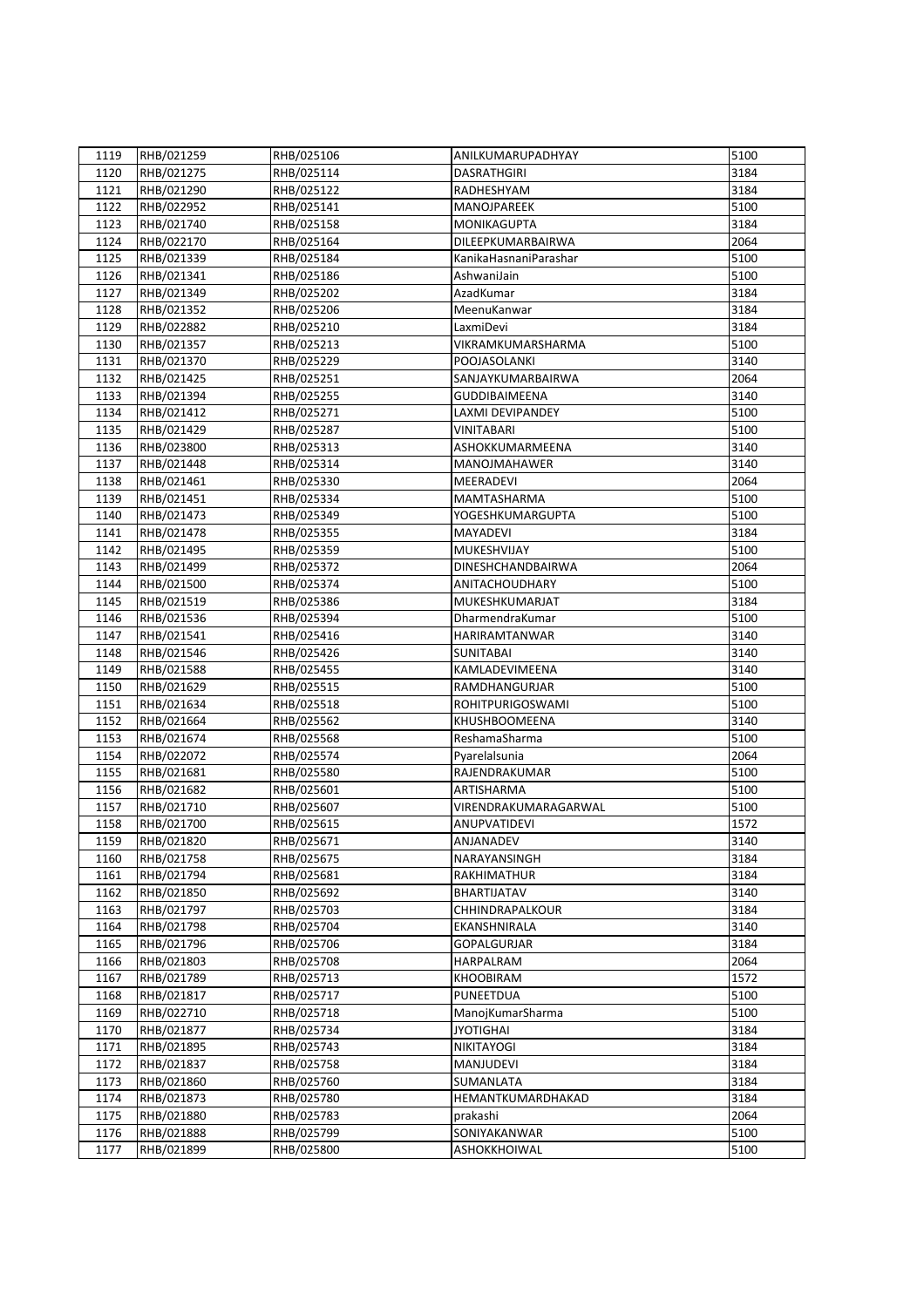| 1119 | RHB/021259 | RHB/025106 | ANILKUMARUPADHYAY        | 5100 |
|------|------------|------------|--------------------------|------|
| 1120 | RHB/021275 | RHB/025114 | <b>DASRATHGIRI</b>       | 3184 |
| 1121 | RHB/021290 | RHB/025122 | RADHESHYAM               | 3184 |
| 1122 | RHB/022952 | RHB/025141 | MANOJPAREEK              | 5100 |
| 1123 | RHB/021740 | RHB/025158 | <b>MONIKAGUPTA</b>       | 3184 |
| 1124 | RHB/022170 | RHB/025164 | DILEEPKUMARBAIRWA        | 2064 |
| 1125 | RHB/021339 | RHB/025184 | KanikaHasnaniParashar    | 5100 |
| 1126 | RHB/021341 | RHB/025186 | AshwaniJain              | 5100 |
| 1127 | RHB/021349 | RHB/025202 | AzadKumar                | 3184 |
| 1128 | RHB/021352 | RHB/025206 | MeenuKanwar              | 3184 |
| 1129 | RHB/022882 | RHB/025210 | LaxmiDevi                | 3184 |
| 1130 | RHB/021357 | RHB/025213 | VIKRAMKUMARSHARMA        | 5100 |
| 1131 | RHB/021370 | RHB/025229 | POOJASOLANKI             | 3140 |
| 1132 | RHB/021425 | RHB/025251 | SANJAYKUMARBAIRWA        | 2064 |
| 1133 | RHB/021394 | RHB/025255 | <b>GUDDIBAIMEENA</b>     | 3140 |
| 1134 | RHB/021412 | RHB/025271 | LAXMI DEVIPANDEY         | 5100 |
| 1135 | RHB/021429 | RHB/025287 | <b>VINITABARI</b>        | 5100 |
| 1136 | RHB/023800 | RHB/025313 | ASHOKKUMARMEENA          | 3140 |
| 1137 | RHB/021448 | RHB/025314 | MANOJMAHAWER             | 3140 |
| 1138 | RHB/021461 | RHB/025330 | MEERADEVI                | 2064 |
| 1139 | RHB/021451 | RHB/025334 | MAMTASHARMA              | 5100 |
| 1140 | RHB/021473 | RHB/025349 | YOGESHKUMARGUPTA         | 5100 |
| 1141 | RHB/021478 | RHB/025355 | <b>MAYADEVI</b>          | 3184 |
| 1142 | RHB/021495 | RHB/025359 | MUKESHVIJAY              | 5100 |
| 1143 | RHB/021499 | RHB/025372 | <b>DINESHCHANDBAIRWA</b> | 2064 |
| 1144 | RHB/021500 | RHB/025374 | ANITACHOUDHARY           | 5100 |
| 1145 | RHB/021519 | RHB/025386 | MUKESHKUMARJAT           | 3184 |
| 1146 | RHB/021536 | RHB/025394 | DharmendraKumar          | 5100 |
| 1147 | RHB/021541 | RHB/025416 | HARIRAMTANWAR            | 3140 |
| 1148 | RHB/021546 | RHB/025426 | <b>SUNITABAI</b>         | 3140 |
| 1149 | RHB/021588 | RHB/025455 | KAMLADEVIMEENA           | 3140 |
| 1150 | RHB/021629 | RHB/025515 | RAMDHANGURJAR            | 5100 |
| 1151 | RHB/021634 | RHB/025518 | ROHITPURIGOSWAMI         | 5100 |
| 1152 | RHB/021664 | RHB/025562 | KHUSHBOOMEENA            | 3140 |
| 1153 | RHB/021674 | RHB/025568 | ReshamaSharma            | 5100 |
| 1154 | RHB/022072 | RHB/025574 | Pyarelalsunia            | 2064 |
| 1155 | RHB/021681 | RHB/025580 | RAJENDRAKUMAR            | 5100 |
| 1156 | RHB/021682 | RHB/025601 | ARTISHARMA               | 5100 |
| 1157 | RHB/021710 | RHB/025607 | VIRENDRAKUMARAGARWAL     | 5100 |
| 1158 | RHB/021700 | RHB/025615 | ANUPVATIDEVI             | 1572 |
| 1159 | RHB/021820 | RHB/025671 | ANJANADEV                | 3140 |
| 1160 | RHB/021758 | RHB/025675 | NARAYANSINGH             | 3184 |
| 1161 | RHB/021794 | RHB/025681 | RAKHIMATHUR              | 3184 |
| 1162 | RHB/021850 | RHB/025692 | BHARTIJATAV              | 3140 |
| 1163 | RHB/021797 | RHB/025703 | CHHINDRAPALKOUR          | 3184 |
| 1164 | RHB/021798 | RHB/025704 | EKANSHNIRALA             | 3140 |
| 1165 | RHB/021796 | RHB/025706 | <b>GOPALGURJAR</b>       | 3184 |
| 1166 | RHB/021803 | RHB/025708 | <b>HARPALRAM</b>         | 2064 |
| 1167 | RHB/021789 | RHB/025713 | <b>KHOOBIRAM</b>         | 1572 |
| 1168 | RHB/021817 | RHB/025717 | <b>PUNEETDUA</b>         | 5100 |
| 1169 | RHB/022710 | RHB/025718 | ManojKumarSharma         | 5100 |
| 1170 | RHB/021877 | RHB/025734 | <b>JYOTIGHAI</b>         | 3184 |
| 1171 | RHB/021895 | RHB/025743 | <b>NIKITAYOGI</b>        | 3184 |
| 1172 | RHB/021837 | RHB/025758 | <b>MANJUDEVI</b>         | 3184 |
| 1173 | RHB/021860 | RHB/025760 | <b>SUMANLATA</b>         | 3184 |
| 1174 | RHB/021873 | RHB/025780 | HEMANTKUMARDHAKAD        | 3184 |
| 1175 | RHB/021880 | RHB/025783 | prakashi                 | 2064 |
| 1176 | RHB/021888 | RHB/025799 | SONIYAKANWAR             | 5100 |
| 1177 | RHB/021899 | RHB/025800 | ASHOKKHOIWAL             | 5100 |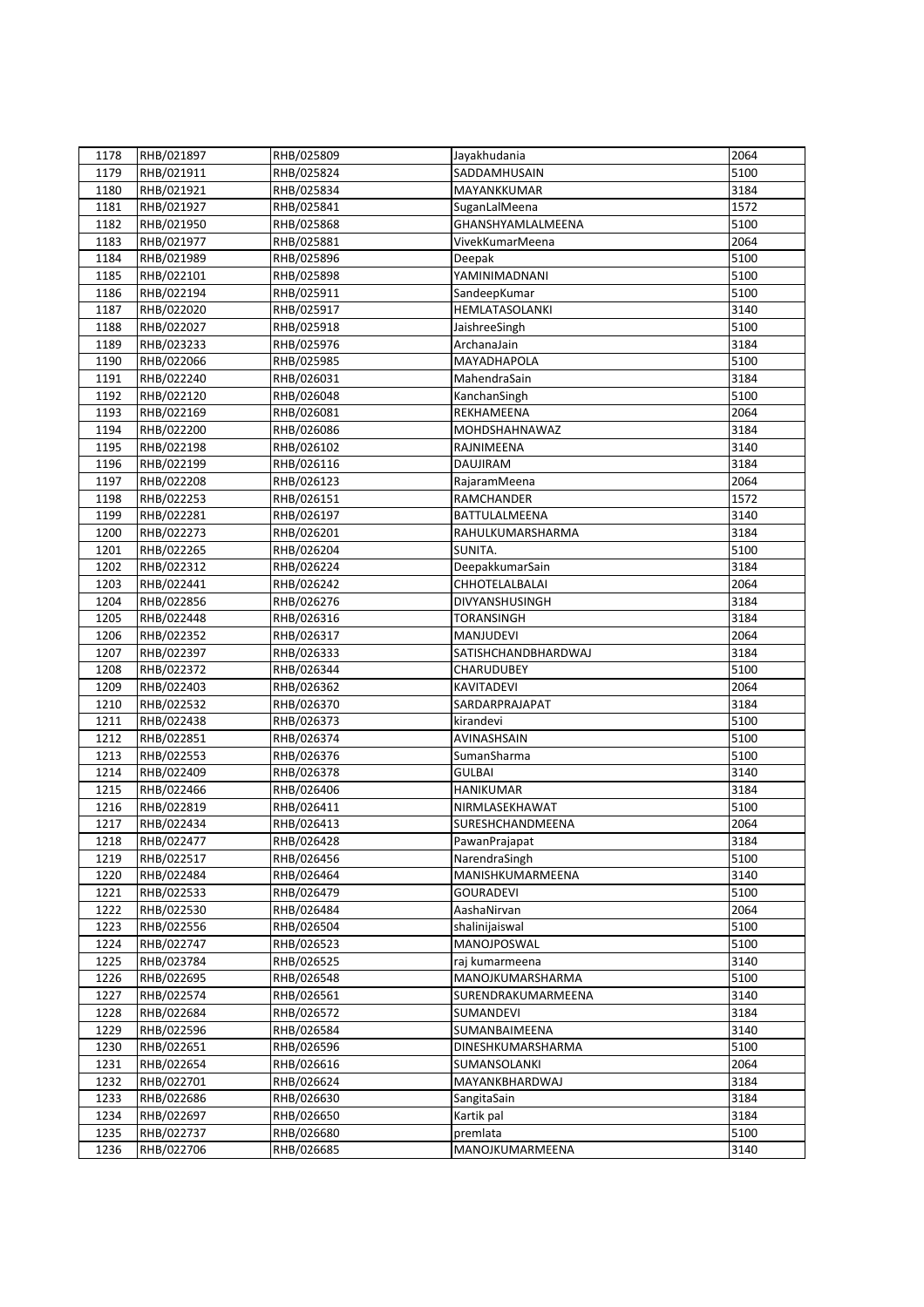| 1178 | RHB/021897 | RHB/025809 | Jayakhudania          | 2064 |
|------|------------|------------|-----------------------|------|
| 1179 | RHB/021911 | RHB/025824 | SADDAMHUSAIN          | 5100 |
| 1180 | RHB/021921 | RHB/025834 | MAYANKKUMAR           | 3184 |
| 1181 | RHB/021927 | RHB/025841 | SuganLalMeena         | 1572 |
| 1182 | RHB/021950 | RHB/025868 | GHANSHYAMLALMEENA     | 5100 |
| 1183 | RHB/021977 | RHB/025881 | VivekKumarMeena       | 2064 |
| 1184 | RHB/021989 | RHB/025896 | Deepak                | 5100 |
| 1185 | RHB/022101 | RHB/025898 | YAMINIMADNANI         | 5100 |
| 1186 | RHB/022194 | RHB/025911 | SandeepKumar          | 5100 |
| 1187 | RHB/022020 | RHB/025917 | <b>HEMLATASOLANKI</b> | 3140 |
| 1188 | RHB/022027 | RHB/025918 | JaishreeSingh         | 5100 |
| 1189 | RHB/023233 | RHB/025976 | ArchanaJain           | 3184 |
| 1190 | RHB/022066 | RHB/025985 | MAYADHAPOLA           | 5100 |
| 1191 | RHB/022240 | RHB/026031 | MahendraSain          | 3184 |
| 1192 | RHB/022120 | RHB/026048 | KanchanSingh          | 5100 |
| 1193 | RHB/022169 | RHB/026081 | REKHAMEENA            | 2064 |
| 1194 | RHB/022200 | RHB/026086 | MOHDSHAHNAWAZ         | 3184 |
| 1195 | RHB/022198 | RHB/026102 | RAJNIMEENA            | 3140 |
| 1196 | RHB/022199 | RHB/026116 | <b>DAUJIRAM</b>       | 3184 |
| 1197 | RHB/022208 | RHB/026123 | RajaramMeena          | 2064 |
|      |            |            | <b>RAMCHANDER</b>     | 1572 |
| 1198 | RHB/022253 | RHB/026151 |                       |      |
| 1199 | RHB/022281 | RHB/026197 | BATTULALMEENA         | 3140 |
| 1200 | RHB/022273 | RHB/026201 | RAHULKUMARSHARMA      | 3184 |
| 1201 | RHB/022265 | RHB/026204 | SUNITA.               | 5100 |
| 1202 | RHB/022312 | RHB/026224 | DeepakkumarSain       | 3184 |
| 1203 | RHB/022441 | RHB/026242 | <b>CHHOTELALBALAI</b> | 2064 |
| 1204 | RHB/022856 | RHB/026276 | DIVYANSHUSINGH        | 3184 |
| 1205 | RHB/022448 | RHB/026316 | <b>TORANSINGH</b>     | 3184 |
| 1206 | RHB/022352 | RHB/026317 | MANJUDEVI             | 2064 |
| 1207 | RHB/022397 | RHB/026333 | SATISHCHANDBHARDWAJ   | 3184 |
| 1208 | RHB/022372 | RHB/026344 | <b>CHARUDUBEY</b>     | 5100 |
| 1209 | RHB/022403 | RHB/026362 | KAVITADEVI            | 2064 |
| 1210 | RHB/022532 | RHB/026370 | SARDARPRAJAPAT        | 3184 |
| 1211 | RHB/022438 | RHB/026373 | kirandevi             | 5100 |
| 1212 | RHB/022851 | RHB/026374 | AVINASHSAIN           | 5100 |
| 1213 | RHB/022553 | RHB/026376 | SumanSharma           | 5100 |
| 1214 | RHB/022409 | RHB/026378 | <b>GULBAI</b>         | 3140 |
| 1215 | RHB/022466 | RHB/026406 | <b>HANIKUMAR</b>      | 3184 |
| 1216 | RHB/022819 | RHB/026411 | NIRMLASEKHAWAT        | 5100 |
| 1217 | RHB/022434 | RHB/026413 | SURESHCHANDMEENA      | 2064 |
| 1218 | RHB/022477 | RHB/026428 | PawanPrajapat         | 3184 |
| 1219 | RHB/022517 | RHB/026456 | NarendraSingh         | 5100 |
| 1220 | RHB/022484 | RHB/026464 | MANISHKUMARMEENA      | 3140 |
| 1221 | RHB/022533 | RHB/026479 | <b>GOURADEVI</b>      | 5100 |
| 1222 | RHB/022530 | RHB/026484 | AashaNirvan           | 2064 |
| 1223 | RHB/022556 | RHB/026504 | shalinijaiswal        | 5100 |
| 1224 | RHB/022747 | RHB/026523 | MANOJPOSWAL           | 5100 |
| 1225 | RHB/023784 | RHB/026525 | raj kumarmeena        | 3140 |
| 1226 | RHB/022695 | RHB/026548 | MANOJKUMARSHARMA      | 5100 |
| 1227 | RHB/022574 | RHB/026561 | SURENDRAKUMARMEENA    | 3140 |
| 1228 | RHB/022684 | RHB/026572 | SUMANDEVI             | 3184 |
| 1229 | RHB/022596 | RHB/026584 | SUMANBAIMEENA         | 3140 |
| 1230 | RHB/022651 | RHB/026596 | DINESHKUMARSHARMA     | 5100 |
| 1231 | RHB/022654 | RHB/026616 | SUMANSOLANKI          | 2064 |
| 1232 | RHB/022701 | RHB/026624 | MAYANKBHARDWAJ        | 3184 |
| 1233 | RHB/022686 | RHB/026630 | SangitaSain           | 3184 |
| 1234 | RHB/022697 | RHB/026650 | Kartik pal            | 3184 |
| 1235 | RHB/022737 | RHB/026680 | premlata              | 5100 |
| 1236 | RHB/022706 | RHB/026685 | MANOJKUMARMEENA       | 3140 |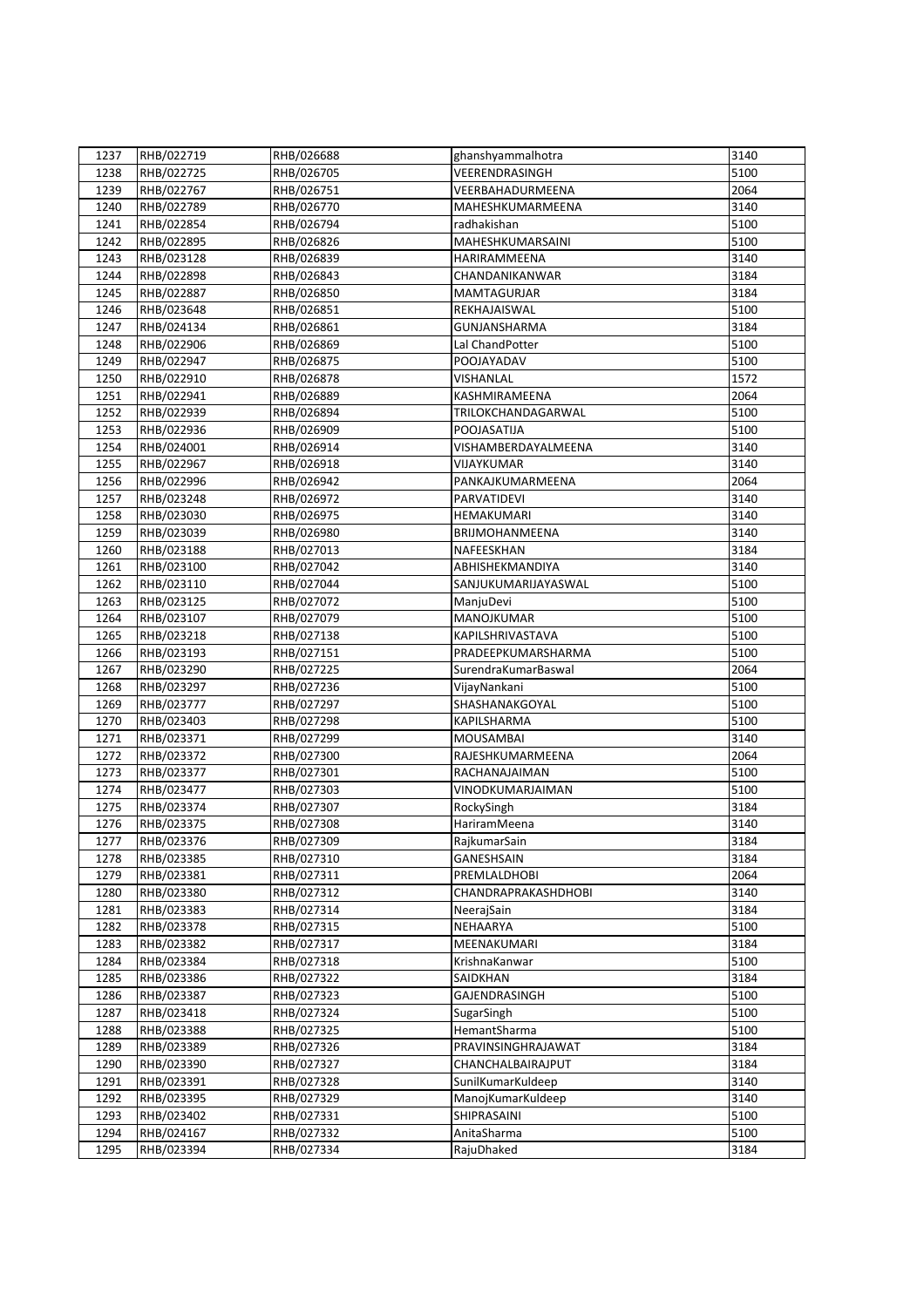| 1237         | RHB/022719               | RHB/026688               | ghanshyammalhotra                          | 3140         |
|--------------|--------------------------|--------------------------|--------------------------------------------|--------------|
| 1238         | RHB/022725               | RHB/026705               | VEERENDRASINGH                             | 5100         |
| 1239         | RHB/022767               | RHB/026751               | VEERBAHADURMEENA                           | 2064         |
| 1240         | RHB/022789               | RHB/026770               | MAHESHKUMARMEENA                           | 3140         |
| 1241         | RHB/022854               | RHB/026794               | radhakishan                                | 5100         |
| 1242         | RHB/022895               | RHB/026826               | MAHESHKUMARSAINI                           | 5100         |
| 1243         | RHB/023128               | RHB/026839               | HARIRAMMEENA                               | 3140         |
| 1244         | RHB/022898               | RHB/026843               | CHANDANIKANWAR                             | 3184         |
| 1245         | RHB/022887               | RHB/026850               | <b>MAMTAGURJAR</b>                         | 3184         |
| 1246         | RHB/023648               | RHB/026851               | REKHAJAISWAL                               | 5100         |
| 1247         |                          | RHB/026861               | <b>GUNJANSHARMA</b>                        | 3184         |
|              | RHB/024134<br>RHB/022906 | RHB/026869               | Lal ChandPotter                            | 5100         |
| 1248<br>1249 |                          |                          | POOJAYADAV                                 | 5100         |
|              | RHB/022947               | RHB/026875               |                                            |              |
| 1250         | RHB/022910               | RHB/026878               | <b>VISHANLAL</b>                           | 1572         |
| 1251         | RHB/022941               | RHB/026889               | KASHMIRAMEENA                              | 2064         |
| 1252         | RHB/022939               | RHB/026894               | TRILOKCHANDAGARWAL                         | 5100         |
| 1253         | RHB/022936               | RHB/026909               | POOJASATIJA                                | 5100         |
| 1254         | RHB/024001               | RHB/026914               | VISHAMBERDAYALMEENA                        | 3140         |
| 1255         | RHB/022967               | RHB/026918               | VIJAYKUMAR                                 | 3140         |
| 1256         | RHB/022996               | RHB/026942               | PANKAJKUMARMEENA                           | 2064         |
| 1257         | RHB/023248               | RHB/026972               | PARVATIDEVI                                | 3140         |
| 1258         | RHB/023030               | RHB/026975               | HEMAKUMARI                                 | 3140         |
| 1259         | RHB/023039               | RHB/026980               | BRIJMOHANMEENA                             | 3140         |
| 1260         | RHB/023188               | RHB/027013               | NAFEESKHAN                                 | 3184         |
| 1261         | RHB/023100               | RHB/027042               | ABHISHEKMANDIYA                            | 3140         |
| 1262         | RHB/023110               | RHB/027044               | SANJUKUMARIJAYASWAL                        | 5100         |
| 1263         | RHB/023125               | RHB/027072               | ManjuDevi                                  | 5100         |
| 1264         | RHB/023107               | RHB/027079               | MANOJKUMAR                                 | 5100         |
| 1265         | RHB/023218               | RHB/027138               | KAPILSHRIVASTAVA                           | 5100         |
| 1266         | RHB/023193               | RHB/027151               | PRADEEPKUMARSHARMA                         | 5100         |
| 1267         | RHB/023290               | RHB/027225               | SurendraKumarBaswal                        | 2064         |
| 1268         | RHB/023297               | RHB/027236               | VijayNankani                               | 5100         |
| 1269         | RHB/023777               | RHB/027297               | SHASHANAKGOYAL                             | 5100         |
| 1270         | RHB/023403               | RHB/027298               | <b>KAPILSHARMA</b>                         | 5100         |
| 1271         | RHB/023371               | RHB/027299               | <b>MOUSAMBAI</b>                           | 3140         |
| 1272         | RHB/023372               | RHB/027300               | RAJESHKUMARMEENA                           | 2064         |
| 1273         | RHB/023377               | RHB/027301               | RACHANAJAIMAN                              | 5100         |
| 1274         | RHB/023477               | RHB/027303               | VINODKUMARJAIMAN                           | 5100         |
| 1275         | RHB/023374               | RHB/027307               | RockySingh<br>HariramMeena                 | 3184<br>3140 |
| 1276         | RHB/023375               | RHB/027308               |                                            |              |
| 1277         | RHB/023376               | RHB/027309               | RajkumarSain                               | 3184         |
| 1278         | RHB/023385               | RHB/027310               | <b>GANESHSAIN</b>                          | 3184         |
| 1279<br>1280 | RHB/023381<br>RHB/023380 | RHB/027311<br>RHB/027312 | PREMLALDHOBI<br><b>CHANDRAPRAKASHDHOBI</b> | 2064<br>3140 |
|              |                          |                          |                                            |              |
| 1281<br>1282 | RHB/023383<br>RHB/023378 | RHB/027314<br>RHB/027315 | NeerajSain<br>NEHAARYA                     | 3184<br>5100 |
|              |                          |                          |                                            | 3184         |
| 1283<br>1284 | RHB/023382<br>RHB/023384 | RHB/027317<br>RHB/027318 | MEENAKUMARI<br>KrishnaKanwar               | 5100         |
|              |                          |                          | SAIDKHAN                                   | 3184         |
| 1285         | RHB/023386               | RHB/027322               |                                            |              |
| 1286         | RHB/023387               | RHB/027323               | GAJENDRASINGH                              | 5100         |
| 1287<br>1288 | RHB/023418<br>RHB/023388 | RHB/027324<br>RHB/027325 | SugarSingh<br>HemantSharma                 | 5100<br>5100 |
|              | RHB/023389               |                          | PRAVINSINGHRAJAWAT                         | 3184         |
| 1289         |                          | RHB/027326               |                                            |              |
| 1290         | RHB/023390               | RHB/027327               | CHANCHALBAIRAJPUT                          | 3184         |
| 1291         | RHB/023391<br>RHB/023395 | RHB/027328               | SunilKumarKuldeep<br>ManojKumarKuldeep     | 3140<br>3140 |
| 1292         |                          | RHB/027329<br>RHB/027331 |                                            | 5100         |
| 1293         | RHB/023402<br>RHB/024167 |                          | SHIPRASAINI                                | 5100         |
| 1294         |                          | RHB/027332               | AnitaSharma                                |              |
| 1295         | RHB/023394               | RHB/027334               | RajuDhaked                                 | 3184         |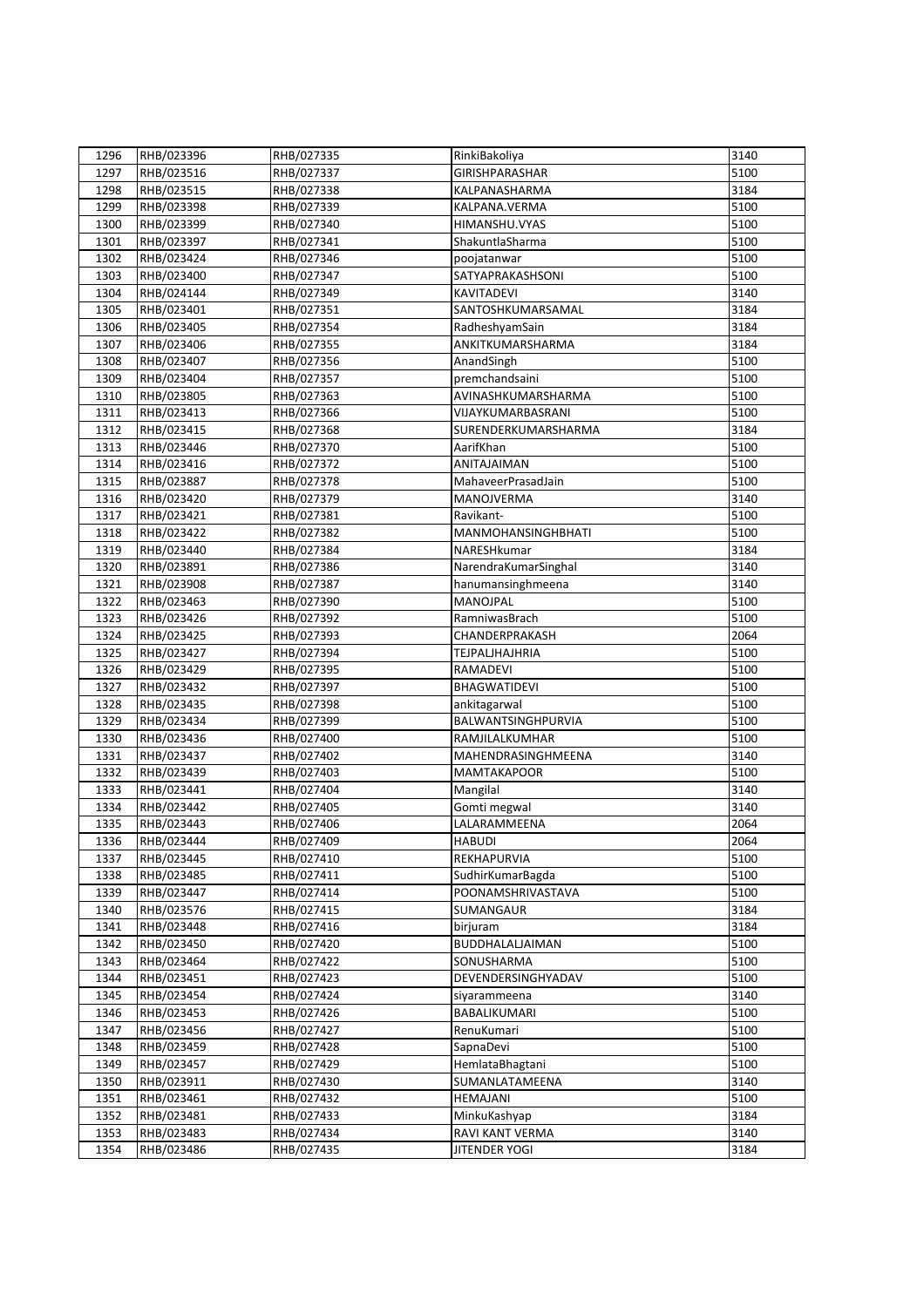| 1296 | RHB/023396 | RHB/027335 | RinkiBakoliya         | 3140 |
|------|------------|------------|-----------------------|------|
| 1297 | RHB/023516 | RHB/027337 | <b>GIRISHPARASHAR</b> | 5100 |
| 1298 | RHB/023515 | RHB/027338 | KALPANASHARMA         | 3184 |
| 1299 | RHB/023398 | RHB/027339 | KALPANA.VERMA         | 5100 |
| 1300 | RHB/023399 | RHB/027340 | HIMANSHU.VYAS         | 5100 |
| 1301 | RHB/023397 | RHB/027341 | ShakuntlaSharma       | 5100 |
| 1302 | RHB/023424 | RHB/027346 | poojatanwar           | 5100 |
| 1303 | RHB/023400 | RHB/027347 | SATYAPRAKASHSONI      | 5100 |
| 1304 | RHB/024144 | RHB/027349 | KAVITADEVI            | 3140 |
| 1305 | RHB/023401 | RHB/027351 | SANTOSHKUMARSAMAL     | 3184 |
| 1306 | RHB/023405 | RHB/027354 | RadheshyamSain        | 3184 |
| 1307 | RHB/023406 | RHB/027355 | ANKITKUMARSHARMA      | 3184 |
| 1308 | RHB/023407 | RHB/027356 | AnandSingh            | 5100 |
|      |            |            | premchandsaini        | 5100 |
| 1309 | RHB/023404 | RHB/027357 |                       | 5100 |
| 1310 | RHB/023805 | RHB/027363 | AVINASHKUMARSHARMA    |      |
| 1311 | RHB/023413 | RHB/027366 | VIJAYKUMARBASRANI     | 5100 |
| 1312 | RHB/023415 | RHB/027368 | SURENDERKUMARSHARMA   | 3184 |
| 1313 | RHB/023446 | RHB/027370 | AarifKhan             | 5100 |
| 1314 | RHB/023416 | RHB/027372 | ANITAJAIMAN           | 5100 |
| 1315 | RHB/023887 | RHB/027378 | MahaveerPrasadJain    | 5100 |
| 1316 | RHB/023420 | RHB/027379 | MANOJVERMA            | 3140 |
| 1317 | RHB/023421 | RHB/027381 | Ravikant-             | 5100 |
| 1318 | RHB/023422 | RHB/027382 | MANMOHANSINGHBHATI    | 5100 |
| 1319 | RHB/023440 | RHB/027384 | NARESHkumar           | 3184 |
| 1320 | RHB/023891 | RHB/027386 | NarendraKumarSinghal  | 3140 |
| 1321 | RHB/023908 | RHB/027387 | hanumansinghmeena     | 3140 |
| 1322 | RHB/023463 | RHB/027390 | MANOJPAL              | 5100 |
| 1323 | RHB/023426 | RHB/027392 | RamniwasBrach         | 5100 |
| 1324 | RHB/023425 | RHB/027393 | CHANDERPRAKASH        | 2064 |
| 1325 | RHB/023427 | RHB/027394 | <b>TEJPALJHAJHRIA</b> | 5100 |
| 1326 | RHB/023429 | RHB/027395 | RAMADEVI              | 5100 |
| 1327 | RHB/023432 | RHB/027397 | BHAGWATIDEVI          | 5100 |
| 1328 | RHB/023435 | RHB/027398 | ankitagarwal          | 5100 |
| 1329 | RHB/023434 | RHB/027399 | BALWANTSINGHPURVIA    | 5100 |
| 1330 | RHB/023436 | RHB/027400 | RAMJILALKUMHAR        | 5100 |
| 1331 | RHB/023437 | RHB/027402 | MAHENDRASINGHMEENA    | 3140 |
| 1332 | RHB/023439 | RHB/027403 | <b>MAMTAKAPOOR</b>    | 5100 |
| 1333 | RHB/023441 | RHB/027404 | Mangilal              | 3140 |
| 1334 | RHB/023442 | RHB/027405 | Gomti megwal          | 3140 |
| 1335 | RHB/023443 | RHB/027406 | LALARAMMEENA          | 2064 |
| 1336 | RHB/023444 | RHB/027409 | <b>HABUDI</b>         | 2064 |
| 1337 | RHB/023445 | RHB/027410 | REKHAPURVIA           | 5100 |
| 1338 | RHB/023485 | RHB/027411 | SudhirKumarBagda      | 5100 |
| 1339 | RHB/023447 | RHB/027414 | POONAMSHRIVASTAVA     | 5100 |
| 1340 | RHB/023576 | RHB/027415 | SUMANGAUR             | 3184 |
| 1341 | RHB/023448 | RHB/027416 | birjuram              | 3184 |
| 1342 | RHB/023450 | RHB/027420 | BUDDHALALJAIMAN       | 5100 |
| 1343 | RHB/023464 | RHB/027422 | SONUSHARMA            | 5100 |
| 1344 | RHB/023451 | RHB/027423 | DEVENDERSINGHYADAV    | 5100 |
| 1345 | RHB/023454 | RHB/027424 | siyarammeena          | 3140 |
| 1346 | RHB/023453 | RHB/027426 | BABALIKUMARI          | 5100 |
| 1347 | RHB/023456 | RHB/027427 | RenuKumari            | 5100 |
| 1348 | RHB/023459 | RHB/027428 | SapnaDevi             | 5100 |
| 1349 | RHB/023457 | RHB/027429 | HemlataBhagtani       | 5100 |
| 1350 | RHB/023911 | RHB/027430 | SUMANLATAMEENA        | 3140 |
| 1351 | RHB/023461 | RHB/027432 | <b>HEMAJANI</b>       | 5100 |
| 1352 | RHB/023481 | RHB/027433 | MinkuKashyap          | 3184 |
| 1353 | RHB/023483 | RHB/027434 | RAVI KANT VERMA       | 3140 |
| 1354 | RHB/023486 | RHB/027435 | <b>JITENDER YOGI</b>  | 3184 |
|      |            |            |                       |      |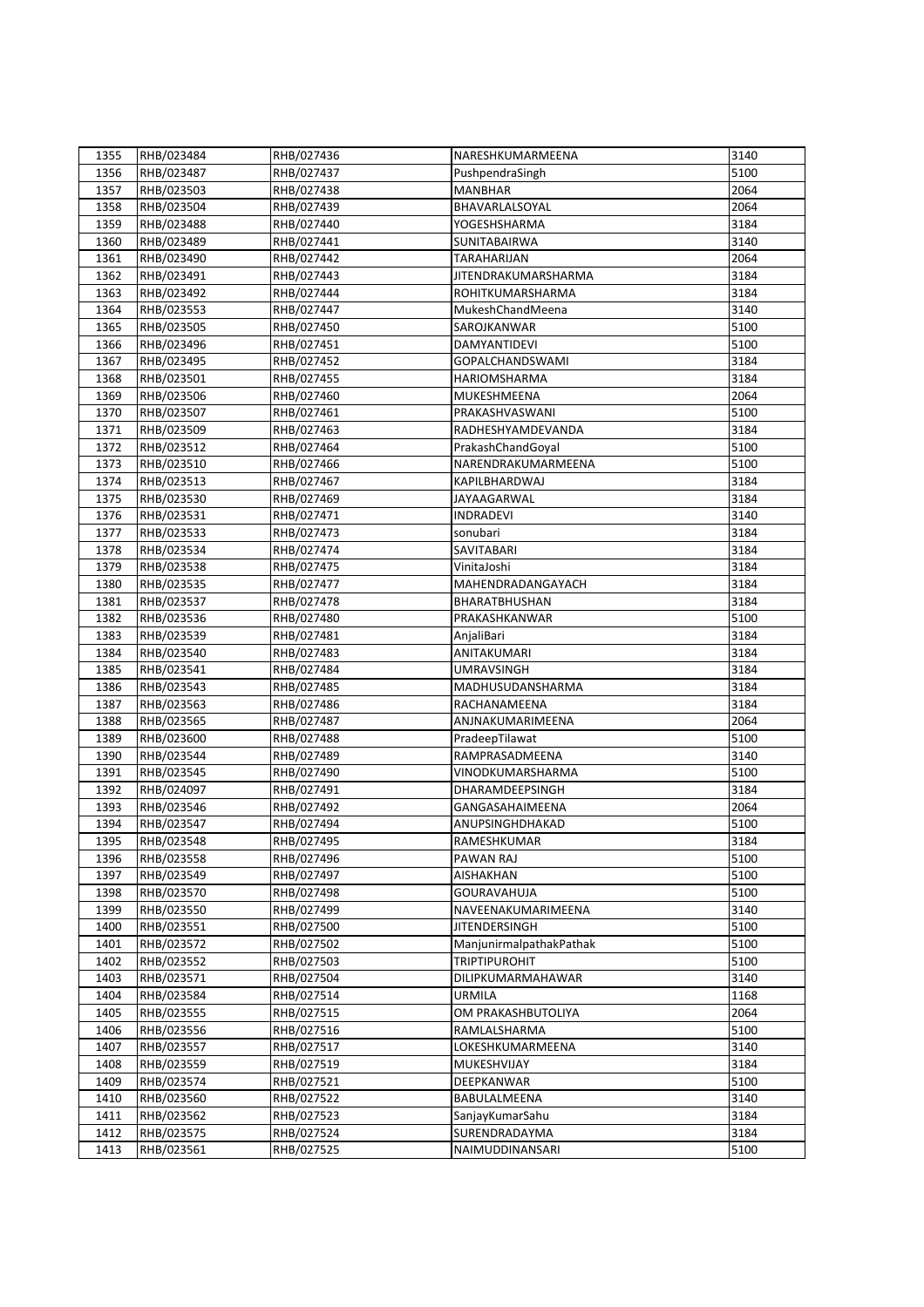| 1355 | RHB/023484 | RHB/027436 | NARESHKUMARMEENA                                | 3140 |
|------|------------|------------|-------------------------------------------------|------|
| 1356 | RHB/023487 | RHB/027437 | PushpendraSingh                                 | 5100 |
| 1357 | RHB/023503 | RHB/027438 | <b>MANBHAR</b>                                  | 2064 |
| 1358 | RHB/023504 | RHB/027439 | BHAVARLALSOYAL                                  | 2064 |
| 1359 | RHB/023488 | RHB/027440 | YOGESHSHARMA                                    | 3184 |
| 1360 | RHB/023489 | RHB/027441 | SUNITABAIRWA                                    | 3140 |
| 1361 | RHB/023490 | RHB/027442 | <b>TARAHARIJAN</b>                              | 2064 |
| 1362 | RHB/023491 | RHB/027443 | <b>JITENDRAKUMARSHARMA</b>                      | 3184 |
| 1363 | RHB/023492 | RHB/027444 | ROHITKUMARSHARMA                                | 3184 |
| 1364 | RHB/023553 | RHB/027447 | MukeshChandMeena                                | 3140 |
| 1365 | RHB/023505 | RHB/027450 | SAROJKANWAR                                     | 5100 |
| 1366 | RHB/023496 | RHB/027451 | DAMYANTIDEVI                                    | 5100 |
| 1367 | RHB/023495 | RHB/027452 | <b>GOPALCHANDSWAMI</b>                          | 3184 |
| 1368 | RHB/023501 | RHB/027455 | <b>HARIOMSHARMA</b>                             | 3184 |
| 1369 | RHB/023506 | RHB/027460 | MUKESHMEENA                                     | 2064 |
| 1370 | RHB/023507 | RHB/027461 | PRAKASHVASWANI                                  | 5100 |
| 1371 | RHB/023509 | RHB/027463 | RADHESHYAMDEVANDA                               | 3184 |
| 1372 | RHB/023512 |            | PrakashChandGoyal                               | 5100 |
|      |            | RHB/027464 |                                                 |      |
| 1373 | RHB/023510 | RHB/027466 | NARENDRAKUMARMEENA                              | 5100 |
| 1374 | RHB/023513 | RHB/027467 | KAPILBHARDWAJ                                   | 3184 |
| 1375 | RHB/023530 | RHB/027469 | JAYAAGARWAL                                     | 3184 |
| 1376 | RHB/023531 | RHB/027471 | <b>INDRADEVI</b>                                | 3140 |
| 1377 | RHB/023533 | RHB/027473 | sonubari                                        | 3184 |
| 1378 | RHB/023534 | RHB/027474 | SAVITABARI                                      | 3184 |
| 1379 | RHB/023538 | RHB/027475 | VinitaJoshi                                     | 3184 |
| 1380 | RHB/023535 | RHB/027477 | MAHENDRADANGAYACH                               | 3184 |
| 1381 | RHB/023537 | RHB/027478 | BHARATBHUSHAN                                   | 3184 |
| 1382 | RHB/023536 | RHB/027480 | PRAKASHKANWAR                                   | 5100 |
| 1383 | RHB/023539 | RHB/027481 | AnjaliBari                                      | 3184 |
| 1384 | RHB/023540 | RHB/027483 | ANITAKUMARI                                     | 3184 |
| 1385 | RHB/023541 | RHB/027484 | <b>UMRAVSINGH</b>                               | 3184 |
| 1386 | RHB/023543 | RHB/027485 | MADHUSUDANSHARMA                                | 3184 |
| 1387 | RHB/023563 | RHB/027486 | RACHANAMEENA                                    | 3184 |
| 1388 | RHB/023565 | RHB/027487 | ANJNAKUMARIMEENA                                | 2064 |
| 1389 | RHB/023600 | RHB/027488 | PradeepTilawat                                  | 5100 |
| 1390 | RHB/023544 | RHB/027489 | RAMPRASADMEENA                                  | 3140 |
| 1391 | RHB/023545 | RHB/027490 | VINODKUMARSHARMA                                | 5100 |
| 1392 | RHB/024097 | RHB/027491 | DHARAMDEEPSINGH                                 | 3184 |
| 1393 | RHB/023546 | RHB/027492 | GANGASAHAIMEENA                                 | 2064 |
| 1394 | RHB/023547 | RHB/027494 | ANUPSINGHDHAKAD                                 | 5100 |
| 1395 | RHB/023548 | RHB/027495 | RAMESHKUMAR                                     | 3184 |
| 1396 | RHB/023558 | RHB/027496 | PAWAN RAJ                                       | 5100 |
| 1397 | RHB/023549 | RHB/027497 | AISHAKHAN                                       | 5100 |
| 1398 | RHB/023570 | RHB/027498 | <b>GOURAVAHUJA</b>                              | 5100 |
| 1399 | RHB/023550 | RHB/027499 | NAVEENAKUMARIMEENA                              | 3140 |
| 1400 | RHB/023551 | RHB/027500 | <b>JITENDERSINGH</b>                            | 5100 |
| 1401 | RHB/023572 | RHB/027502 |                                                 | 5100 |
| 1402 | RHB/023552 | RHB/027503 | ManjunirmalpathakPathak<br><b>TRIPTIPUROHIT</b> | 5100 |
|      |            |            |                                                 |      |
| 1403 | RHB/023571 | RHB/027504 | DILIPKUMARMAHAWAR                               | 3140 |
| 1404 | RHB/023584 | RHB/027514 | <b>URMILA</b>                                   | 1168 |
| 1405 | RHB/023555 | RHB/027515 | OM PRAKASHBUTOLIYA                              | 2064 |
| 1406 | RHB/023556 | RHB/027516 | RAMLALSHARMA                                    | 5100 |
| 1407 | RHB/023557 | RHB/027517 | LOKESHKUMARMEENA                                | 3140 |
| 1408 | RHB/023559 | RHB/027519 | MUKESHVIJAY                                     | 3184 |
| 1409 | RHB/023574 | RHB/027521 | DEEPKANWAR                                      | 5100 |
| 1410 | RHB/023560 | RHB/027522 | BABULALMEENA                                    | 3140 |
| 1411 | RHB/023562 | RHB/027523 | SanjayKumarSahu                                 | 3184 |
| 1412 | RHB/023575 | RHB/027524 | SURENDRADAYMA                                   | 3184 |
| 1413 | RHB/023561 | RHB/027525 | NAIMUDDINANSARI                                 | 5100 |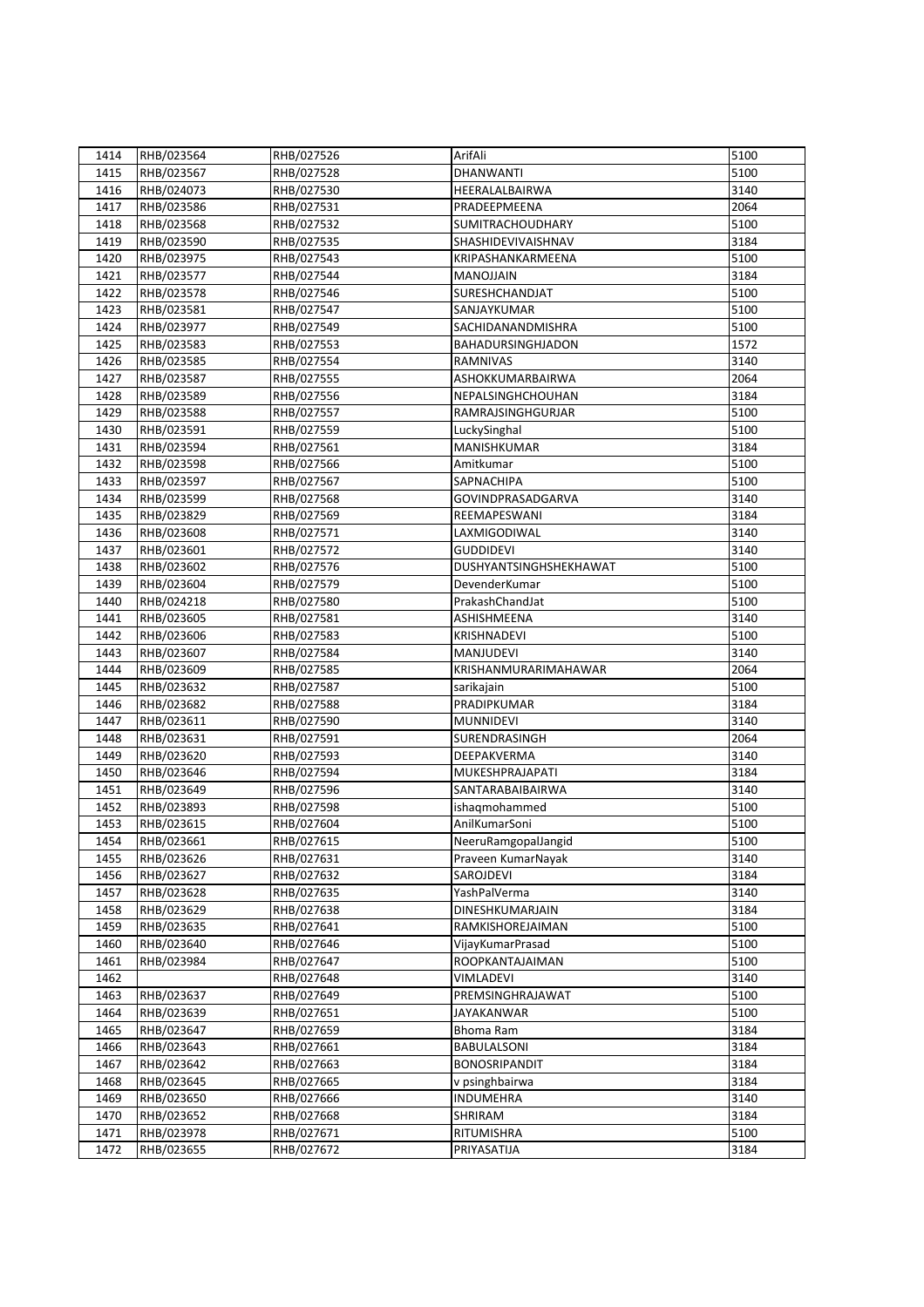| 1414 | RHB/023564 | RHB/027526 | ArifAli                        | 5100         |
|------|------------|------------|--------------------------------|--------------|
| 1415 | RHB/023567 | RHB/027528 | <b>DHANWANTI</b>               | 5100         |
|      |            |            | HEERALALBAIRWA                 | 3140         |
| 1416 | RHB/024073 | RHB/027530 |                                |              |
| 1417 | RHB/023586 | RHB/027531 | PRADEEPMEENA                   | 2064         |
| 1418 | RHB/023568 | RHB/027532 | <b>SUMITRACHOUDHARY</b>        | 5100         |
| 1419 | RHB/023590 | RHB/027535 | SHASHIDEVIVAISHNAV             | 3184         |
| 1420 | RHB/023975 | RHB/027543 | KRIPASHANKARMEENA              | 5100         |
| 1421 | RHB/023577 | RHB/027544 | MANOJJAIN                      | 3184         |
| 1422 | RHB/023578 | RHB/027546 | SURESHCHANDJAT                 | 5100         |
| 1423 | RHB/023581 | RHB/027547 | SANJAYKUMAR                    | 5100         |
| 1424 | RHB/023977 | RHB/027549 | SACHIDANANDMISHRA              | 5100         |
| 1425 | RHB/023583 | RHB/027553 | BAHADURSINGHJADON              | 1572         |
| 1426 | RHB/023585 | RHB/027554 | RAMNIVAS                       | 3140         |
| 1427 | RHB/023587 | RHB/027555 | ASHOKKUMARBAIRWA               | 2064         |
| 1428 | RHB/023589 | RHB/027556 | NEPALSINGHCHOUHAN              | 3184         |
| 1429 | RHB/023588 | RHB/027557 | RAMRAJSINGHGURJAR              | 5100         |
| 1430 | RHB/023591 | RHB/027559 | LuckySinghal                   | 5100         |
| 1431 | RHB/023594 | RHB/027561 | MANISHKUMAR                    | 3184         |
| 1432 | RHB/023598 | RHB/027566 | Amitkumar                      | 5100         |
| 1433 | RHB/023597 | RHB/027567 | SAPNACHIPA                     | 5100         |
| 1434 | RHB/023599 | RHB/027568 | GOVINDPRASADGARVA              | 3140         |
| 1435 | RHB/023829 | RHB/027569 | REEMAPESWANI                   | 3184         |
| 1436 | RHB/023608 | RHB/027571 | LAXMIGODIWAL                   | 3140         |
| 1437 | RHB/023601 | RHB/027572 | <b>GUDDIDEVI</b>               | 3140         |
| 1438 | RHB/023602 | RHB/027576 | DUSHYANTSINGHSHEKHAWAT         | 5100         |
| 1439 | RHB/023604 | RHB/027579 | DevenderKumar                  | 5100         |
| 1440 | RHB/024218 | RHB/027580 | PrakashChandJat                | 5100         |
| 1441 | RHB/023605 | RHB/027581 | ASHISHMEENA                    | 3140         |
| 1442 | RHB/023606 | RHB/027583 | KRISHNADEVI                    | 5100         |
| 1443 | RHB/023607 | RHB/027584 | <b>MANJUDEVI</b>               | 3140         |
| 1444 | RHB/023609 | RHB/027585 | KRISHANMURARIMAHAWAR           | 2064         |
| 1445 | RHB/023632 | RHB/027587 | sarikajain                     | 5100         |
| 1446 | RHB/023682 | RHB/027588 | PRADIPKUMAR                    | 3184         |
| 1447 | RHB/023611 | RHB/027590 | <b>MUNNIDEVI</b>               | 3140         |
| 1448 | RHB/023631 | RHB/027591 | SURENDRASINGH                  | 2064         |
| 1449 | RHB/023620 | RHB/027593 | DEEPAKVERMA                    | 3140         |
| 1450 | RHB/023646 | RHB/027594 | MUKESHPRAJAPATI                | 3184         |
|      | RHB/023649 |            | SANTARABAIBAIRWA               | 3140         |
| 1451 |            | RHB/027596 |                                |              |
| 1452 | RHB/023893 | RHB/027598 | ishaqmohammed<br>AnilKumarSoni | 5100<br>5100 |
| 1453 | RHB/023615 | RHB/027604 |                                |              |
| 1454 | RHB/023661 | RHB/027615 | NeeruRamgopalJangid            | 5100         |
| 1455 | RHB/023626 | RHB/027631 | Praveen KumarNayak             | 3140         |
| 1456 | RHB/023627 | RHB/027632 | SAROJDEVI                      | 3184         |
| 1457 | RHB/023628 | RHB/027635 | YashPalVerma                   | 3140         |
| 1458 | RHB/023629 | RHB/027638 | DINESHKUMARJAIN                | 3184         |
| 1459 | RHB/023635 | RHB/027641 | RAMKISHOREJAIMAN               | 5100         |
| 1460 | RHB/023640 | RHB/027646 | VijayKumarPrasad               | 5100         |
| 1461 | RHB/023984 | RHB/027647 | ROOPKANTAJAIMAN                | 5100         |
| 1462 |            | RHB/027648 | <b>VIMLADEVI</b>               | 3140         |
| 1463 | RHB/023637 | RHB/027649 | PREMSINGHRAJAWAT               | 5100         |
| 1464 | RHB/023639 | RHB/027651 | <b>JAYAKANWAR</b>              | 5100         |
| 1465 | RHB/023647 | RHB/027659 | <b>Bhoma Ram</b>               | 3184         |
| 1466 | RHB/023643 | RHB/027661 | <b>BABULALSONI</b>             | 3184         |
| 1467 | RHB/023642 | RHB/027663 | <b>BONOSRIPANDIT</b>           | 3184         |
| 1468 | RHB/023645 | RHB/027665 | v psinghbairwa                 | 3184         |
| 1469 | RHB/023650 | RHB/027666 | <b>INDUMEHRA</b>               | 3140         |
| 1470 | RHB/023652 | RHB/027668 | SHRIRAM                        | 3184         |
| 1471 | RHB/023978 | RHB/027671 | RITUMISHRA                     | 5100         |
| 1472 | RHB/023655 | RHB/027672 | PRIYASATIJA                    | 3184         |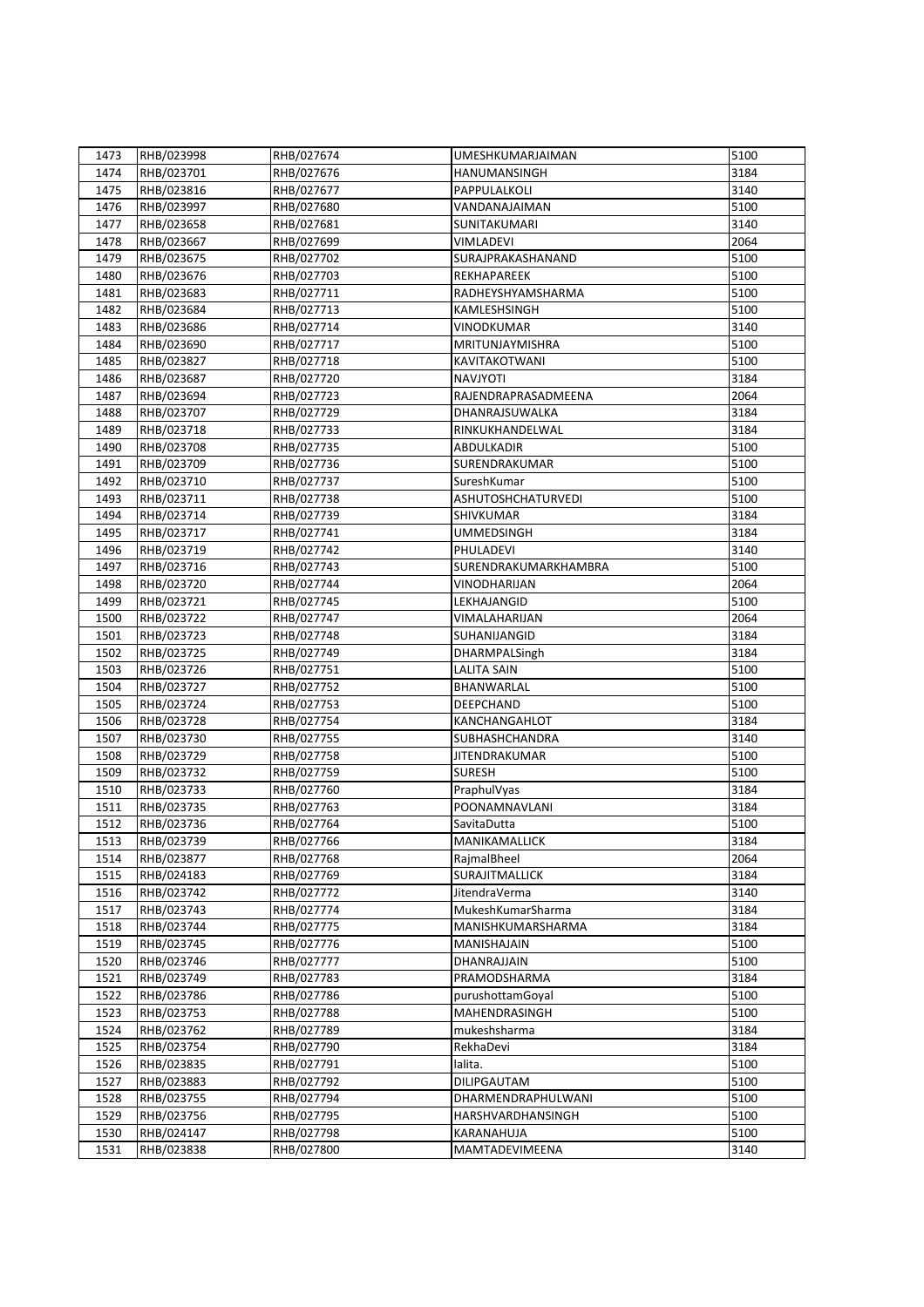| 1473 | RHB/023998 | RHB/027674 | UMESHKUMARJAIMAN      | 5100 |
|------|------------|------------|-----------------------|------|
| 1474 | RHB/023701 | RHB/027676 | HANUMANSINGH          | 3184 |
| 1475 | RHB/023816 | RHB/027677 | PAPPULALKOLI          | 3140 |
| 1476 | RHB/023997 | RHB/027680 | VANDANAJAIMAN         | 5100 |
| 1477 | RHB/023658 | RHB/027681 | SUNITAKUMARI          | 3140 |
| 1478 | RHB/023667 | RHB/027699 | <b>VIMLADEVI</b>      | 2064 |
| 1479 | RHB/023675 | RHB/027702 | SURAJPRAKASHANAND     | 5100 |
| 1480 | RHB/023676 | RHB/027703 | REKHAPAREEK           | 5100 |
| 1481 | RHB/023683 | RHB/027711 | RADHEYSHYAMSHARMA     | 5100 |
| 1482 | RHB/023684 | RHB/027713 | KAMLESHSINGH          | 5100 |
| 1483 | RHB/023686 | RHB/027714 | VINODKUMAR            | 3140 |
| 1484 | RHB/023690 | RHB/027717 | MRITUNJAYMISHRA       | 5100 |
| 1485 | RHB/023827 | RHB/027718 | KAVITAKOTWANI         | 5100 |
| 1486 | RHB/023687 | RHB/027720 | <b>NAVJYOTI</b>       | 3184 |
| 1487 | RHB/023694 | RHB/027723 | RAJENDRAPRASADMEENA   | 2064 |
| 1488 | RHB/023707 | RHB/027729 | DHANRAJSUWALKA        | 3184 |
| 1489 | RHB/023718 | RHB/027733 | RINKUKHANDELWAL       | 3184 |
| 1490 | RHB/023708 | RHB/027735 | <b>ABDULKADIR</b>     | 5100 |
| 1491 | RHB/023709 | RHB/027736 | SURENDRAKUMAR         | 5100 |
| 1492 | RHB/023710 | RHB/027737 | SureshKumar           | 5100 |
| 1493 | RHB/023711 | RHB/027738 | ASHUTOSHCHATURVEDI    | 5100 |
| 1494 | RHB/023714 | RHB/027739 | SHIVKUMAR             | 3184 |
| 1495 | RHB/023717 | RHB/027741 | <b>UMMEDSINGH</b>     | 3184 |
| 1496 | RHB/023719 | RHB/027742 | PHULADEVI             | 3140 |
| 1497 | RHB/023716 | RHB/027743 | SURENDRAKUMARKHAMBRA  | 5100 |
| 1498 | RHB/023720 | RHB/027744 | VINODHARIJAN          | 2064 |
| 1499 | RHB/023721 | RHB/027745 | LEKHAJANGID           | 5100 |
| 1500 | RHB/023722 | RHB/027747 | VIMALAHARIJAN         | 2064 |
| 1501 | RHB/023723 | RHB/027748 | SUHANIJANGID          | 3184 |
| 1502 | RHB/023725 | RHB/027749 | <b>DHARMPALSingh</b>  | 3184 |
| 1503 | RHB/023726 | RHB/027751 | <b>LALITA SAIN</b>    | 5100 |
| 1504 | RHB/023727 | RHB/027752 | BHANWARLAL            | 5100 |
| 1505 | RHB/023724 | RHB/027753 | DEEPCHAND             | 5100 |
| 1506 | RHB/023728 | RHB/027754 | KANCHANGAHLOT         | 3184 |
| 1507 | RHB/023730 | RHB/027755 | <b>SUBHASHCHANDRA</b> | 3140 |
| 1508 | RHB/023729 | RHB/027758 | <b>JITENDRAKUMAR</b>  | 5100 |
| 1509 | RHB/023732 | RHB/027759 | <b>SURESH</b>         | 5100 |
| 1510 | RHB/023733 | RHB/027760 | PraphulVyas           | 3184 |
| 1511 | RHB/023735 | RHB/027763 | POONAMNAVLANI         | 3184 |
| 1512 | RHB/023736 | RHB/027764 | SavitaDutta           | 5100 |
| 1513 | RHB/023739 | RHB/027766 | MANIKAMALLICK         | 3184 |
| 1514 | RHB/023877 | RHB/027768 | RajmalBheel           | 2064 |
| 1515 | RHB/024183 | RHB/027769 | <b>SURAJITMALLICK</b> | 3184 |
| 1516 | RHB/023742 | RHB/027772 | JitendraVerma         | 3140 |
| 1517 | RHB/023743 | RHB/027774 | MukeshKumarSharma     | 3184 |
| 1518 | RHB/023744 | RHB/027775 | MANISHKUMARSHARMA     | 3184 |
| 1519 | RHB/023745 | RHB/027776 | MANISHAJAIN           | 5100 |
| 1520 | RHB/023746 | RHB/027777 | DHANRAJJAIN           | 5100 |
| 1521 | RHB/023749 | RHB/027783 | PRAMODSHARMA          | 3184 |
| 1522 | RHB/023786 | RHB/027786 | purushottamGoyal      | 5100 |
| 1523 | RHB/023753 | RHB/027788 | MAHENDRASINGH         | 5100 |
| 1524 | RHB/023762 | RHB/027789 | mukeshsharma          | 3184 |
| 1525 | RHB/023754 | RHB/027790 | RekhaDevi             | 3184 |
| 1526 | RHB/023835 | RHB/027791 | lalita.               | 5100 |
| 1527 | RHB/023883 | RHB/027792 | <b>DILIPGAUTAM</b>    | 5100 |
| 1528 | RHB/023755 | RHB/027794 | DHARMENDRAPHULWANI    | 5100 |
| 1529 | RHB/023756 | RHB/027795 | HARSHVARDHANSINGH     | 5100 |
| 1530 | RHB/024147 | RHB/027798 | KARANAHUJA            | 5100 |
| 1531 | RHB/023838 | RHB/027800 | MAMTADEVIMEENA        | 3140 |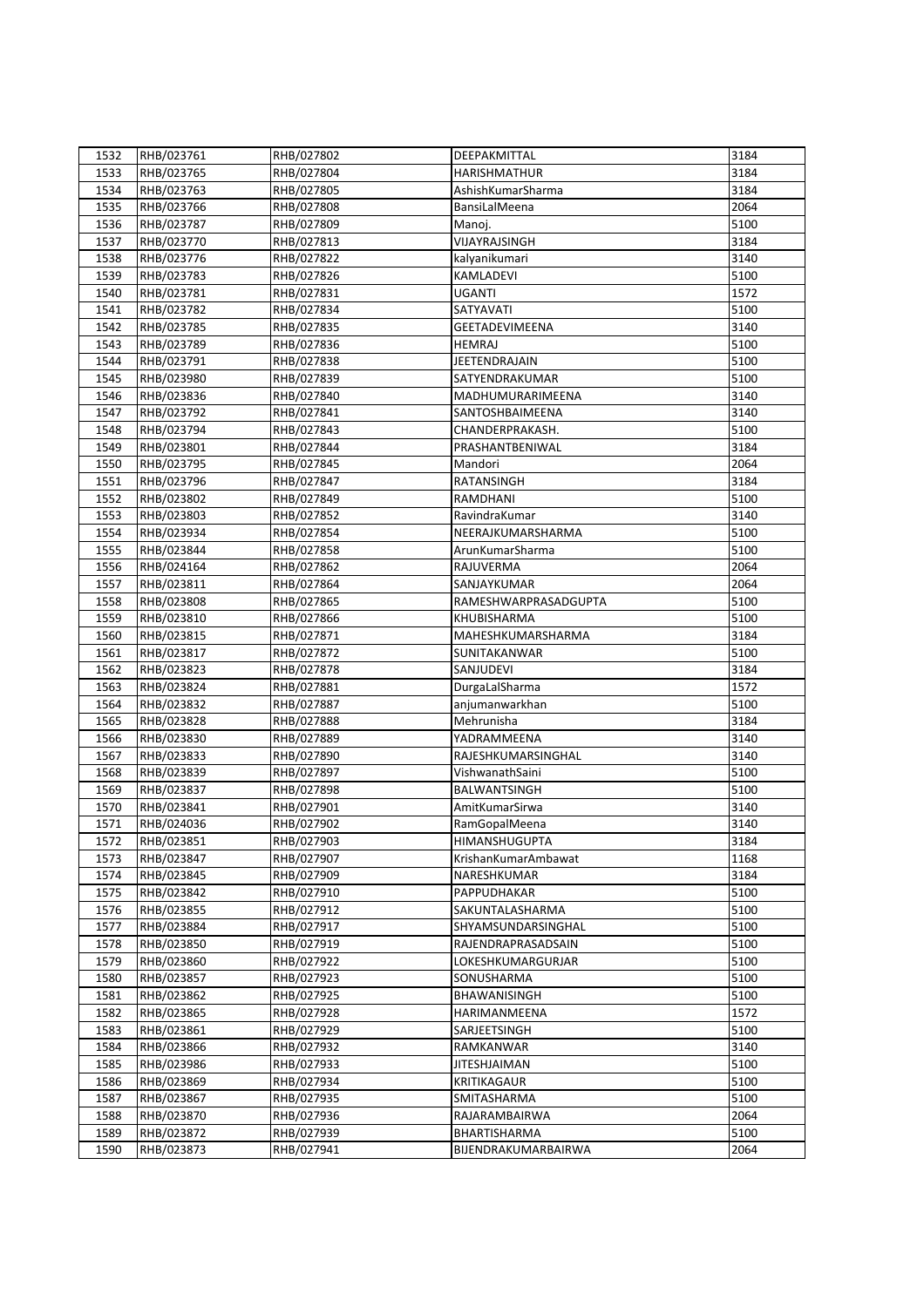| 1532 | RHB/023761 | RHB/027802 | DEEPAKMITTAL          | 3184 |
|------|------------|------------|-----------------------|------|
| 1533 | RHB/023765 | RHB/027804 | <b>HARISHMATHUR</b>   | 3184 |
| 1534 | RHB/023763 | RHB/027805 | AshishKumarSharma     | 3184 |
| 1535 | RHB/023766 | RHB/027808 | BansiLalMeena         | 2064 |
| 1536 | RHB/023787 | RHB/027809 | Manoj.                | 5100 |
| 1537 | RHB/023770 | RHB/027813 | VIJAYRAJSINGH         | 3184 |
| 1538 | RHB/023776 | RHB/027822 | kalyanikumari         | 3140 |
| 1539 | RHB/023783 | RHB/027826 | KAMLADEVI             | 5100 |
| 1540 | RHB/023781 | RHB/027831 | <b>UGANTI</b>         | 1572 |
| 1541 | RHB/023782 | RHB/027834 | SATYAVATI             | 5100 |
| 1542 | RHB/023785 | RHB/027835 | <b>GEETADEVIMEENA</b> | 3140 |
| 1543 | RHB/023789 | RHB/027836 | <b>HEMRAJ</b>         | 5100 |
| 1544 | RHB/023791 | RHB/027838 | JEETENDRAJAIN         | 5100 |
| 1545 | RHB/023980 | RHB/027839 | SATYENDRAKUMAR        | 5100 |
| 1546 | RHB/023836 | RHB/027840 | MADHUMURARIMEENA      | 3140 |
| 1547 | RHB/023792 | RHB/027841 | SANTOSHBAIMEENA       | 3140 |
| 1548 |            |            | CHANDERPRAKASH.       | 5100 |
|      | RHB/023794 | RHB/027843 |                       |      |
| 1549 | RHB/023801 | RHB/027844 | PRASHANTBENIWAL       | 3184 |
| 1550 | RHB/023795 | RHB/027845 | Mandori               | 2064 |
| 1551 | RHB/023796 | RHB/027847 | <b>RATANSINGH</b>     | 3184 |
| 1552 | RHB/023802 | RHB/027849 | RAMDHANI              | 5100 |
| 1553 | RHB/023803 | RHB/027852 | RavindraKumar         | 3140 |
| 1554 | RHB/023934 | RHB/027854 | NEERAJKUMARSHARMA     | 5100 |
| 1555 | RHB/023844 | RHB/027858 | ArunKumarSharma       | 5100 |
| 1556 | RHB/024164 | RHB/027862 | RAJUVERMA             | 2064 |
| 1557 | RHB/023811 | RHB/027864 | SANJAYKUMAR           | 2064 |
| 1558 | RHB/023808 | RHB/027865 | RAMESHWARPRASADGUPTA  | 5100 |
| 1559 | RHB/023810 | RHB/027866 | KHUBISHARMA           | 5100 |
| 1560 | RHB/023815 | RHB/027871 | MAHESHKUMARSHARMA     | 3184 |
| 1561 | RHB/023817 | RHB/027872 | SUNITAKANWAR          | 5100 |
| 1562 | RHB/023823 | RHB/027878 | <b>SANJUDEVI</b>      | 3184 |
| 1563 | RHB/023824 | RHB/027881 | DurgaLalSharma        | 1572 |
| 1564 | RHB/023832 | RHB/027887 | anjumanwarkhan        | 5100 |
| 1565 | RHB/023828 | RHB/027888 | Mehrunisha            | 3184 |
| 1566 | RHB/023830 | RHB/027889 | YADRAMMEENA           | 3140 |
| 1567 | RHB/023833 | RHB/027890 | RAJESHKUMARSINGHAL    | 3140 |
| 1568 | RHB/023839 | RHB/027897 | VishwanathSaini       | 5100 |
| 1569 | RHB/023837 | RHB/027898 | BALWANTSINGH          | 5100 |
| 1570 | RHB/023841 | RHB/027901 | AmitKumarSirwa        | 3140 |
| 1571 | RHB/024036 | RHB/027902 | RamGopalMeena         | 3140 |
| 1572 | RHB/023851 | RHB/027903 | <b>HIMANSHUGUPTA</b>  | 3184 |
| 1573 | RHB/023847 | RHB/027907 | KrishanKumarAmbawat   | 1168 |
| 1574 | RHB/023845 | RHB/027909 | NARESHKUMAR           | 3184 |
| 1575 | RHB/023842 | RHB/027910 | PAPPUDHAKAR           | 5100 |
| 1576 | RHB/023855 | RHB/027912 | SAKUNTALASHARMA       | 5100 |
| 1577 | RHB/023884 | RHB/027917 | SHYAMSUNDARSINGHAL    | 5100 |
| 1578 | RHB/023850 | RHB/027919 | RAJENDRAPRASADSAIN    | 5100 |
| 1579 | RHB/023860 | RHB/027922 | LOKESHKUMARGURJAR     | 5100 |
| 1580 | RHB/023857 | RHB/027923 | SONUSHARMA            | 5100 |
| 1581 | RHB/023862 | RHB/027925 | BHAWANISINGH          | 5100 |
| 1582 | RHB/023865 | RHB/027928 | HARIMANMEENA          | 1572 |
| 1583 | RHB/023861 | RHB/027929 | SARJEETSINGH          | 5100 |
| 1584 | RHB/023866 | RHB/027932 | RAMKANWAR             | 3140 |
| 1585 | RHB/023986 | RHB/027933 | <b>JITESHJAIMAN</b>   | 5100 |
| 1586 | RHB/023869 | RHB/027934 | <b>KRITIKAGAUR</b>    | 5100 |
| 1587 | RHB/023867 | RHB/027935 | SMITASHARMA           | 5100 |
| 1588 | RHB/023870 | RHB/027936 | RAJARAMBAIRWA         | 2064 |
| 1589 | RHB/023872 | RHB/027939 | <b>BHARTISHARMA</b>   | 5100 |
| 1590 | RHB/023873 | RHB/027941 | BIJENDRAKUMARBAIRWA   | 2064 |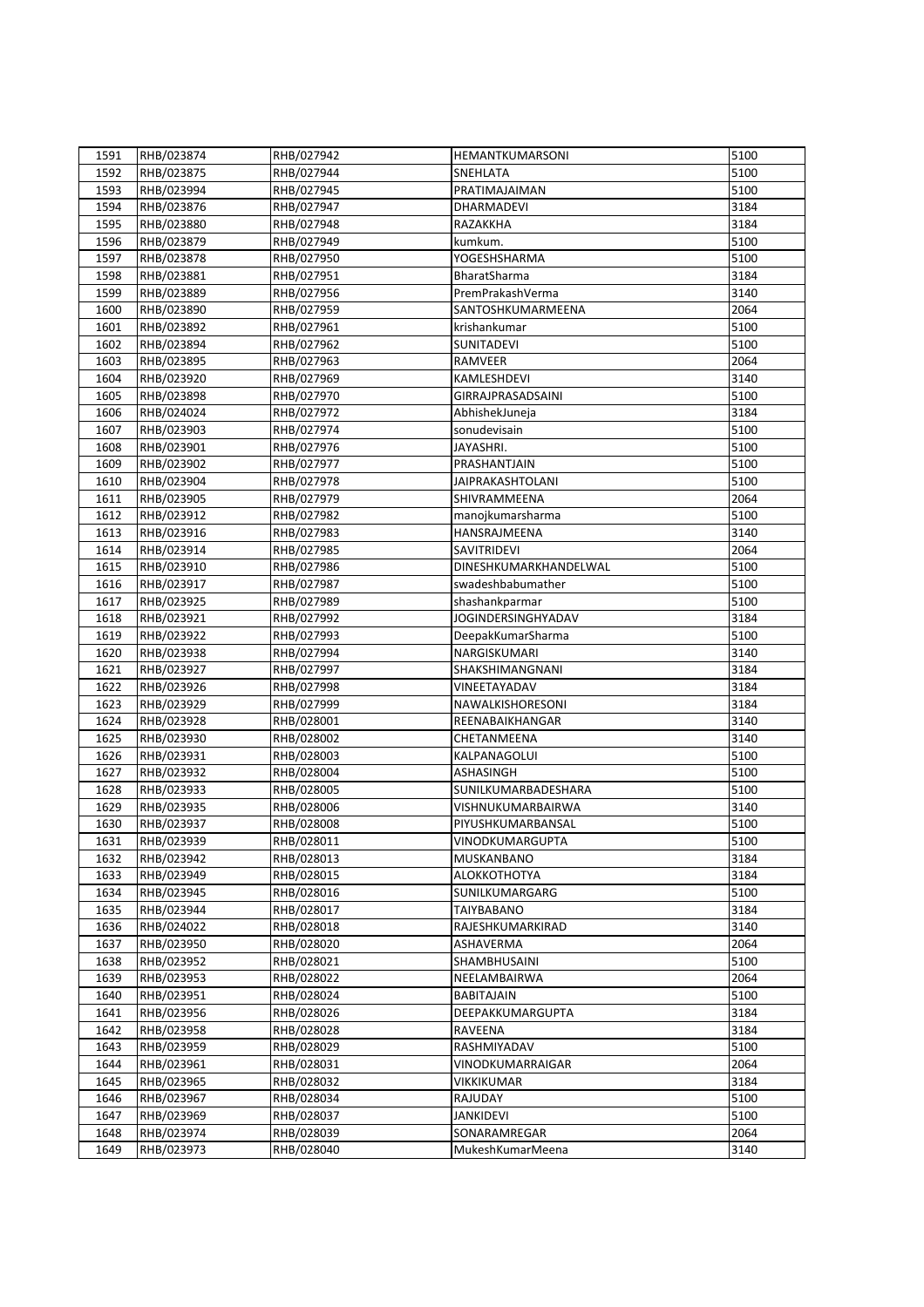| 1591 | RHB/023874 | RHB/027942 | HEMANTKUMARSONI           | 5100 |
|------|------------|------------|---------------------------|------|
| 1592 | RHB/023875 | RHB/027944 | SNEHLATA                  | 5100 |
| 1593 | RHB/023994 | RHB/027945 | PRATIMAJAIMAN             | 5100 |
| 1594 | RHB/023876 | RHB/027947 | DHARMADEVI                | 3184 |
|      |            |            |                           | 3184 |
| 1595 | RHB/023880 | RHB/027948 | RAZAKKHA                  |      |
| 1596 | RHB/023879 | RHB/027949 | kumkum.                   | 5100 |
| 1597 | RHB/023878 | RHB/027950 | YOGESHSHARMA              | 5100 |
| 1598 | RHB/023881 | RHB/027951 | BharatSharma              | 3184 |
| 1599 | RHB/023889 | RHB/027956 | PremPrakashVerma          | 3140 |
| 1600 | RHB/023890 | RHB/027959 | SANTOSHKUMARMEENA         | 2064 |
| 1601 | RHB/023892 | RHB/027961 | krishankumar              | 5100 |
| 1602 | RHB/023894 | RHB/027962 | SUNITADEVI                | 5100 |
| 1603 | RHB/023895 | RHB/027963 | RAMVEER                   | 2064 |
| 1604 | RHB/023920 | RHB/027969 | KAMLESHDEVI               | 3140 |
| 1605 | RHB/023898 | RHB/027970 | GIRRAJPRASADSAINI         | 5100 |
| 1606 | RHB/024024 | RHB/027972 | AbhishekJuneja            | 3184 |
| 1607 | RHB/023903 | RHB/027974 | sonudevisain              | 5100 |
| 1608 | RHB/023901 | RHB/027976 | JAYASHRI.                 | 5100 |
| 1609 | RHB/023902 | RHB/027977 | PRASHANTJAIN              | 5100 |
| 1610 | RHB/023904 | RHB/027978 | <b>JAIPRAKASHTOLANI</b>   | 5100 |
| 1611 | RHB/023905 | RHB/027979 | SHIVRAMMEENA              | 2064 |
| 1612 | RHB/023912 | RHB/027982 | manojkumarsharma          | 5100 |
| 1613 | RHB/023916 | RHB/027983 | HANSRAJMEENA              | 3140 |
| 1614 | RHB/023914 | RHB/027985 | SAVITRIDEVI               | 2064 |
| 1615 | RHB/023910 | RHB/027986 | DINESHKUMARKHANDELWAL     | 5100 |
| 1616 | RHB/023917 | RHB/027987 | swadeshbabumather         | 5100 |
| 1617 | RHB/023925 | RHB/027989 | shashankparmar            | 5100 |
| 1618 | RHB/023921 | RHB/027992 | <b>JOGINDERSINGHYADAV</b> | 3184 |
| 1619 | RHB/023922 | RHB/027993 | DeepakKumarSharma         | 5100 |
| 1620 | RHB/023938 | RHB/027994 | NARGISKUMARI              | 3140 |
| 1621 | RHB/023927 | RHB/027997 | SHAKSHIMANGNANI           | 3184 |
| 1622 | RHB/023926 | RHB/027998 | VINEETAYADAV              | 3184 |
| 1623 | RHB/023929 | RHB/027999 | NAWALKISHORESONI          | 3184 |
| 1624 | RHB/023928 | RHB/028001 | REENABAIKHANGAR           | 3140 |
| 1625 | RHB/023930 | RHB/028002 | CHETANMEENA               | 3140 |
| 1626 | RHB/023931 | RHB/028003 | KALPANAGOLUI              | 5100 |
| 1627 | RHB/023932 | RHB/028004 | ASHASINGH                 | 5100 |
| 1628 | RHB/023933 | RHB/028005 | SUNILKUMARBADESHARA       | 5100 |
| 1629 | RHB/023935 | RHB/028006 | VISHNUKUMARBAIRWA         | 3140 |
| 1630 | RHB/023937 | RHB/028008 | PIYUSHKUMARBANSAL         | 5100 |
| 1631 | RHB/023939 | RHB/028011 | VINODKUMARGUPTA           | 5100 |
|      |            |            |                           | 3184 |
| 1632 | RHB/023942 | RHB/028013 | MUSKANBANO                |      |
| 1633 | RHB/023949 | RHB/028015 | ALOKKOTHOTYA              | 3184 |
| 1634 | RHB/023945 | RHB/028016 | SUNILKUMARGARG            | 5100 |
| 1635 | RHB/023944 | RHB/028017 | <b>TAIYBABANO</b>         | 3184 |
| 1636 | RHB/024022 | RHB/028018 | RAJESHKUMARKIRAD          | 3140 |
| 1637 | RHB/023950 | RHB/028020 | <b>ASHAVERMA</b>          | 2064 |
| 1638 | RHB/023952 | RHB/028021 | SHAMBHUSAINI              | 5100 |
| 1639 | RHB/023953 | RHB/028022 | NEELAMBAIRWA              | 2064 |
| 1640 | RHB/023951 | RHB/028024 | <b>BABITAJAIN</b>         | 5100 |
| 1641 | RHB/023956 | RHB/028026 | DEEPAKKUMARGUPTA          | 3184 |
| 1642 | RHB/023958 | RHB/028028 | <b>RAVEENA</b>            | 3184 |
| 1643 | RHB/023959 | RHB/028029 | RASHMIYADAV               | 5100 |
| 1644 | RHB/023961 | RHB/028031 | VINODKUMARRAIGAR          | 2064 |
| 1645 | RHB/023965 | RHB/028032 | <b>VIKKIKUMAR</b>         | 3184 |
| 1646 | RHB/023967 | RHB/028034 | RAJUDAY                   | 5100 |
| 1647 | RHB/023969 | RHB/028037 | <b>JANKIDEVI</b>          | 5100 |
| 1648 | RHB/023974 | RHB/028039 | SONARAMREGAR              | 2064 |
| 1649 | RHB/023973 | RHB/028040 | MukeshKumarMeena          | 3140 |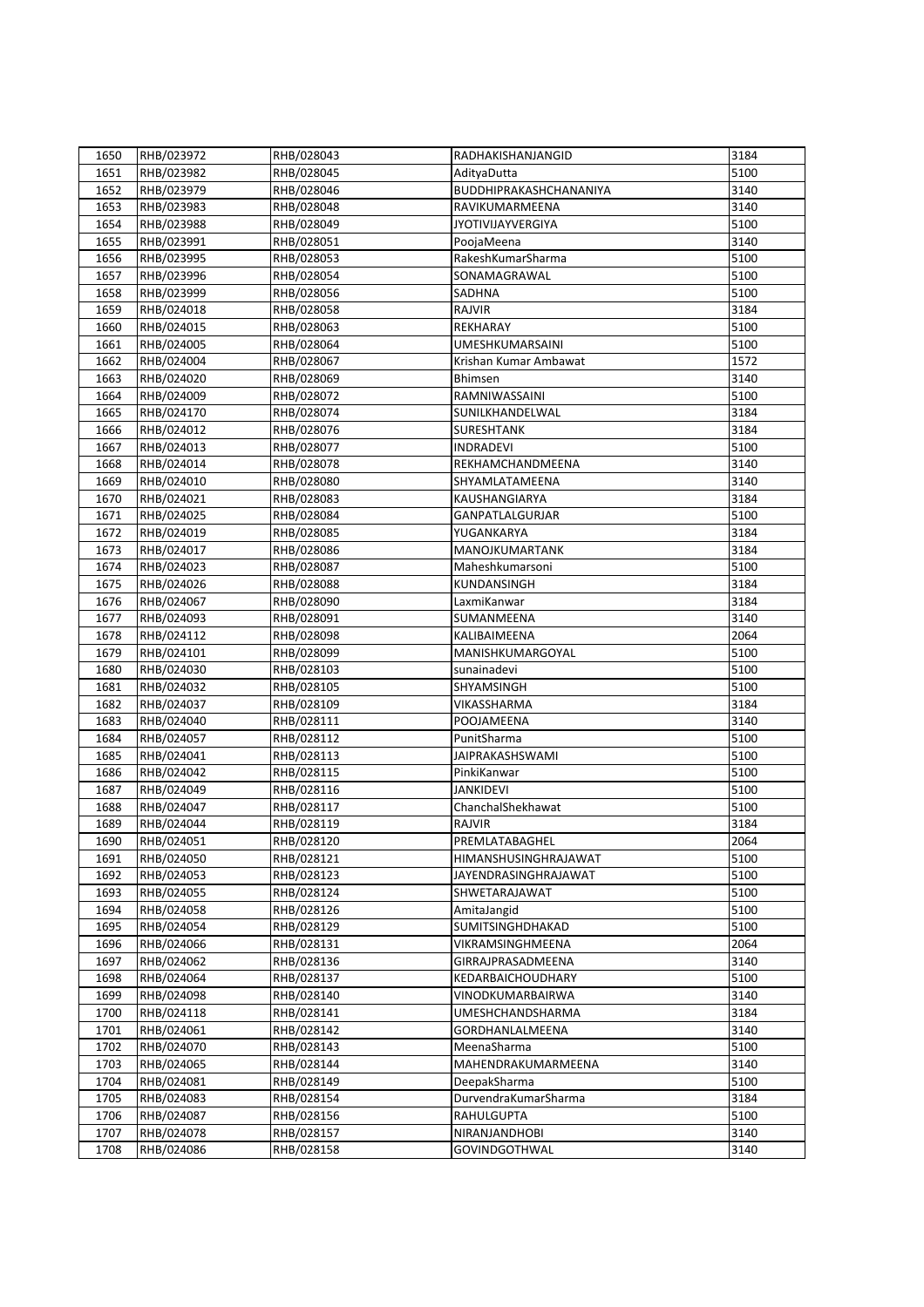| 1650         | RHB/023972 | RHB/028043 | RADHAKISHANJANGID        | 3184 |
|--------------|------------|------------|--------------------------|------|
| 1651         | RHB/023982 | RHB/028045 | AdityaDutta              | 5100 |
| 1652         | RHB/023979 | RHB/028046 | BUDDHIPRAKASHCHANANIYA   | 3140 |
| 1653         | RHB/023983 | RHB/028048 | RAVIKUMARMEENA           | 3140 |
| 1654         | RHB/023988 | RHB/028049 | <b>JYOTIVIJAYVERGIYA</b> | 5100 |
| 1655         | RHB/023991 | RHB/028051 | PoojaMeena               | 3140 |
| 1656         | RHB/023995 | RHB/028053 | RakeshKumarSharma        | 5100 |
| 1657         | RHB/023996 | RHB/028054 | SONAMAGRAWAL             | 5100 |
| 1658         | RHB/023999 | RHB/028056 | SADHNA                   | 5100 |
| 1659         | RHB/024018 | RHB/028058 | <b>RAJVIR</b>            | 3184 |
| 1660         | RHB/024015 | RHB/028063 | REKHARAY                 | 5100 |
| 1661         | RHB/024005 | RHB/028064 | <b>UMESHKUMARSAINI</b>   | 5100 |
| 1662         | RHB/024004 | RHB/028067 | Krishan Kumar Ambawat    | 1572 |
| 1663         | RHB/024020 | RHB/028069 | Bhimsen                  | 3140 |
|              | RHB/024009 | RHB/028072 | RAMNIWASSAINI            | 5100 |
| 1664<br>1665 | RHB/024170 | RHB/028074 | SUNILKHANDELWAL          | 3184 |
|              |            |            |                          | 3184 |
| 1666         | RHB/024012 | RHB/028076 | <b>SURESHTANK</b>        |      |
| 1667         | RHB/024013 | RHB/028077 | <b>INDRADEVI</b>         | 5100 |
| 1668         | RHB/024014 | RHB/028078 | REKHAMCHANDMEENA         | 3140 |
| 1669         | RHB/024010 | RHB/028080 | SHYAMLATAMEENA           | 3140 |
| 1670         | RHB/024021 | RHB/028083 | KAUSHANGIARYA            | 3184 |
| 1671         | RHB/024025 | RHB/028084 | <b>GANPATLALGURJAR</b>   | 5100 |
| 1672         | RHB/024019 | RHB/028085 | YUGANKARYA               | 3184 |
| 1673         | RHB/024017 | RHB/028086 | MANOJKUMARTANK           | 3184 |
| 1674         | RHB/024023 | RHB/028087 | Maheshkumarsoni          | 5100 |
| 1675         | RHB/024026 | RHB/028088 | KUNDANSINGH              | 3184 |
| 1676         | RHB/024067 | RHB/028090 | LaxmiKanwar              | 3184 |
| 1677         | RHB/024093 | RHB/028091 | SUMANMEENA               | 3140 |
| 1678         | RHB/024112 | RHB/028098 | KALIBAIMEENA             | 2064 |
| 1679         | RHB/024101 | RHB/028099 | MANISHKUMARGOYAL         | 5100 |
| 1680         | RHB/024030 | RHB/028103 | sunainadevi              | 5100 |
| 1681         | RHB/024032 | RHB/028105 | SHYAMSINGH               | 5100 |
| 1682         | RHB/024037 | RHB/028109 | VIKASSHARMA              | 3184 |
| 1683         | RHB/024040 | RHB/028111 | POOJAMEENA               | 3140 |
| 1684         | RHB/024057 | RHB/028112 | PunitSharma              | 5100 |
| 1685         | RHB/024041 | RHB/028113 | JAIPRAKASHSWAMI          | 5100 |
| 1686         | RHB/024042 | RHB/028115 | PinkiKanwar              | 5100 |
| 1687         | RHB/024049 | RHB/028116 | <b>JANKIDEVI</b>         | 5100 |
| 1688         | RHB/024047 | RHB/028117 | ChanchalShekhawat        | 5100 |
| 1689         | RHB/024044 | RHB/028119 | RAJVIR                   | 3184 |
| 1690         | RHB/024051 | RHB/028120 | PREMLATABAGHEL           | 2064 |
| 1691         | RHB/024050 | RHB/028121 | HIMANSHUSINGHRAJAWAT     | 5100 |
| 1692         | RHB/024053 | RHB/028123 | JAYENDRASINGHRAJAWAT     | 5100 |
| 1693         | RHB/024055 | RHB/028124 | SHWETARAJAWAT            | 5100 |
| 1694         | RHB/024058 | RHB/028126 | AmitaJangid              | 5100 |
| 1695         | RHB/024054 | RHB/028129 | SUMITSINGHDHAKAD         | 5100 |
| 1696         | RHB/024066 | RHB/028131 | VIKRAMSINGHMEENA         | 2064 |
| 1697         | RHB/024062 | RHB/028136 | GIRRAJPRASADMEENA        | 3140 |
| 1698         | RHB/024064 | RHB/028137 | KEDARBAICHOUDHARY        | 5100 |
| 1699         | RHB/024098 | RHB/028140 | VINODKUMARBAIRWA         | 3140 |
| 1700         | RHB/024118 | RHB/028141 | <b>UMESHCHANDSHARMA</b>  | 3184 |
| 1701         | RHB/024061 | RHB/028142 | GORDHANLALMEENA          | 3140 |
| 1702         | RHB/024070 | RHB/028143 | MeenaSharma              | 5100 |
| 1703         | RHB/024065 | RHB/028144 | MAHENDRAKUMARMEENA       | 3140 |
| 1704         | RHB/024081 | RHB/028149 | DeepakSharma             | 5100 |
| 1705         | RHB/024083 | RHB/028154 | DurvendraKumarSharma     | 3184 |
| 1706         | RHB/024087 | RHB/028156 | <b>RAHULGUPTA</b>        | 5100 |
| 1707         | RHB/024078 | RHB/028157 | NIRANJANDHOBI            | 3140 |
| 1708         | RHB/024086 | RHB/028158 | GOVINDGOTHWAL            | 3140 |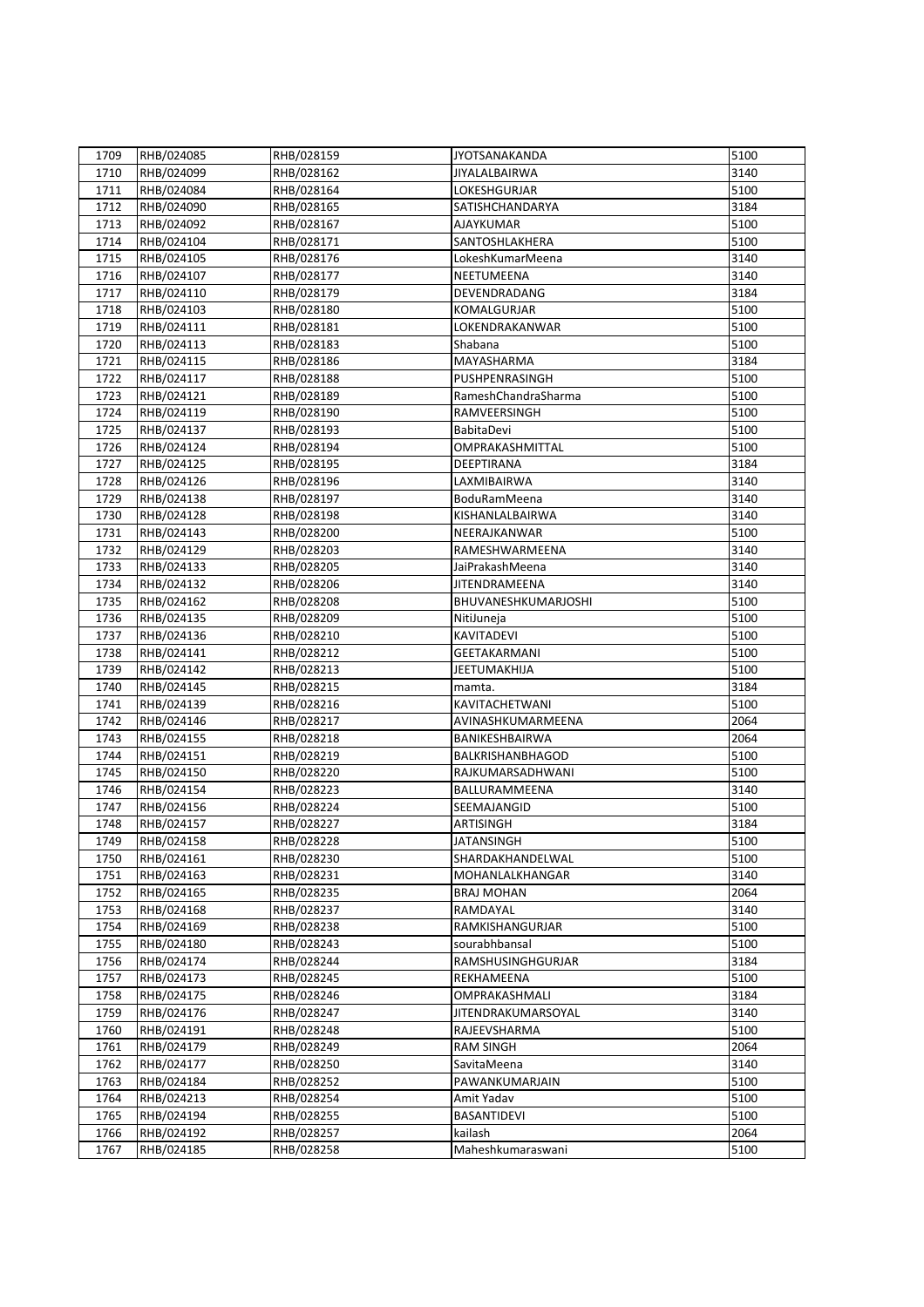| 1709 | RHB/024085 | RHB/028159 | <b>JYOTSANAKANDA</b> | 5100 |
|------|------------|------------|----------------------|------|
| 1710 | RHB/024099 | RHB/028162 | JIYALALBAIRWA        | 3140 |
| 1711 | RHB/024084 | RHB/028164 | LOKESHGURJAR         | 5100 |
| 1712 | RHB/024090 | RHB/028165 | SATISHCHANDARYA      | 3184 |
| 1713 | RHB/024092 | RHB/028167 | <b>AJAYKUMAR</b>     | 5100 |
| 1714 | RHB/024104 | RHB/028171 | SANTOSHLAKHERA       | 5100 |
|      |            |            |                      |      |
| 1715 | RHB/024105 | RHB/028176 | Lokesh Kumar Meena   | 3140 |
| 1716 | RHB/024107 | RHB/028177 | NEETUMEENA           | 3140 |
| 1717 | RHB/024110 | RHB/028179 | DEVENDRADANG         | 3184 |
| 1718 | RHB/024103 | RHB/028180 | KOMALGURJAR          | 5100 |
| 1719 | RHB/024111 | RHB/028181 | LOKENDRAKANWAR       | 5100 |
| 1720 | RHB/024113 | RHB/028183 | Shabana              | 5100 |
| 1721 | RHB/024115 | RHB/028186 | MAYASHARMA           | 3184 |
| 1722 | RHB/024117 | RHB/028188 | PUSHPENRASINGH       | 5100 |
| 1723 | RHB/024121 | RHB/028189 | RameshChandraSharma  | 5100 |
| 1724 | RHB/024119 | RHB/028190 | RAMVEERSINGH         | 5100 |
| 1725 | RHB/024137 | RHB/028193 | BabitaDevi           | 5100 |
| 1726 | RHB/024124 | RHB/028194 | OMPRAKASHMITTAL      | 5100 |
| 1727 | RHB/024125 | RHB/028195 | DEEPTIRANA           | 3184 |
| 1728 | RHB/024126 | RHB/028196 | LAXMIBAIRWA          | 3140 |
| 1729 | RHB/024138 | RHB/028197 | BoduRamMeena         | 3140 |
| 1730 | RHB/024128 | RHB/028198 | KISHANLALBAIRWA      | 3140 |
| 1731 | RHB/024143 | RHB/028200 | NEERAJKANWAR         | 5100 |
| 1732 | RHB/024129 | RHB/028203 | RAMESHWARMEENA       | 3140 |
| 1733 | RHB/024133 | RHB/028205 | JaiPrakashMeena      | 3140 |
| 1734 | RHB/024132 | RHB/028206 | JITENDRAMEENA        | 3140 |
| 1735 | RHB/024162 | RHB/028208 | BHUVANESHKUMARJOSHI  | 5100 |
| 1736 | RHB/024135 | RHB/028209 | NitiJuneja           | 5100 |
| 1737 | RHB/024136 | RHB/028210 | KAVITADEVI           | 5100 |
| 1738 | RHB/024141 | RHB/028212 | <b>GEETAKARMANI</b>  | 5100 |
| 1739 | RHB/024142 | RHB/028213 | JEETUMAKHIJA         | 5100 |
| 1740 | RHB/024145 | RHB/028215 | mamta.               | 3184 |
|      | RHB/024139 | RHB/028216 | KAVITACHETWANI       | 5100 |
| 1741 | RHB/024146 |            |                      |      |
| 1742 |            | RHB/028217 | AVINASHKUMARMEENA    | 2064 |
| 1743 | RHB/024155 | RHB/028218 | BANIKESHBAIRWA       | 2064 |
| 1744 | RHB/024151 | RHB/028219 | BALKRISHANBHAGOD     | 5100 |
| 1745 | RHB/024150 | RHB/028220 | RAJKUMARSADHWANI     | 5100 |
| 1746 | RHB/024154 | RHB/028223 | BALLURAMMEENA        | 3140 |
| 1747 | RHB/024156 | RHB/028224 | SEEMAJANGID          | 5100 |
| 1748 | RHB/024157 | RHB/028227 | <b>ARTISINGH</b>     | 3184 |
| 1749 | RHB/024158 | RHB/028228 | <b>JATANSINGH</b>    | 5100 |
| 1750 | RHB/024161 | RHB/028230 | SHARDAKHANDELWAL     | 5100 |
| 1751 | RHB/024163 | RHB/028231 | MOHANLALKHANGAR      | 3140 |
| 1752 | RHB/024165 | RHB/028235 | <b>BRAJ MOHAN</b>    | 2064 |
| 1753 | RHB/024168 | RHB/028237 | RAMDAYAL             | 3140 |
| 1754 | RHB/024169 | RHB/028238 | RAMKISHANGURJAR      | 5100 |
| 1755 | RHB/024180 | RHB/028243 | sourabhbansal        | 5100 |
| 1756 | RHB/024174 | RHB/028244 | RAMSHUSINGHGURJAR    | 3184 |
| 1757 | RHB/024173 | RHB/028245 | REKHAMEENA           | 5100 |
| 1758 | RHB/024175 | RHB/028246 | OMPRAKASHMALI        | 3184 |
| 1759 | RHB/024176 | RHB/028247 | JITENDRAKUMARSOYAL   | 3140 |
| 1760 | RHB/024191 | RHB/028248 | RAJEEVSHARMA         | 5100 |
| 1761 | RHB/024179 | RHB/028249 | <b>RAM SINGH</b>     | 2064 |
| 1762 | RHB/024177 | RHB/028250 | SavitaMeena          | 3140 |
| 1763 | RHB/024184 | RHB/028252 | PAWANKUMARJAIN       | 5100 |
| 1764 | RHB/024213 | RHB/028254 | Amit Yadav           | 5100 |
| 1765 | RHB/024194 | RHB/028255 | <b>BASANTIDEVI</b>   | 5100 |
| 1766 | RHB/024192 | RHB/028257 | kailash              | 2064 |
| 1767 | RHB/024185 | RHB/028258 | Maheshkumaraswani    | 5100 |